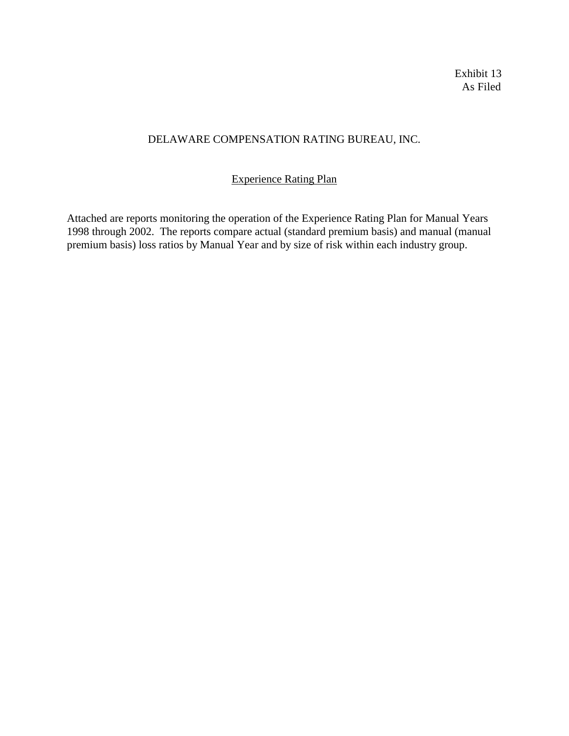Exhibit 13 As Filed

## DELAWARE COMPENSATION RATING BUREAU, INC.

## Experience Rating Plan

Attached are reports monitoring the operation of the Experience Rating Plan for Manual Years 1998 through 2002. The reports compare actual (standard premium basis) and manual (manual premium basis) loss ratios by Manual Year and by size of risk within each industry group.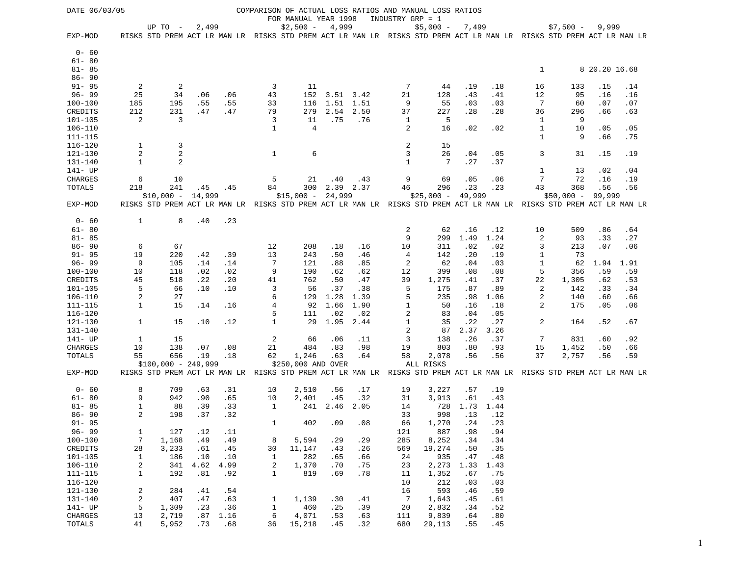| DATE 06/03/05 |                  |                                                           |        |      |                |                      |               |           |                | COMPARISON OF ACTUAL LOSS RATIOS AND MANUAL LOSS RATIOS                                                                           |        |      |              |             |               |      |
|---------------|------------------|-----------------------------------------------------------|--------|------|----------------|----------------------|---------------|-----------|----------------|-----------------------------------------------------------------------------------------------------------------------------------|--------|------|--------------|-------------|---------------|------|
|               |                  |                                                           |        |      |                | FOR MANUAL YEAR 1998 |               |           |                | INDUSTRY GRP = 1                                                                                                                  |        |      |              |             |               |      |
| EXP-MOD       |                  | UP TO -                                                   | 2,499  |      |                | $$2,500 -$           | 4,999         |           |                | $$5,000 -$<br>RISKS STD PREM ACT LR MAN LR RISKS STD PREM ACT LR MAN LR RISKS STD PREM ACT LR MAN LR RISKS STD PREM ACT LR MAN LR | 7,499  |      |              | $$7,500 -$  | 9,999         |      |
|               |                  |                                                           |        |      |                |                      |               |           |                |                                                                                                                                   |        |      |              |             |               |      |
| $0 - 60$      |                  |                                                           |        |      |                |                      |               |           |                |                                                                                                                                   |        |      |              |             |               |      |
| $61 - 80$     |                  |                                                           |        |      |                |                      |               |           |                |                                                                                                                                   |        |      |              |             |               |      |
| $81 - 85$     |                  |                                                           |        |      |                |                      |               |           |                |                                                                                                                                   |        |      | $\mathbf{1}$ |             | 8 20.20 16.68 |      |
| $86 - 90$     |                  |                                                           |        |      |                |                      |               |           |                |                                                                                                                                   |        |      |              |             |               |      |
| $91 - 95$     | 2                | 2                                                         |        |      | 3              | 11                   |               |           | 7              | 44                                                                                                                                | .19    | .18  | 16           | 133         | .15           | .14  |
| $96 - 99$     | 25               | 34                                                        | .06    | .06  | 43             | 152                  | $3.51$ $3.42$ |           | 21             | 128                                                                                                                               | .43    | .41  | 12           | 95          | .16           | .16  |
| $100 - 100$   | 185              | 195                                                       | .55    | .55  | 33             | 116                  | 1.51 1.51     |           | 9              | 55                                                                                                                                | .03    | .03  | 7            | 60          | .07           | .07  |
| CREDITS       | 212              | 231                                                       | .47    | .47  | 79             | 279                  | 2.54          | 2.50      | 37             | 227                                                                                                                               | .28    | .28  | 36           | 296         | .66           | .63  |
| $101 - 105$   | $\overline{c}$   | 3                                                         |        |      | 3              | 11                   | .75           | .76       | 1              | 5                                                                                                                                 |        |      | 1            | 9           |               |      |
| $106 - 110$   |                  |                                                           |        |      | $\mathbf{1}$   | 4                    |               |           | 2              | 16                                                                                                                                | .02    | .02  | 1            | 10          | .05           | .05  |
| $111 - 115$   |                  |                                                           |        |      |                |                      |               |           |                |                                                                                                                                   |        |      | 1            | 9           | .66           | .75  |
| $116 - 120$   | 1                | 3                                                         |        |      |                |                      |               |           | $\sqrt{2}$     | 15                                                                                                                                |        |      |              |             |               |      |
| 121-130       | $\overline{c}$   | $\overline{2}$                                            |        |      | $\mathbf{1}$   | 6                    |               |           | 3              | 26                                                                                                                                | .04    | .05  | 3            | 31          | .15           | .19  |
| 131-140       | $\mathbf{1}$     | 2                                                         |        |      |                |                      |               |           | $\mathbf{1}$   | 7                                                                                                                                 | .27    | .37  |              |             |               |      |
| 141- UP       |                  |                                                           |        |      |                |                      |               |           |                |                                                                                                                                   |        |      | 1            | 13          | .02           | .04  |
| CHARGES       | 6                | 10                                                        |        |      | 5              | 21                   | .40           | .43       | 9              | 69                                                                                                                                | .05    | .06  | 7            | 72          | .16           | .19  |
| TOTALS        | 218              | 241                                                       | .45    | .45  | 84             | 300                  |               | 2.39 2.37 | 46             | 296                                                                                                                               | .23    | .23  | 43           | 368         | .56           | .56  |
|               |                  | $$10,000 -$                                               | 14,999 |      |                | $$15,000 -$          | 24,999        |           |                | $$25,000 -$                                                                                                                       | 49,999 |      |              | $$50,000 -$ | 99,999        |      |
| EXP-MOD       |                  |                                                           |        |      |                |                      |               |           |                | RISKS STD PREM ACT LR MAN LR RISKS STD PREM ACT LR MAN LR RISKS STD PREM ACT LR MAN LR RISKS STD PREM ACT LR MAN LR               |        |      |              |             |               |      |
|               |                  |                                                           |        |      |                |                      |               |           |                |                                                                                                                                   |        |      |              |             |               |      |
| $0 - 60$      | $\mathbf{1}$     | 8                                                         | .40    | .23  |                |                      |               |           |                |                                                                                                                                   |        |      |              |             |               |      |
| $61 - 80$     |                  |                                                           |        |      |                |                      |               |           | $\overline{c}$ | 62                                                                                                                                | .16    | .12  | 10           | 509         | .86           | .64  |
| $81 - 85$     |                  |                                                           |        |      |                |                      |               |           | 9              | 299                                                                                                                               | 1.49   | 1.24 | 2            | 93          | .33           | .27  |
| $86 - 90$     | 6                | 67                                                        |        |      | 12             | 208                  | .18           | .16       | 10             | 311                                                                                                                               | .02    | .02  | 3            | 213         | .07           | .06  |
| $91 - 95$     | 19               | 220                                                       | .42    | .39  | 13             | 243                  | .50           | .46       | 4              | 142                                                                                                                               | .20    | .19  | 1            | 73          |               |      |
| $96 - 99$     | 9                | 105                                                       | .14    | .14  | $\overline{7}$ | 121                  | .88           | .85       | $\overline{c}$ | 62                                                                                                                                | .04    | .03  | 1            | 62          | 1.94          | 1.91 |
| $100 - 100$   | 10               | 118                                                       | .02    | .02  | 9              | 190                  | .62           | .62       | 12             | 399                                                                                                                               | .08    | .08  | 5            | 356         | .59           | .59  |
| CREDITS       | 45               | 518                                                       | .22    | .20  | 41             | 762                  | .50           | .47       | 39             | 1,275                                                                                                                             | .41    | .37  | 22           | 1,305       | .62           | .53  |
| $101 - 105$   | 5                | 66                                                        | .10    | .10  | 3              | 56                   | .37           | .38       | 5              | 175                                                                                                                               | .87    | .89  | 2            | 142         | .33           | .34  |
| $106 - 110$   | $\overline{c}$   | 27                                                        |        |      | 6              | 129                  | 1.28          | 1.39      | 5              | 235                                                                                                                               | .98    | 1.06 | 2            | 140         | .60           | .66  |
| $111 - 115$   | $\mathbf{1}$     | 15                                                        | .14    | .16  | 4              | 92                   | 1.66          | 1.90      | $\mathbf{1}$   | 50                                                                                                                                | .16    | .18  | 2            | 175         | .05           | .06  |
| $116 - 120$   |                  |                                                           |        |      | 5              | 111                  | .02           | .02       | 2              | 83                                                                                                                                | .04    | .05  |              |             |               |      |
| $121 - 130$   | $\mathbf{1}$     | 15                                                        | .10    | .12  | $\mathbf{1}$   | 29                   | 1.95          | 2.44      | $\mathbf{1}$   | 35                                                                                                                                | .22    | .27  | 2            | 164         | .52           | .67  |
| $131 - 140$   |                  |                                                           |        |      |                |                      |               |           | $\overline{2}$ | 87                                                                                                                                | 2.37   | 3.26 |              |             |               |      |
| 141- UP       | 1                | 15                                                        |        |      | 2              | 66                   | .06           | .11       | 3              | 138                                                                                                                               | .26    | .37  | 7            | 831         | .60           | .92  |
| CHARGES       | 10               | 138                                                       | .07    | .08  | 21             | 484                  | .83           | .98       | 19             | 803                                                                                                                               | .80    | .93  | 15           | 1,452       | .50           | .66  |
| TOTALS        | 55               | 656                                                       | .19    | .18  | 62             | 1,246                | .63           | .64       | 58             | 2,078                                                                                                                             | .56    | .56  | 37           | 2,757       | .56           | .59  |
|               |                  | $$100,000 - 249,999$                                      |        |      |                | \$250,000 AND OVER   |               |           |                | ALL RISKS                                                                                                                         |        |      |              |             |               |      |
| EXP-MOD       |                  | RISKS STD PREM ACT LR MAN LR RISKS STD PREM ACT LR MAN LR |        |      |                |                      |               |           |                | RISKS STD PREM ACT LR MAN LR RISKS STD PREM ACT LR MAN LR                                                                         |        |      |              |             |               |      |
| $0 - 60$      | 8                | 709                                                       | .63    | .31  | 10             | 2,510                | .56           | .17       | 19             | 3,227                                                                                                                             | .57    | .19  |              |             |               |      |
| $61 - 80$     | 9                | 942                                                       | .90    | .65  | 10             | 2,401                | .45           | .32       | 31             | 3,913                                                                                                                             | .61    | .43  |              |             |               |      |
| $81 - 85$     | $1\,$            | 88                                                        | .39    | .33  | 1              | 241                  | 2.46          | 2.05      | 14             | 728                                                                                                                               | 1.73   | 1.44 |              |             |               |      |
| $86 - 90$     | $\overline{2}$   | 198                                                       | .37    | .32  |                |                      |               |           | 33             | 998                                                                                                                               | .13    | .12  |              |             |               |      |
| $91 - 95$     |                  |                                                           |        |      | 1              | 402                  | .09           | .08       | 66             | 1,270                                                                                                                             | .24    | .23  |              |             |               |      |
| $96 - 99$     | $\mathbf{1}$     | 127                                                       | .12    | .11  |                |                      |               |           | 121            | 887                                                                                                                               | .98    | .94  |              |             |               |      |
| $100 - 100$   | $\overline{7}$   | 1,168                                                     | .49    | .49  | 8              | 5,594                | .29           | .29       | 285            | 8,252                                                                                                                             | .34    | .34  |              |             |               |      |
| CREDITS       | 28               | 3,233                                                     | .61    | .45  | 30             | 11,147               | .43           | .26       | 569            | 19,274                                                                                                                            | .50    | .35  |              |             |               |      |
| $101 - 105$   | $\mathbf{1}$     | 186                                                       | .10    | .10  | 1              | 282                  | .65           | .66       | 24             | 935                                                                                                                               | .47    | .48  |              |             |               |      |
| $106 - 110$   | $\sqrt{2}$       | 341                                                       | 4.62   | 4.99 | $\sqrt{2}$     | 1,370                | .70           | .75       | 23             | 2,273                                                                                                                             | 1.33   | 1.43 |              |             |               |      |
| $111 - 115$   | $\mathbf{1}$     | 192                                                       | .81    | .92  | $\mathbf{1}$   | 819                  | .69           | .78       | 11             | 1,352                                                                                                                             | .67    | .75  |              |             |               |      |
| $116 - 120$   |                  |                                                           |        |      |                |                      |               |           | 10             | 212                                                                                                                               | .03    | .03  |              |             |               |      |
| $121 - 130$   | $\boldsymbol{2}$ | 284                                                       | .41    | .54  |                |                      |               |           | 16             | 593                                                                                                                               | .46    | .59  |              |             |               |      |
| $131 - 140$   | $\boldsymbol{2}$ | 407                                                       | .47    | .63  | 1              | 1,139                | .30           | .41       | $\overline{7}$ | 1,643                                                                                                                             | .45    | .61  |              |             |               |      |
| $141 - UP$    | 5                | 1,309                                                     | .23    | .36  | $\,1$          | 460                  | .25           | .39       | 20             | 2,832                                                                                                                             | .34    | .52  |              |             |               |      |
| CHARGES       | 13               | 2,719                                                     | .87    | 1.16 | 6              | 4,071                | .53           | .63       | 111            | 9,839                                                                                                                             | .64    | .80  |              |             |               |      |
| TOTALS        | 41               | 5,952                                                     | .73    | .68  | 36             | 15,218               | .45           | .32       | 680            | 29,113                                                                                                                            | .55    | .45  |              |             |               |      |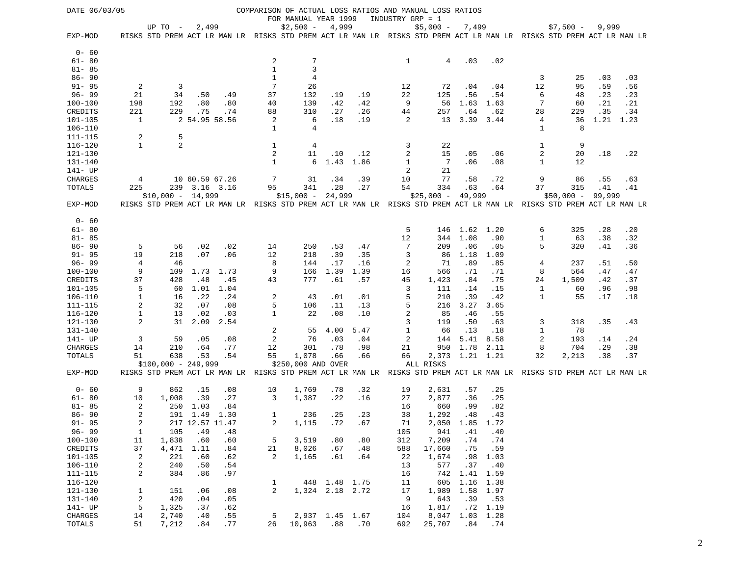| DATE 06/03/05 |                  |                      |                 |      |                  |                      |                 |      |                | COMPARISON OF ACTUAL LOSS RATIOS AND MANUAL LOSS RATIOS                                                             |                 |                  |              |             |        |      |
|---------------|------------------|----------------------|-----------------|------|------------------|----------------------|-----------------|------|----------------|---------------------------------------------------------------------------------------------------------------------|-----------------|------------------|--------------|-------------|--------|------|
|               |                  |                      |                 |      |                  | FOR MANUAL YEAR 1999 |                 |      |                | INDUSTRY GRP = 1                                                                                                    |                 |                  |              |             |        |      |
|               |                  | UP TO $-$            | 2,499           |      |                  | $$2,500 -$           | 4,999           |      |                | $$5,000 -$                                                                                                          | 7,499           |                  |              | $$7,500 -$  | 9,999  |      |
| EXP-MOD       |                  |                      |                 |      |                  |                      |                 |      |                | RISKS STD PREM ACT LR MAN LR RISKS STD PREM ACT LR MAN LR RISKS STD PREM ACT LR MAN LR RISKS STD PREM ACT LR MAN LR |                 |                  |              |             |        |      |
| $0 - 60$      |                  |                      |                 |      |                  |                      |                 |      |                |                                                                                                                     |                 |                  |              |             |        |      |
| $61 - 80$     |                  |                      |                 |      | $\boldsymbol{2}$ | 7                    |                 |      | 1              | $\overline{4}$                                                                                                      | .03             | .02              |              |             |        |      |
| $81 - 85$     |                  |                      |                 |      | $\mathbf{1}$     | 3                    |                 |      |                |                                                                                                                     |                 |                  |              |             |        |      |
| $86 - 90$     |                  |                      |                 |      | 1                | 4                    |                 |      |                |                                                                                                                     |                 |                  | 3            | 25          | .03    | .03  |
| $91 - 95$     | $\overline{c}$   | 3                    |                 |      | 7                | 26                   |                 |      | 12             | 72                                                                                                                  | .04             | .04              | 12           | 95          | .59    | .56  |
| $96 - 99$     | 21               | 34                   | .50             | .49  | 37               | 132                  | .19             | .19  | 22             | 125                                                                                                                 | .56             | .54              | 6            | 48          | .23    | .23  |
| $100 - 100$   | 198              | 192                  | .80             | .80  | 40               | 139                  | .42             | .42  | 9              | 56                                                                                                                  | 1.63            | 1.63             | 7            | 60          | .21    | .21  |
| CREDITS       | 221              | 229                  | .75             | .74  | 88               | 310                  | .27             | .26  | 44             | 257                                                                                                                 | .64             | .62              | 28           | 229         | .35    | .34  |
| $101 - 105$   | 1                |                      | 2 54.95 58.56   |      | 2                | 6                    | .18             | .19  | 2              | 13                                                                                                                  | 3.39            | 3.44             | 4            | 36          | 1.21   | 1.23 |
| $106 - 110$   |                  |                      |                 |      | $\mathbf{1}$     | $\overline{4}$       |                 |      |                |                                                                                                                     |                 |                  | 1            | 8           |        |      |
| $111 - 115$   | $\overline{a}$   | 5                    |                 |      |                  |                      |                 |      |                |                                                                                                                     |                 |                  |              |             |        |      |
| $116 - 120$   | $\mathbf{1}$     | 2                    |                 |      | 1                | 4                    |                 |      | 3              | 22                                                                                                                  |                 |                  | 1            | 9           |        |      |
| 121-130       |                  |                      |                 |      | $\overline{a}$   | 11                   | .10             | .12  | 2              | 15                                                                                                                  | .05             | .06              | 2            | 20          | .18    | .22  |
| 131-140       |                  |                      |                 |      | $\mathbf{1}$     | 6                    | 1.43            | 1.86 | $\mathbf{1}$   | $7\phantom{.0}$                                                                                                     | .06             | .08              | 1            | 12          |        |      |
| 141- UP       |                  |                      |                 |      |                  |                      |                 |      | 2              | 21                                                                                                                  |                 |                  |              |             |        |      |
| CHARGES       | 4                |                      | 10 60.59 67.26  |      | 7                | 31                   | .34             | .39  | 10             | 77                                                                                                                  | .58             | .72              | 9            | 86          | .55    | .63  |
| TOTALS        | 225              |                      | 239 3.16 3.16   |      | 95               | 341                  | .28             | .27  | 54             | 334                                                                                                                 | .63             | .64              | 37           | 315         | .41    | .41  |
|               |                  | $$10,000 - 14,999$   |                 |      |                  | $$15,000 -$          | 24,999          |      |                | $$25,000 -$                                                                                                         | 49,999          |                  |              | $$50,000 -$ | 99,999 |      |
| EXP-MOD       |                  |                      |                 |      |                  |                      |                 |      |                | RISKS STD PREM ACT LR MAN LR RISKS STD PREM ACT LR MAN LR RISKS STD PREM ACT LR MAN LR RISKS STD PREM ACT LR MAN LR |                 |                  |              |             |        |      |
| $0 - 60$      |                  |                      |                 |      |                  |                      |                 |      |                |                                                                                                                     |                 |                  |              |             |        |      |
| $61 - 80$     |                  |                      |                 |      |                  |                      |                 |      | 5              |                                                                                                                     | 146 1.62        | 1.20             | 6            | 325         | .28    | .20  |
| $81 - 85$     |                  |                      |                 |      |                  |                      |                 |      | 12             | 344                                                                                                                 | 1.08            | .90              | 1            | 63          | .38    | .32  |
| $86 - 90$     | 5                | 56                   | .02             | .02  | 14               | 250                  | .53             | .47  | 7              | 209                                                                                                                 | .06             | .05              | 5            | 320         | .41    | .36  |
| $91 - 95$     | 19               | 218                  | .07             | .06  | 12               | 218                  | .39             | .35  | 3              | 86                                                                                                                  | 1.18            | 1.09             |              |             |        |      |
| $96 - 99$     | 4                | 46                   |                 |      | 8                | 144                  | .17             | .16  | 2              | 71                                                                                                                  | .89             | .85              | 4            | 237         | .51    | .50  |
| $100 - 100$   | 9                | 109                  | 1.73            | 1.73 | 9                | 166                  | 1.39            | 1.39 | 16             | 566                                                                                                                 | .71             | .71              | 8            | 564         | .47    | .47  |
| CREDITS       | 37               | 428                  | .48             | .45  | 43               | 777                  | .61             | .57  | 45             | 1,423                                                                                                               | .84             | .75              | 24           | 1,509       | .42    | .37  |
| $101 - 105$   | 5                | 60                   | 1.01            | 1.04 |                  |                      |                 |      | 3              | 111                                                                                                                 | .14             | .15              | 1            | 60          | .96    | .98  |
| 106-110       | $\mathbf{1}$     | 16                   | .22             | .24  | 2                | 43                   | .01             | .01  | 5              | 210                                                                                                                 | .39             | .42              | 1            | 55          | .17    | .18  |
| 111-115       | 2                | 32                   | .07             | .08  | 5                | 106                  | .11             | .13  | 5              | 216                                                                                                                 | 3.27            | 3.65             |              |             |        |      |
| $116 - 120$   | $\mathbf{1}$     | 13                   | .02             | .03  | 1                | 22                   | .08             | .10  | $\overline{c}$ | 85                                                                                                                  | .46             | .55              |              |             |        |      |
| $121 - 130$   | 2                | 31                   | 2.09            | 2.54 |                  |                      |                 |      | 3              | 119                                                                                                                 | .50             | .63              | 3            | 318         | .35    | .43  |
| $131 - 140$   |                  |                      |                 |      | 2                | 55                   | 4.00            | 5.47 | $\mathbf{1}$   | 66                                                                                                                  | .13             | .18              | $\mathbf{1}$ | 78          |        |      |
| 141- UP       | 3                | 59                   | .05             | .08  | $\overline{c}$   | 76                   | .03             | .04  | 2              | 144                                                                                                                 | 5.41            | 8.58             | 2            | 193         | .14    | .24  |
| CHARGES       | 14               | 210                  | .64             | .77  | 12               | 301                  | .78             | .98  | 21             | 950                                                                                                                 | 1.78            | 2.11             | 8            | 704         | .29    | .38  |
| TOTALS        | 51               | 638                  | .53             | .54  | 55               | 1,078                | .66             | .66  | 66             |                                                                                                                     | 2,373 1.21 1.21 |                  | 32           | 2,213       | .38    | .37  |
|               |                  | $$100,000 - 249,999$ |                 |      |                  | \$250,000 AND OVER   |                 |      |                | ALL RISKS                                                                                                           |                 |                  |              |             |        |      |
| EXP-MOD       |                  |                      |                 |      |                  |                      |                 |      |                | RISKS STD PREM ACT LR MAN LR RISKS STD PREM ACT LR MAN LR RISKS STD PREM ACT LR MAN LR RISKS STD PREM ACT LR MAN LR |                 |                  |              |             |        |      |
| $0 - 60$      | 9                | 862                  | .15             | .08  | 10               | 1,769                | .78             | .32  | 19             | 2,631                                                                                                               | .57             | .25              |              |             |        |      |
| $61 - 80$     | 10               | 1,008                | .39             | .27  | 3                | 1,387                | .22             | .16  | 27             | 2,877                                                                                                               | .36             | .25              |              |             |        |      |
| $81 - 85$     | 2                | 250                  | 1.03            | .84  |                  |                      |                 |      | 16             | 660                                                                                                                 | .99             | .82              |              |             |        |      |
| $86 - 90$     | 2                |                      | 191 1.49        | 1.30 | 1                | 236                  | .25             | .23  | 38             | 1,292                                                                                                               | .48             | .43              |              |             |        |      |
| $91 - 95$     | 2                |                      | 217 12.57 11.47 |      | 2                | 1,115                | .72             | .67  | 71             |                                                                                                                     | 2,050 1.85 1.72 |                  |              |             |        |      |
| $96 - 99$     | $\mathbf{1}$     | 105                  | .49             | .48  |                  |                      |                 |      | 105            | 941                                                                                                                 | .41             | .40              |              |             |        |      |
| $100 - 100$   | 11               | 1,838                | .60             | .60  | 5                | 3,519                | .80             | .80  | 312            | 7,209                                                                                                               | .74             | .74              |              |             |        |      |
| CREDITS       | 37               | 4,471                | 1.11            | .84  | 21               | 8,026                | .67             | .48  | 588            | 17,660                                                                                                              | .75             | .59              |              |             |        |      |
| $101 - 105$   | 2                | 221                  | .60             | .62  | 2                | 1,165                | .61             | .64  | 22             | 1,674                                                                                                               | .98             | 1.03             |              |             |        |      |
| $106 - 110$   | 2                | 240                  | .50             | .54  |                  |                      |                 |      | 13             | 577                                                                                                                 | .37             | .40              |              |             |        |      |
| $111 - 115$   | 2                | 384                  | .86             | .97  |                  |                      |                 |      | 16             | 742                                                                                                                 | 1.41            | 1.59             |              |             |        |      |
| $116 - 120$   |                  |                      |                 |      | 1                |                      | 448 1.48 1.75   |      | 11             | 605                                                                                                                 | 1.16            | 1.38             |              |             |        |      |
| $121 - 130$   | $\mathbf{1}$     | 151                  | .06             | .08  | 2                |                      | 1,324 2.18 2.72 |      | 17             | 1,989                                                                                                               | 1.58 1.97       |                  |              |             |        |      |
| 131-140       | $\boldsymbol{2}$ | 420                  | .04             | .05  |                  |                      |                 |      | 9              | 643                                                                                                                 | .39             | .53              |              |             |        |      |
| $141 - UP$    | 5                | 1,325                | .37             | .62  |                  |                      |                 |      | 16             | 1,817                                                                                                               |                 | $.72 \quad 1.19$ |              |             |        |      |
| CHARGES       | 14               | 2,740                | .40             | .55  | 5                |                      | 2,937 1.45 1.67 |      | 104            | 8,047                                                                                                               | 1.03 1.28       |                  |              |             |        |      |
| TOTALS        | 51               | 7,212                | .84             | .77  | 26               | 10,963               | .88             | .70  | 692            | 25,707                                                                                                              | .84             | .74              |              |             |        |      |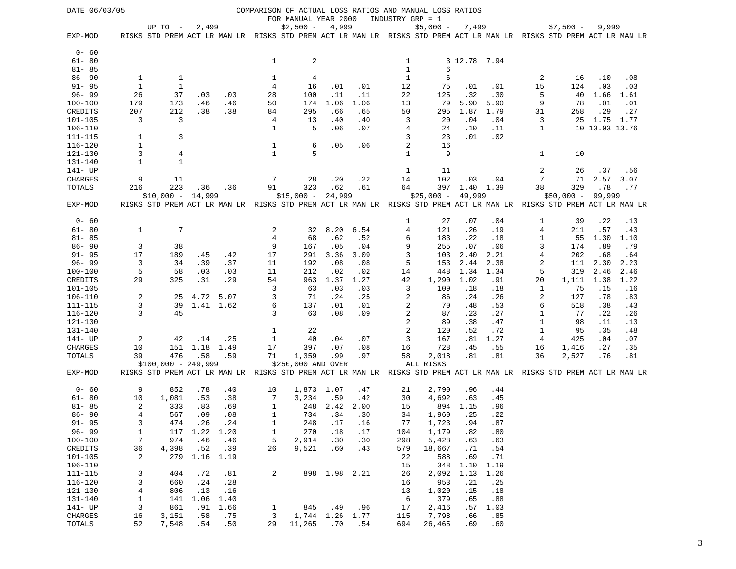| DATE 06/03/05              |                |                      |                  |             |                |                      |               |             |                | COMPARISON OF ACTUAL LOSS RATIOS AND MANUAL LOSS RATIOS                                                             |               |             |              |             |                |            |
|----------------------------|----------------|----------------------|------------------|-------------|----------------|----------------------|---------------|-------------|----------------|---------------------------------------------------------------------------------------------------------------------|---------------|-------------|--------------|-------------|----------------|------------|
|                            |                |                      |                  |             |                | FOR MANUAL YEAR 2000 |               |             |                | INDUSTRY GRP = 1                                                                                                    |               |             |              |             |                |            |
|                            |                | UP TO -              | 2,499            |             |                | $$2,500 -$           | 4,999         |             |                | $$5,000 -$                                                                                                          | 7,499         |             |              | $$7,500 -$  | 9,999          |            |
| EXP-MOD                    |                |                      |                  |             |                |                      |               |             |                | RISKS STD PREM ACT LR MAN LR RISKS STD PREM ACT LR MAN LR RISKS STD PREM ACT LR MAN LR RISKS STD PREM ACT LR MAN LR |               |             |              |             |                |            |
| $0 - 60$                   |                |                      |                  |             |                |                      |               |             |                |                                                                                                                     |               |             |              |             |                |            |
| $61 - 80$                  |                |                      |                  |             | $\mathbf{1}$   | $\sqrt{2}$           |               |             | 1              |                                                                                                                     | 3 12.78 7.94  |             |              |             |                |            |
| $81 - 85$                  |                |                      |                  |             |                |                      |               |             | $\mathbf{1}$   | 6                                                                                                                   |               |             |              |             |                |            |
| $86 - 90$                  | 1              |                      |                  |             | 1              | 4                    |               |             | 1              | 6                                                                                                                   |               |             |              | 16          | .10            | .08        |
| $91 - 95$                  | $\mathbf{1}$   | 1<br>1               |                  |             | 4              | 16                   | .01           | .01         | 12             | 75                                                                                                                  |               | .01         | 2<br>15      | 124         | .03            | .03        |
| $96 - 99$                  | 26             |                      |                  |             | 28             |                      | .11           | .11         |                |                                                                                                                     | .01           |             | 5            | 40          |                |            |
|                            |                | 37                   | .03              | .03         |                | 100<br>174           | 1.06          | 1.06        | 22<br>13       | 125<br>79                                                                                                           | .32<br>5.90   | .30<br>5.90 | 9            | 78          | 1.66<br>.01    | 1.61       |
| $100 - 100$<br>CREDITS     | 179<br>207     | 173<br>212           | .46<br>.38       | .46<br>.38  | 50<br>84       | 295                  | .66           | .65         | 50             | 295                                                                                                                 | 1.87          | 1.79        | 31           | 258         | .29            | .01<br>.27 |
| $101 - 105$                | 3              | 3                    |                  |             |                |                      | .40           |             |                |                                                                                                                     |               |             |              |             |                |            |
|                            |                |                      |                  |             | 4              | 13<br>5              |               | .40         | 3              | 20                                                                                                                  | .04           | .04         | 3            | 25          | 1.75           | 1.77       |
| $106 - 110$                |                |                      |                  |             | $\mathbf{1}$   |                      | .06           | .07         | 4              | 24                                                                                                                  | .10           | .11         | 1            |             | 10 13.03 13.76 |            |
| $111 - 115$                | 1              | 3                    |                  |             |                |                      |               |             | 3              | 23                                                                                                                  | .01           | .02         |              |             |                |            |
| $116 - 120$                | $\mathbf{1}$   |                      |                  |             | 1              | 6                    | .05           | .06         | 2              | 16                                                                                                                  |               |             |              |             |                |            |
| 121-130                    | 3              | $\overline{4}$       |                  |             | $\mathbf{1}$   | 5                    |               |             | $\mathbf{1}$   | 9                                                                                                                   |               |             | 1            | 10          |                |            |
| 131-140                    | $\mathbf{1}$   | $\mathbf{1}$         |                  |             |                |                      |               |             |                |                                                                                                                     |               |             |              |             |                |            |
| 141- UP                    |                |                      |                  |             |                |                      |               |             | 1              | 11                                                                                                                  |               |             | 2            | 26          | .37            | .56        |
| CHARGES                    | 9              | 11                   |                  |             | 7              | 28                   | .20           | .22         | 14             | 102                                                                                                                 | .03           | .04         | 7            | 71          |                | 2.57 3.07  |
| TOTALS                     | 216            | 223                  | .36              | .36         | 91             | 323                  | .62<br>24,999 | .61         | 64             |                                                                                                                     | 397 1.40 1.39 |             | 38           | 329         | .78            | .77        |
|                            |                | $$10,000 -$          | 14,999           |             |                | $$15,000 -$          |               |             |                | $$25,000 -$                                                                                                         | 49,999        |             |              | $$50,000 -$ | 99,999         |            |
| EXP-MOD                    |                |                      |                  |             |                |                      |               |             |                | RISKS STD PREM ACT LR MAN LR RISKS STD PREM ACT LR MAN LR RISKS STD PREM ACT LR MAN LR RISKS STD PREM ACT LR MAN LR |               |             |              |             |                |            |
| $0 - 60$                   |                |                      |                  |             |                |                      |               |             | 1              | 27                                                                                                                  | .07           | .04         | 1            | 39          | .22            | .13        |
| $61 - 80$                  | $\mathbf{1}$   | $7\phantom{.0}$      |                  |             | 2              | 32                   | 8.20          | 6.54        | 4              | 121                                                                                                                 | .26           | .19         | 4            | 211         | .57            | .43        |
| $81 - 85$                  |                |                      |                  |             | $\overline{4}$ | 68                   | .62           | .52         | 6              | 183                                                                                                                 | .22           | .18         | 1            | 55          | 1.30           | 1.10       |
| $86 - 90$                  | 3              | 38                   |                  |             | 9              | 167                  | .05           | .04         | 9              | 255                                                                                                                 | .07           | .06         | 3            | 174         | .89            | .79        |
| $91 - 95$                  | 17             | 189                  | .45              | .42         | 17             | 291                  | 3.36          | 3.09        | 3              | 103                                                                                                                 | 2.40          | 2.21        | 4            | 202         | .68            | .64        |
| $96 - 99$                  | 3              | 34                   | .39              | .37         | 11             | 192                  | .08           | .08         | 5              | 153                                                                                                                 | 2.44          | 2.38        | 2            | 111         | 2.30           | 2.23       |
| $100 - 100$                | 5              | 58                   | .03              | .03         | 11             | 212                  | .02           | .02         | 14             | 448                                                                                                                 | 1.34          | 1.34        | 5            | 319         | 2.46           | 2.46       |
| CREDITS                    | 29             | 325                  | .31              | .29         | 54             | 963                  | 1.37          | 1.27        | 42             | 1,290                                                                                                               | 1.02          | .91         | 20           | 1,111       | 1.38           | 1.22       |
| $101 - 105$                |                |                      |                  |             | 3              | 63                   | .03           | .03         | 3              | 109                                                                                                                 | .18           | .18         | 1            | 75          | .15            | .16        |
| 106-110                    | $\overline{a}$ | 25                   | 4.72             | 5.07        | 3              | 71                   | .24           | .25         | 2              | 86                                                                                                                  | .24           | .26         | 2            | 127         | .78            | .83        |
| 111-115                    | 3              | 39                   |                  | 1.41 1.62   | 6              | 137                  | .01           | .01         | 2              | 70                                                                                                                  | .48           | .53         | 6            | 518         | .38            | .43        |
| $116 - 120$                | 3              | 45                   |                  |             | 3              | 63                   | .08           | .09         | 2              | 87                                                                                                                  | .23           | .27         | 1            | 77          | .22            | .26        |
| $121 - 130$                |                |                      |                  |             |                |                      |               |             | $\overline{2}$ | 89                                                                                                                  | .38           | .47         | 1            | 98          | .11            | .13        |
| 131-140                    |                |                      |                  |             | 1              | 22                   |               |             | 2              | 120                                                                                                                 | .52           | .72         | $\mathbf{1}$ | 95          | .35            | .48        |
| 141- UP                    | 2              | 42                   | .14              | .25         | 1              | 40                   | .04           | .07         | 3              | 167                                                                                                                 | .81           | 1.27        | 4            | 425         | .04            | .07        |
| CHARGES                    | 10             |                      | 151 1.18         | 1.49        | 17             | 397                  | .07           | .08         | 16             | 728                                                                                                                 | .45           | .55         | 16           | 1,416       | .27            | .35        |
| TOTALS                     | 39             | 476                  | .58              | .59         | 71             | 1,359                | .99           | .97         | 58             | 2,018                                                                                                               | .81           | .81         | 36           | 2,527       | .76            | .81        |
|                            |                | $$100,000 - 249,999$ |                  |             |                | \$250,000 AND OVER   |               |             |                | ALL RISKS                                                                                                           |               |             |              |             |                |            |
| EXP-MOD                    |                |                      |                  |             |                |                      |               |             |                | RISKS STD PREM ACT LR MAN LR RISKS STD PREM ACT LR MAN LR RISKS STD PREM ACT LR MAN LR RISKS STD PREM ACT LR MAN LR |               |             |              |             |                |            |
| $0 - 60$                   | 9              | 852                  | .78              | .40         | 10             | 1,873 1.07           |               | .47         | 21             | 2,790                                                                                                               | .96           | .44         |              |             |                |            |
| $61 - 80$                  | 10             |                      | .53              | .38         | 7              | 3,234                |               |             | 30             | 4,692                                                                                                               |               |             |              |             |                |            |
| $81 - 85$                  | $\overline{a}$ | 1,081<br>333         |                  |             | 1              |                      | .59           | .42<br>2.00 |                | 894                                                                                                                 | .63           | .45         |              |             |                |            |
| $86 - 90$                  | 4              | 567                  | .83<br>.09       | .69<br>.08  |                | 248<br>734           | 2.42<br>.34   |             | 15<br>34       |                                                                                                                     | 1.15<br>.25   | .96         |              |             |                |            |
| $91 - 95$                  | 3              |                      |                  |             | 1              |                      |               | .30         |                | 1,960                                                                                                               |               | .22         |              |             |                |            |
| $96 - 99$                  | $\mathbf{1}$   | 474                  | .26<br>1.22 1.20 | .24         | 1<br>$1\,$     | 248                  | .17<br>.18    | .16<br>.17  | 77             | 1,723<br>1,179                                                                                                      | .94<br>.82    | .87<br>.80  |              |             |                |            |
| $100 - 100$                | 7              | 117<br>974           | .46              | .46         | 5              | 270<br>2,914         | .30           | .30         | 104<br>298     | 5,428                                                                                                               | .63           | .63         |              |             |                |            |
| CREDITS                    | 36             | 4,398                | .52              | .39         | 26             | 9,521                | .60           | .43         | 579            | 18,667                                                                                                              | .71           | .54         |              |             |                |            |
|                            | 2              | 279                  | 1.16             | 1.19        |                |                      |               |             |                |                                                                                                                     |               |             |              |             |                |            |
| $101 - 105$<br>$106 - 110$ |                |                      |                  |             |                |                      |               |             | 22             | 588<br>348                                                                                                          | .69<br>1.10   | .71<br>1.19 |              |             |                |            |
| $111 - 115$                |                |                      |                  |             |                |                      | 1.98 2.21     |             | 15             | 2,092                                                                                                               | 1.13          |             |              |             |                |            |
| $116 - 120$                | 3              | 404                  | .72<br>.24       | .81         | 2              | 898                  |               |             | 26             |                                                                                                                     | .21           | 1.26        |              |             |                |            |
| $121 - 130$                | 3<br>4         | 660                  | .13              | .28         |                |                      |               |             | 16<br>13       | 953                                                                                                                 |               | .25         |              |             |                |            |
| 131-140                    | $\mathbf{1}$   | 806<br>141           | 1.06             | .16<br>1.40 |                |                      |               |             | $\epsilon$     | 1,020<br>379                                                                                                        | .15<br>.65    | .18<br>.88  |              |             |                |            |
| 141- UP                    | 3              | 861                  | .91              | 1.66        | 1              | 845                  | .49           | .96         | 17             | 2,416                                                                                                               | .57           | 1.03        |              |             |                |            |
| CHARGES                    | 16             | 3,151                | .58              | .75         | 3              | 1,744 1.26           |               | 1.77        | 115            | 7,798                                                                                                               | .66           | .85         |              |             |                |            |
| TOTALS                     | 52             | 7,548                | .54              | .50         | 29             | 11,265               | .70           | .54         | 694            | 26,465                                                                                                              | .69           | .60         |              |             |                |            |
|                            |                |                      |                  |             |                |                      |               |             |                |                                                                                                                     |               |             |              |             |                |            |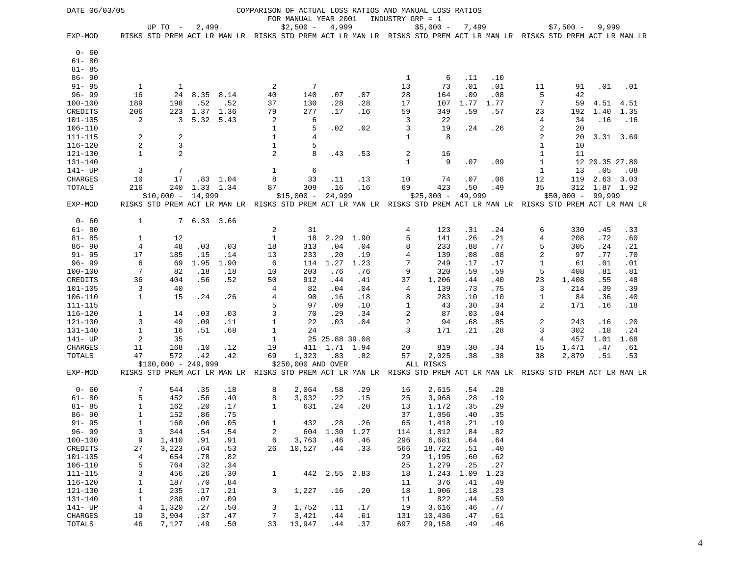| DATE 06/03/05 |                |                      |             |            |                | FOR MANUAL YEAR 2001 |                |      | INDUSTRY GRP = 1 | COMPARISON OF ACTUAL LOSS RATIOS AND MANUAL LOSS RATIOS                                                             |             |      |              |             |                |               |
|---------------|----------------|----------------------|-------------|------------|----------------|----------------------|----------------|------|------------------|---------------------------------------------------------------------------------------------------------------------|-------------|------|--------------|-------------|----------------|---------------|
|               |                | UP TO $-$            | 2,499       |            |                | $$2,500 -$           | 4,999          |      |                  | $$5,000 -$                                                                                                          | 7,499       |      |              | $$7,500 -$  | 9,999          |               |
| EXP-MOD       |                |                      |             |            |                |                      |                |      |                  | RISKS STD PREM ACT LR MAN LR RISKS STD PREM ACT LR MAN LR RISKS STD PREM ACT LR MAN LR RISKS STD PREM ACT LR MAN LR |             |      |              |             |                |               |
| $0 - 60$      |                |                      |             |            |                |                      |                |      |                  |                                                                                                                     |             |      |              |             |                |               |
| $61 - 80$     |                |                      |             |            |                |                      |                |      |                  |                                                                                                                     |             |      |              |             |                |               |
| $81 - 85$     |                |                      |             |            |                |                      |                |      |                  |                                                                                                                     |             |      |              |             |                |               |
| $86 - 90$     |                |                      |             |            |                |                      |                |      | 1                | 6                                                                                                                   | .11         | .10  |              |             |                |               |
| $91 - 95$     | 1              | 1                    |             |            | 2              | 7                    |                |      | 13               | 73                                                                                                                  | .01         | .01  | 11           | 91          | .01            | .01           |
| $96 - 99$     | 16             | 24                   | 8.35        | 8.14       | 40             | 140                  | .07            | .07  | 28               | 164                                                                                                                 | .09         | .08  | 5            | 42          |                |               |
| $100 - 100$   | 189            | 198                  | .52         | .52        | 37             | 130                  | .28            | .28  | 17               | 107                                                                                                                 | 1.77        | 1.77 | 7            | 59          | 4.51           | 4.51          |
| CREDITS       | 206            | 223                  | 1.37        | 1.36       | 79             | 277                  | .17            | .16  | 59               | 349                                                                                                                 | .59         | .57  | 23           | 192         | 1.40           | 1.35          |
| $101 - 105$   | 2              | 3                    | 5.32        | 5.43       | 2              | 6                    |                |      | 3                | 22                                                                                                                  |             |      | 4            | 34          | .16            | .16           |
| $106 - 110$   |                |                      |             |            | 1              | 5                    | .02            | .02  | 3                | 19                                                                                                                  | .24         | .26  | 2            | 20          |                |               |
| 111-115       | 2              | 2                    |             |            | 1              | 4                    |                |      | 1                | 8                                                                                                                   |             |      | 2            | 20          | 3.31 3.69      |               |
| 116-120       | 2              | $\mathbf{3}$         |             |            | 1              | 5                    |                |      |                  |                                                                                                                     |             |      | 1            | 10          |                |               |
| 121-130       | $\mathbf{1}$   | $\overline{2}$       |             |            | $\overline{c}$ | 8                    | .43            | .53  | 2                | 16                                                                                                                  |             |      | 1            | 11          |                |               |
| $131 - 140$   |                |                      |             |            |                |                      |                |      | $\mathbf{1}$     | 9                                                                                                                   | .07         | .09  | $\mathbf{1}$ |             | 12 20.35 27.80 |               |
| 141- UP       | 3              | 7                    |             |            | 1              | 6                    |                |      |                  |                                                                                                                     |             |      | 1            | 13          | .05            | .08           |
| CHARGES       | 10             | 17                   |             | $.83$ 1.04 | 8              | 33                   | .11            | .13  | 10               | 74                                                                                                                  | .07         | .08  | 12           | 119         |                | $2.63$ $3.03$ |
| TOTALS        | 216            | 240                  | 1.33 1.34   |            | 87             | 309                  | .16            | .16  | 69               | 423                                                                                                                 | .50         | .49  | 35           |             | 312 1.87 1.92  |               |
|               |                | $$10,000 -$          | 14,999      |            |                | $$15,000 -$          | 24,999         |      |                  | $$25,000 -$                                                                                                         | 49,999      |      |              | $$50,000 -$ | 99,999         |               |
| EXP-MOD       |                |                      |             |            |                |                      |                |      |                  | RISKS STD PREM ACT LR MAN LR RISKS STD PREM ACT LR MAN LR RISKS STD PREM ACT LR MAN LR RISKS STD PREM ACT LR MAN LR |             |      |              |             |                |               |
| $0 - 60$      | 1              |                      |             |            |                |                      |                |      |                  |                                                                                                                     |             |      |              |             |                |               |
| $61 - 80$     |                |                      | 7 6.33 3.66 |            | 2              | 31                   |                |      | 4                | 123                                                                                                                 | .31         | .24  | 6            | 330         | .45            | .33           |
| $81 - 85$     | 1              | 12                   |             |            | $\mathbf{1}$   | 18                   | 2.29           | 1.90 | 5                | 141                                                                                                                 | .26         | .21  | 4            | 208         | .72            | .60           |
| $86 - 90$     | 4              | 48                   | .03         | .03        | 18             | 313                  | .04            | .04  | 8                | 233                                                                                                                 | .88         | .77  | 5            | 305         | .24            | .21           |
| $91 - 95$     | 17             | 185                  | .15         | .14        | 13             | 233                  | .20            | .19  | 4                | 139                                                                                                                 | .08         | .08  | 2            | 97          | .77            | .70           |
| $96 - 99$     | 6              | 69                   | 1.95        | 1.90       | 6              | 114                  | 1.27           | 1.23 | 7                | 249                                                                                                                 | .17         | .17  | $\mathbf{1}$ | 61          | .01            | .01           |
| $100 - 100$   | 7              | 82                   | .18         | .18        | 10             | 203                  | .76            | .76  | 9                | 320                                                                                                                 | .59         | .59  | 5            | 408         | .81            | .81           |
| CREDITS       | 36             | 404                  | .56         | .52        | 50             | 912                  | .44            | .41  | 37               | 1,206                                                                                                               | .44         | .40  | 23           | 1,408       | .55            | .48           |
| 101-105       | 3              | 40                   |             |            | 4              | 82                   | .04            | .04  | 4                | 139                                                                                                                 | .73         | .75  | 3            | 214         | .39            | .39           |
| 106-110       | $\mathbf{1}$   | 15                   | .24         | .26        | 4              | 90                   | .16            | .18  | 8                | 283                                                                                                                 | .10         | .10  | 1            | 84          | .36            | .40           |
| 111-115       |                |                      |             |            | 5              | 97                   | .09            | .10  | 1                | 43                                                                                                                  | .30         | .34  | 2            | 171         | .16            | .18           |
| $116 - 120$   | $\mathbf{1}$   | 14                   | .03         | .03        | 3              | 70                   | .29            | .34  | $\overline{c}$   | 87                                                                                                                  | .03         | .04  |              |             |                |               |
| 121-130       | 3              | 49                   | .09         | .11        | 1              | 22                   | .03            | .04  | 2                | 94                                                                                                                  | .68         | .85  | 2            | 243         | .16            | .20           |
| 131-140       | $\mathbf{1}$   | 16                   | .51         | .68        | 1              | 24                   |                |      | 3                | 171                                                                                                                 | .21         | .28  | 3            | 302         | .18            | .24           |
| 141- UP       | 2              | 35                   |             |            | 1              |                      | 25 25.88 39.08 |      |                  |                                                                                                                     |             |      | 4            | 457         | 1.01           | 1.68          |
| CHARGES       | 11             | 168                  | .10         | .12        | 19             | 411                  | 1.71           | 1.94 | 20               | 819                                                                                                                 | .30         | .34  | 15           | 1,471       | .47            | .61           |
| TOTALS        | 47             | 572                  | .42         | .42        | 69             | 1,323                | .83            | .82  | 57               | 2,025                                                                                                               | .38         | .38  | 38           | 2,879       | .51            | .53           |
|               |                | $$100,000 - 249,999$ |             |            |                | \$250,000 AND OVER   |                |      |                  | ALL RISKS                                                                                                           |             |      |              |             |                |               |
| EXP-MOD       |                |                      |             |            |                |                      |                |      |                  | RISKS STD PREM ACT LR MAN LR RISKS STD PREM ACT LR MAN LR RISKS STD PREM ACT LR MAN LR RISKS STD PREM ACT LR MAN LR |             |      |              |             |                |               |
| $0 - 60$      | 7              | 544                  | .35         | .18        | 8              | 2,064                | .58            | .29  | 16               | 2,615                                                                                                               | .54         | .28  |              |             |                |               |
| $61 - 80$     | 5              | 452                  | .56         | .40        | 8              | 3,032                | .22            | .15  | 25               | 3,968                                                                                                               | .28         | .19  |              |             |                |               |
| $81 - 85$     | 1              | 162                  | .20         | .17        | 1              | 631                  | .24            | .20  | 13               | 1,172                                                                                                               | .35         | .29  |              |             |                |               |
| $86 - 90$     | 1              | 152                  | .86         | .75        |                |                      |                |      | 37               | 1,056                                                                                                               | .40         | .35  |              |             |                |               |
| $91 - 95$     | 1              | 160                  | .06         | .05        | 1              | 432                  | .28            | . 26 | 65               | 1,418                                                                                                               | $\ldots$ 21 | .19  |              |             |                |               |
| $96 - 99$     | 3              | 344                  | .54         | .54        | 2              |                      | 604 1.30 1.27  |      | 114              | 1,812                                                                                                               | .84         | .82  |              |             |                |               |
| $100 - 100$   | 9              | 1,410                | .91         | .91        | 6              | 3,763                | .46            | .46  | 296              | 6,681                                                                                                               | .64         | .64  |              |             |                |               |
| CREDITS       | 27             | 3,223                | .64         | .53        | 26             | 10,527               | .44            | .33  | 566              | 18,722                                                                                                              | .51         | .40  |              |             |                |               |
| $101 - 105$   | $\overline{4}$ | 654                  | .78         | .82        |                |                      |                |      | 29               | 1,195                                                                                                               | .60         | .62  |              |             |                |               |
| $106 - 110$   | 5              | 764                  | .32         | .34        |                |                      |                |      | 25               | 1,279                                                                                                               | .25         | .27  |              |             |                |               |
| $111 - 115$   | 3              | 456                  | .26         | .30        | $\mathbf{1}$   |                      | 442 2.55       | 2.83 | 18               | 1,243                                                                                                               | 1.09        | 1.23 |              |             |                |               |
| $116 - 120$   | 1              | 187                  | .70         | .84        |                |                      |                |      | 11               | 376                                                                                                                 | .41         | .49  |              |             |                |               |
| 121-130       | $\mathbf{1}$   | 235                  | .17         | .21        | 3              | 1,227                | .16            | .20  | 18               | 1,906                                                                                                               | .18         | .23  |              |             |                |               |
| 131-140       | $\mathbf{1}$   | 288                  | .07         | .09        |                |                      |                |      | 11               | 822                                                                                                                 | .44         | .59  |              |             |                |               |
| 141- UP       | $\overline{4}$ | 1,320                | .27         | .50        | 3              | 1,752                | .11            | .17  | 19               | 3,616                                                                                                               | .46         | .77  |              |             |                |               |
| CHARGES       | 19<br>46       | 3,904                | .37         | .47        | 7              | 3,421<br>13,947      | .44            | .61  | 131              | 10,436                                                                                                              | .47         | .61  |              |             |                |               |
| TOTALS        |                | 7,127                | .49         | .50        | 33             |                      | .44            | .37  | 697              | 29,158                                                                                                              | .49         | .46  |              |             |                |               |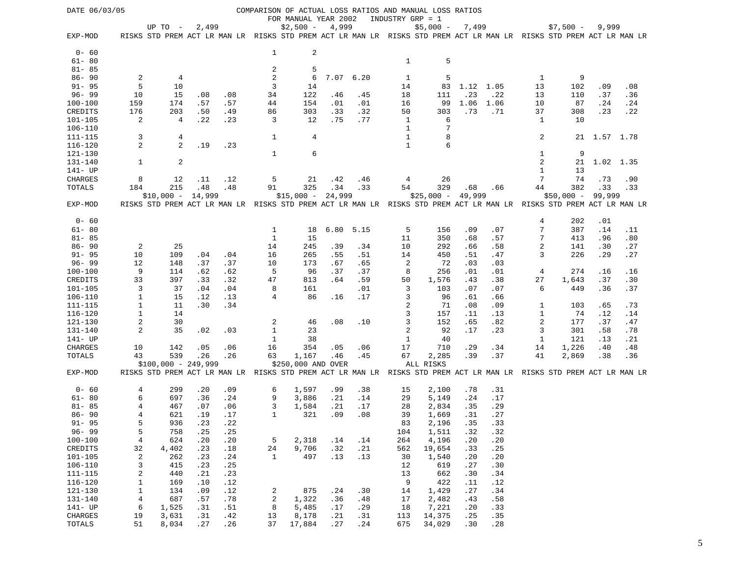| DATE 06/03/05              |                |                      |            |      |              |                      |            |            |                  | COMPARISON OF ACTUAL LOSS RATIOS AND MANUAL LOSS RATIOS                                                             |            |            |                   |             |              |            |
|----------------------------|----------------|----------------------|------------|------|--------------|----------------------|------------|------------|------------------|---------------------------------------------------------------------------------------------------------------------|------------|------------|-------------------|-------------|--------------|------------|
|                            |                |                      |            |      |              | FOR MANUAL YEAR 2002 |            |            | INDUSTRY GRP = 1 |                                                                                                                     |            |            |                   |             |              |            |
|                            |                | UP TO $-$            | 2,499      |      |              | $$2,500 -$           | 4,999      |            |                  | $$5,000 -$                                                                                                          | 7,499      |            |                   | $$7,500 -$  | 9,999        |            |
| EXP-MOD                    |                |                      |            |      |              |                      |            |            |                  | RISKS STD PREM ACT LR MAN LR RISKS STD PREM ACT LR MAN LR RISKS STD PREM ACT LR MAN LR RISKS STD PREM ACT LR MAN LR |            |            |                   |             |              |            |
|                            |                |                      |            |      |              |                      |            |            |                  |                                                                                                                     |            |            |                   |             |              |            |
| $0 - 60$                   |                |                      |            |      | 1            | 2                    |            |            |                  |                                                                                                                     |            |            |                   |             |              |            |
| $61 - 80$                  |                |                      |            |      |              |                      |            |            | $\mathbf{1}$     | 5                                                                                                                   |            |            |                   |             |              |            |
| $81 - 85$                  |                |                      |            |      | 2            | 5                    |            |            |                  |                                                                                                                     |            |            |                   |             |              |            |
| $86 - 90$                  | $\overline{c}$ | 4                    |            |      | 2            | 6                    | 7.07       | 6.20       | 1                | 5                                                                                                                   |            |            | 1                 | 9           |              |            |
| $91 - 95$                  | 5              | 10                   |            |      | 3            | 14                   |            |            | 14               | 83                                                                                                                  | 1.12 1.05  |            | 13                | 102         | .09          | .08        |
| $96 - 99$                  | 10             | 15                   | .08        | .08  | 34           | 122                  | .46        | .45        | 18               | 111                                                                                                                 | .23        | .22        | 13                | 110         | .37          | .36        |
| $100 - 100$                | 159            | 174                  | .57        | .57  | 44           | 154                  | .01        | .01        | 16               | 99                                                                                                                  | 1.06       | 1.06       | 10                | 87          | .24          | .24        |
| CREDITS                    | 176            | 203                  | .50        | .49  | 86           | 303                  | .33        | .32        | 50               | 303                                                                                                                 | .73        | .71        | 37                | 308         | .23          | .22        |
| $101 - 105$                | 2              | 4                    | .22        | .23  | 3            | 12                   | .75        | .77        | 1                | 6                                                                                                                   |            |            | 1                 | 10          |              |            |
| $106 - 110$                |                |                      |            |      |              |                      |            |            | $\mathbf{1}$     | 7                                                                                                                   |            |            |                   |             |              |            |
| 111-115                    | 3              | 4                    |            |      | 1            | 4                    |            |            | $\mathbf{1}$     | 8                                                                                                                   |            |            | 2                 |             | 21 1.57 1.78 |            |
| $116 - 120$                | 2              | 2                    | .19        | .23  |              |                      |            |            | $\mathbf{1}$     | 6                                                                                                                   |            |            |                   |             |              |            |
| 121-130                    |                |                      |            |      | 1            | 6                    |            |            |                  |                                                                                                                     |            |            | 1                 | 9           |              |            |
| 131-140                    | $\mathbf{1}$   | $\overline{2}$       |            |      |              |                      |            |            |                  |                                                                                                                     |            |            | 2                 | 21          | 1.02 1.35    |            |
| 141- UP                    |                |                      |            |      |              |                      |            |            |                  |                                                                                                                     |            |            | 1                 | 13          |              |            |
| CHARGES                    | 8              | 12                   | .11        | .12  | 5            | 21                   | .42        | .46        | 4                | 26                                                                                                                  |            |            | 7                 | 74          | .73          | .90        |
| TOTALS                     | 184            | 215                  | .48        | .48  | 91           | 325                  | .34        | .33        | 54               | 329                                                                                                                 | .68        | .66        | 44                | 382         | .33          | .33        |
|                            |                | $$10,000 - 14,999$   |            |      |              | $$15,000 -$          | 24,999     |            |                  | $$25,000 -$                                                                                                         | 49,999     |            |                   | $$50,000 -$ | 99,999       |            |
| EXP-MOD                    |                |                      |            |      |              |                      |            |            |                  | RISKS STD PREM ACT LR MAN LR RISKS STD PREM ACT LR MAN LR RISKS STD PREM ACT LR MAN LR RISKS STD PREM ACT LR MAN LR |            |            |                   |             |              |            |
|                            |                |                      |            |      |              |                      |            |            |                  |                                                                                                                     |            |            |                   |             |              |            |
| $0 - 60$                   |                |                      |            |      |              |                      |            |            |                  |                                                                                                                     |            |            | 4                 | 202         | .01          |            |
| $61 - 80$                  |                |                      |            |      | 1            | 18                   | 6.80       | 5.15       | 5                | 156                                                                                                                 | .09        | .07        | 7                 | 387         | .14          | .11        |
| $81 - 85$                  |                |                      |            |      | $\mathbf{1}$ | 15                   |            |            | 11               | 350                                                                                                                 | .68        | .57        | 7                 | 413         | .96          | .80        |
| $86 - 90$                  | $\overline{c}$ | 25                   |            |      | 14           | 245                  | .39        | .34        | 10               | 292                                                                                                                 | .66        | .58        | 2                 | 141         | .30          | .27        |
| $91 - 95$                  | 10             | 109                  | .04        | .04  | 16           | 265                  | .55        | .51        | 14               | 450                                                                                                                 | .51        | .47        | 3                 | 226         | .29          | .27        |
| $96 - 99$                  | 12             | 148                  | .37        | .37  | 10           | 173                  | .67        | .65        | 2                | 72                                                                                                                  | .03        | .03        |                   |             |              |            |
| $100 - 100$                | 9              | 114                  | .62        | .62  | 5            | 96                   | .37<br>.64 | .37        | 8                | 256                                                                                                                 | .01        | .01        | 4                 | 274         | .16          | .16        |
| CREDITS                    | 33<br>3        | 397                  | .33        | .32  | 47           | 813                  |            | .59        | 50<br>3          | 1,576                                                                                                               | .43        | .38        | 27<br>6           | 1,643       | .37<br>.36   | .30        |
| $101 - 105$<br>$106 - 110$ | $\mathbf{1}$   | 37<br>15             | .04<br>.12 | .04  | 8<br>4       | 161<br>86            | .16        | .01<br>.17 | 3                | 103<br>96                                                                                                           | .07        | .07        |                   | 449         |              | .37        |
|                            | $\mathbf{1}$   |                      | .30        | .13  |              |                      |            |            | 2                |                                                                                                                     | .61        | .66        |                   |             |              |            |
| 111-115<br>$116 - 120$     | $1\,$          | 11<br>14             |            | .34  |              |                      |            |            | 3                | 71<br>157                                                                                                           | .08        | .09        | 1<br>$\mathbf{1}$ | 103<br>74   | .65          | .73        |
| 121-130                    | $\sqrt{2}$     | 30                   |            |      | 2            |                      | .08        | .10        | 3                | 152                                                                                                                 | .11<br>.65 | .13<br>.82 | 2                 | 177         | .12<br>.37   | .14<br>.47 |
| 131-140                    | 2              | 35                   | .02        | .03  | $\mathbf{1}$ | 46<br>23             |            |            | $\overline{c}$   | 92                                                                                                                  | .17        | .23        | 3                 | 301         | .58          | .78        |
| 141- UP                    |                |                      |            |      | 1            |                      |            |            | 1                | 40                                                                                                                  |            |            | 1                 | 121         |              |            |
| CHARGES                    | 10             | 142                  | .05        | .06  | 16           | 38<br>354            | .05        | .06        | 17               | 710                                                                                                                 | .29        | .34        | 14                | 1,226       | .13<br>.40   | .21<br>.48 |
| TOTALS                     | 43             | 539                  | .26        | .26  | 63           | 1,167                | .46        | .45        | 67               | 2,285                                                                                                               | .39        | .37        | 41                | 2,869       | .38          | .36        |
|                            |                | $$100,000 - 249,999$ |            |      |              | \$250,000 AND OVER   |            |            |                  | ALL RISKS                                                                                                           |            |            |                   |             |              |            |
| EXP-MOD                    |                |                      |            |      |              |                      |            |            |                  | RISKS STD PREM ACT LR MAN LR RISKS STD PREM ACT LR MAN LR RISKS STD PREM ACT LR MAN LR RISKS STD PREM ACT LR MAN LR |            |            |                   |             |              |            |
|                            |                |                      |            |      |              |                      |            |            |                  |                                                                                                                     |            |            |                   |             |              |            |
| $0 - 60$                   | 4              | 299                  | .20        | .09  | 6            | 1,597                | .99        | .38        | 15               | 2,100                                                                                                               | .78        | .31        |                   |             |              |            |
| $61 - 80$                  | 6              | 697                  | .36        | .24  | 9            | 3,886                | .21        | .14        | 29               | 5,149                                                                                                               | .24        | .17        |                   |             |              |            |
| $81 - 85$                  | 4              | 467                  | .07        | .06  | 3            | 1,584                | .21        | .17        | 28               | 2,834                                                                                                               | .35        | .29        |                   |             |              |            |
| $86 - 90$                  | 4              | 621                  | .19        | .17  | $\mathbf{1}$ | 321                  | .09        | .08        | 39               | 1,669                                                                                                               | .31        | .27        |                   |             |              |            |
| $91 - 95$                  | 5              | 936                  | .23        | . 22 |              |                      |            |            | 83               | 2,196                                                                                                               | .35        | .33        |                   |             |              |            |
| $96 - 99$                  | 5              | 758                  | .25        | .25  |              |                      |            |            | 104              | 1,511                                                                                                               | .32        | .32        |                   |             |              |            |
| $100 - 100$                | $\overline{4}$ | 624                  | .20        | .20  | 5            | 2,318                | .14        | .14        | 264              | 4,196                                                                                                               | .20        | .20        |                   |             |              |            |
| CREDITS                    | 32             | 4,402                | .23        | .18  | 24           | 9,706                | .32        | .21        | 562              | 19,654                                                                                                              | .33        | .25        |                   |             |              |            |
| 101-105                    | 2              | 262                  | .23        | .24  | $\mathbf{1}$ | 497                  | .13        | .13        | 30               | 1,540                                                                                                               | .20        | .20        |                   |             |              |            |
| $106 - 110$                | 3              | 415                  | .23        | .25  |              |                      |            |            | 12               | 619                                                                                                                 | .27        | .30        |                   |             |              |            |
| 111-115                    | 2              | 440                  | .21        | .23  |              |                      |            |            | 13               | 662                                                                                                                 | .30        | .34        |                   |             |              |            |
| $116 - 120$                | $\mathbf{1}$   | 169                  | .10        | .12  |              |                      |            |            | 9                | 422                                                                                                                 | .11        | .12        |                   |             |              |            |
| 121-130                    | $\mathbf{1}$   | 134                  | .09        | .12  | 2            | 875                  | .24        | .30        | 14               | 1,429                                                                                                               | .27        | .34        |                   |             |              |            |
| 131-140                    | $\overline{4}$ | 687                  | .57        | .78  | 2            | 1,322                | .36        | .48        | 17               | 2,482                                                                                                               | .43        | .58        |                   |             |              |            |
| 141- UP                    | 6              | 1,525                | .31        | .51  | 8            | 5,485                | .17        | .29        | 18               | 7,221                                                                                                               | .20        | .33        |                   |             |              |            |
| CHARGES                    | 19             | 3,631                | .31        | .42  | 13           | 8,178                | . 21       | .31        | 113              | 14,375                                                                                                              | .25        | .35        |                   |             |              |            |
| TOTALS                     | 51             | 8,034                | .27        | .26  | 37           | 17,884               | .27        | .24        | 675              | 34,029                                                                                                              | .30        | .28        |                   |             |              |            |
|                            |                |                      |            |      |              |                      |            |            |                  |                                                                                                                     |            |            |                   |             |              |            |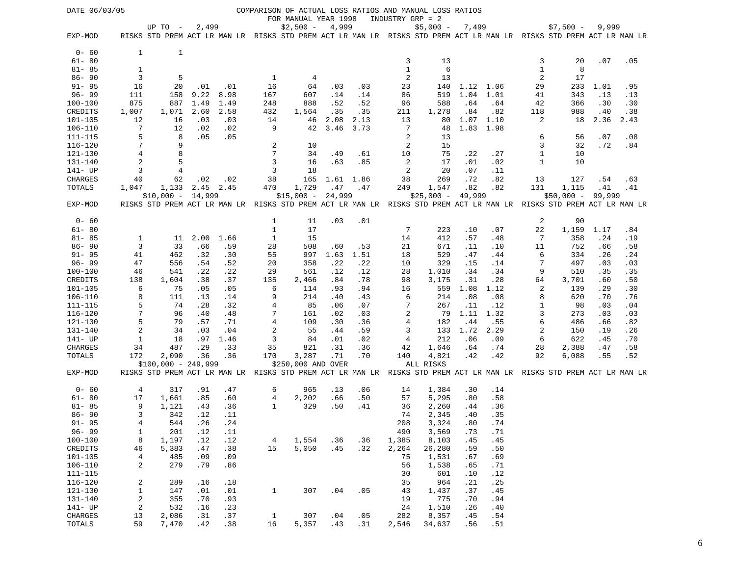| DATE 06/03/05            |                   |                                                                                                                                    |            |            |                |                                    |            |            | INDUSTRY GRP = 2 | COMPARISON OF ACTUAL LOSS RATIOS AND MANUAL LOSS RATIOS |            |            |              |             |            |            |
|--------------------------|-------------------|------------------------------------------------------------------------------------------------------------------------------------|------------|------------|----------------|------------------------------------|------------|------------|------------------|---------------------------------------------------------|------------|------------|--------------|-------------|------------|------------|
|                          |                   | UP TO -                                                                                                                            | 2,499      |            |                | FOR MANUAL YEAR 1998<br>$$2,500 -$ | 4,999      |            |                  | $$5,000 -$                                              | 7,499      |            |              | $$7,500 -$  | 9,999      |            |
| EXP-MOD                  |                   | RISKS STD PREM ACT LR MAN LR RISKS STD PREM ACT LR MAN LR RISKS STD PREM ACT LR MAN LR RISKS STD PREM ACT LR MAN LR                |            |            |                |                                    |            |            |                  |                                                         |            |            |              |             |            |            |
| $0 - 60$                 | 1                 | 1                                                                                                                                  |            |            |                |                                    |            |            |                  |                                                         |            |            |              |             |            |            |
| $61 - 80$                |                   |                                                                                                                                    |            |            |                |                                    |            |            | 3                | 13                                                      |            |            | 3            | 20          | .07        | .05        |
| $81 - 85$                | 1                 |                                                                                                                                    |            |            |                |                                    |            |            | $\mathbf{1}$     | 6                                                       |            |            | 1            | 8           |            |            |
| $86 - 90$                | 3                 | 5                                                                                                                                  |            |            | 1              | 4                                  |            |            | 2                | 13                                                      |            |            | 2            | 17          |            |            |
| $91 - 95$                | 16                | 20                                                                                                                                 | .01        | .01        | 16             | 64                                 | .03        | .03        | 23               | 140                                                     | 1.12 1.06  |            | 29           | 233         | 1.01       | .95        |
| $96 - 99$                | 111               | 158                                                                                                                                | 9.22       | 8.98       | 167            | 607                                | .14        | .14        | 86               | 519                                                     | 1.04       | 1.01       | 41           | 343         | .13        | .13        |
| $100 - 100$              | 875               | 887                                                                                                                                | 1.49       | 1.49       | 248            | 888                                | .52        | .52        | 96               | 588                                                     | .64        | .64        | 42           | 366         | .30        | .30        |
| CREDITS                  | 1,007             | 1,071                                                                                                                              | 2.60       | 2.58       | 432            | 1,564                              | .35        | .35        | 211              | 1,278                                                   | .84        | .82        | 118          | 988         | .40        | .38        |
| $101 - 105$              | 12                | 16                                                                                                                                 | .03        | .03        | 14             | 46                                 | 2.08       | 2.13       | 13               | 80                                                      | 1.07       | 1.10       | 2            | 18          | 2.36       | 2.43       |
| $106 - 110$              | 7                 | 12                                                                                                                                 | .02        | .02        | 9              | 42                                 | 3.46       | 3.73       | 7                | 48                                                      | 1.83       | 1.98       |              |             |            |            |
| $111 - 115$              | 5                 | 8                                                                                                                                  | .05        | .05        |                |                                    |            |            | 2                | 13                                                      |            |            | 6            | 56          | .07        | .08        |
| $116 - 120$              | 7                 | 9                                                                                                                                  |            |            | 2              | 10                                 |            |            | $\overline{c}$   | 15                                                      |            |            | 3            | 32          | .72        | .84        |
| 121-130                  | $\overline{4}$    | 8                                                                                                                                  |            |            | 7              | 34                                 | .49        | .61        | 10               | 75                                                      | .22        | .27        | 1            | 10          |            |            |
| $131 - 140$              | $\overline{a}$    | 5                                                                                                                                  |            |            | 3              | 16                                 | .63        | .85        | 2                | 17                                                      | .01        | .02        | $\mathbf{1}$ | 10          |            |            |
| 141- UP                  | 3                 | 4                                                                                                                                  |            |            | 3              | 18                                 |            |            | 2                | 20                                                      | .07        | .11        |              |             |            |            |
| CHARGES                  | 40                | 62                                                                                                                                 | .02        | .02        | 38             | 165                                | 1.61 1.86  |            | 38               | 269                                                     | .72        | .82        | 13           | 127         | .54        | .63        |
| TOTALS                   | 1,047             | 1,133                                                                                                                              |            | 2.45 2.45  | 470            | 1,729                              | .47        | .47        | 249              | 1,547                                                   | .82        | .82        | 131          | 1,115       | .41        | .41        |
| EXP-MOD                  |                   | $$10,000 -$<br>RISKS STD PREM ACT LR MAN LR RISKS STD PREM ACT LR MAN LR RISKS STD PREM ACT LR MAN LR RISKS STD PREM ACT LR MAN LR | 14,999     |            |                | $$15,000 -$                        | 24,999     |            |                  | $$25,000 -$                                             | 49,999     |            |              | $$50,000 -$ | 99,999     |            |
|                          |                   |                                                                                                                                    |            |            |                |                                    |            |            |                  |                                                         |            |            |              |             |            |            |
| $0 - 60$                 |                   |                                                                                                                                    |            |            | 1              | 11                                 | .03        | .01        |                  |                                                         |            |            | 2            | 90          |            |            |
| $61 - 80$                |                   |                                                                                                                                    |            |            | $\mathbf{1}$   | 17                                 |            |            | 7                | 223                                                     | .10        | .07        | 22           | 1,159       | 1.17       | .84        |
| $81 - 85$                | 1                 | 11                                                                                                                                 | 2.00       | 1.66       | 1              | 15                                 |            |            | 14               | 412                                                     | .57        | .48        | 7            | 358         | .24        | .19        |
| $86 - 90$                | 3                 | 33                                                                                                                                 | .66        | .59        | 28             | 508                                | .60        | .53        | 21               | 671                                                     | .11        | .10        | 11           | 752         | .66        | .58        |
| $91 - 95$                | 41                | 462                                                                                                                                | .32        | .30        | 55             | 997                                | 1.63       | 1.51       | 18               | 529                                                     | .47        | .44        | 6<br>7       | 334         | .26        | .24        |
| $96 - 99$<br>$100 - 100$ | 47<br>46          | 556<br>541                                                                                                                         | .54        | .52<br>.22 | 20             | 358<br>561                         | .22        | .22        | 10<br>28         | 329                                                     | .15        | .14        | 9            | 497<br>510  | .03        | .03        |
| CREDITS                  | 138               | 1,604                                                                                                                              | .22<br>.38 | .37        | 29<br>135      | 2,466                              | .12<br>.84 | .12<br>.78 | 98               | 1,010<br>3,175                                          | .34<br>.31 | .34<br>.28 | 64           | 3,701       | .35<br>.60 | .35<br>.50 |
| $101 - 105$              | 6                 | 75                                                                                                                                 | .05        | .05        | 6              | 114                                | .93        | .94        | 16               | 559                                                     | 1.08       | 1.12       | 2            | 139         | .29        | .30        |
| 106-110                  | 8                 | 111                                                                                                                                | .13        | .14        | 9              | 214                                | .40        | .43        | 6                | 214                                                     | .08        | .08        | 8            | 620         | .70        | .76        |
| $111 - 115$              | 5                 | 74                                                                                                                                 | .28        | .32        | 4              | 85                                 | .06        | .07        | 7                | 267                                                     | .11        | .12        | 1            | 98          | .03        | .04        |
| $116 - 120$              | 7                 | 96                                                                                                                                 | .40        | .48        | 7              | 161                                | .02        | .03        | $\overline{2}$   | 79                                                      | 1.11       | 1.32       | 3            | 273         | .03        | .03        |
| 121-130                  | 5                 | 79                                                                                                                                 | .57        | .71        | 4              | 109                                | .30        | .36        | 4                | 182                                                     | .44        | .55        | 6            | 486         | .66        | .82        |
| 131-140                  | $\overline{c}$    | 34                                                                                                                                 | .03        | .04        | $\overline{c}$ | 55                                 | .44        | .59        | 3                | 133                                                     | 1.72       | 2.29       | 2            | 150         | .19        | .26        |
| 141- UP                  | 1                 | 18                                                                                                                                 | .97        | 1.46       | 3              | 84                                 | .01        | .02        | 4                | 212                                                     | .06        | .09        | 6            | 622         | .45        | .70        |
| CHARGES                  | 34                | 487                                                                                                                                | . 29       | .33        | 35             | 821                                | .31        | .36        | 42               | 1,646                                                   | .64        | .74        | 28           | 2,388       | .47        | .58        |
| TOTALS                   | 172               | 2,090                                                                                                                              | .36        | .36        | 170            | 3,287                              | .71        | .70        | 140              | 4,821                                                   | .42        | .42        | 92           | 6,088       | .55        | .52        |
|                          |                   | $$100,000 - 249,999$                                                                                                               |            |            |                | \$250,000 AND OVER                 |            |            |                  | ALL RISKS                                               |            |            |              |             |            |            |
| EXP-MOD                  |                   | RISKS STD PREM ACT LR MAN LR RISKS STD PREM ACT LR MAN LR RISKS STD PREM ACT LR MAN LR RISKS STD PREM ACT LR MAN LR                |            |            |                |                                    |            |            |                  |                                                         |            |            |              |             |            |            |
| $0 - 60$                 | 4                 | 317                                                                                                                                | .91        | .47        | 6              | 965                                | .13        | .06        | 14               | 1,384                                                   | .30        | .14        |              |             |            |            |
| $61 - 80$                | 17                | 1,661                                                                                                                              | .85        | .60        | 4              | 2,202                              | .66        | .50        | 57               | 5,295                                                   | .80        | .58        |              |             |            |            |
| $81 - 85$                | 9                 | 1,121                                                                                                                              | .43        | .36        | 1              | 329                                | .50        | .41        | 36               | 2,260                                                   | .44        | .36        |              |             |            |            |
| $86 - 90$                | 3                 | 342                                                                                                                                | .12        | .11        |                |                                    |            |            | 74               | 2,345                                                   | .40        | .35        |              |             |            |            |
| $91 - 95$<br>$96 - 99$   | 4                 | 544                                                                                                                                | .26        | .24        |                |                                    |            |            | 208              | 3,324                                                   | .80        | .74        |              |             |            |            |
| $100 - 100$              | $\mathbf{1}$<br>8 | 201<br>1,197                                                                                                                       | .12<br>.12 | .11<br>.12 | $\overline{4}$ | 1,554                              | .36        | .36        | 490<br>1,385     | 3,569<br>8,103                                          | .73<br>.45 | .71<br>.45 |              |             |            |            |
| CREDITS                  | 46                | 5,383                                                                                                                              | .47        | .38        | 15             | 5,050                              | .45        | .32        | 2,264            | 26,280                                                  | .59        | .50        |              |             |            |            |
| $101 - 105$              | 4                 | 485                                                                                                                                | .09        | .09        |                |                                    |            |            | 75               | 1,531                                                   | .67        | .69        |              |             |            |            |
| $106 - 110$              | 2                 | 279                                                                                                                                | .79        | .86        |                |                                    |            |            | 56               | 1,538                                                   | .65        | .71        |              |             |            |            |
| $111 - 115$              |                   |                                                                                                                                    |            |            |                |                                    |            |            | 30               | 601                                                     | .10        | .12        |              |             |            |            |
| $116 - 120$              | $\boldsymbol{2}$  | 289                                                                                                                                | .16        | .18        |                |                                    |            |            | 35               | 964                                                     | .21        | .25        |              |             |            |            |
| 121-130                  | $\mathbf{1}$      | 147                                                                                                                                | .01        | .01        | $\mathbf{1}$   | 307                                | .04        | .05        | 43               | 1,437                                                   | .37        | .45        |              |             |            |            |
| 131-140                  | $\overline{a}$    | 355                                                                                                                                | .70        | .93        |                |                                    |            |            | 19               | 775                                                     | .70        | .94        |              |             |            |            |
| 141- UP                  | $\overline{a}$    | 532                                                                                                                                | .16        | .23        |                |                                    |            |            | 24               | 1,510                                                   | .26        | .40        |              |             |            |            |
| CHARGES                  | 13                | 2,086                                                                                                                              | .31        | .37        | 1              | 307                                | .04        | .05        | 282              | 8,357                                                   | .45        | .54        |              |             |            |            |
| TOTALS                   | 59                | 7,470                                                                                                                              | .42        | .38        | 16             | 5,357                              | .43        | .31        | 2,546            | 34,637                                                  | .56        | .51        |              |             |            |            |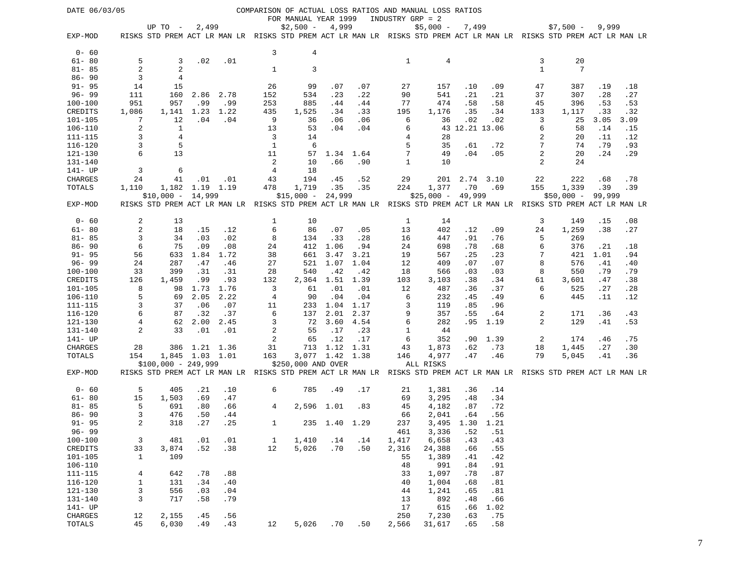| DATE 06/03/05          |                |                      |                 |      |                |                      |                 |      |              | COMPARISON OF ACTUAL LOSS RATIOS AND MANUAL LOSS RATIOS                                                             |                 |           |              |             |        |      |
|------------------------|----------------|----------------------|-----------------|------|----------------|----------------------|-----------------|------|--------------|---------------------------------------------------------------------------------------------------------------------|-----------------|-----------|--------------|-------------|--------|------|
|                        |                |                      |                 |      |                | FOR MANUAL YEAR 1999 |                 |      |              | INDUSTRY GRP = 2                                                                                                    |                 |           |              |             |        |      |
|                        |                | UP TO $-$            | 2,499           |      |                | $$2,500 -$           | 4,999           |      |              | $$5,000 -$                                                                                                          | 7,499           |           |              | $$7,500 -$  | 9,999  |      |
| EXP-MOD                |                |                      |                 |      |                |                      |                 |      |              | RISKS STD PREM ACT LR MAN LR RISKS STD PREM ACT LR MAN LR RISKS STD PREM ACT LR MAN LR RISKS STD PREM ACT LR MAN LR |                 |           |              |             |        |      |
|                        |                |                      |                 |      |                |                      |                 |      |              |                                                                                                                     |                 |           |              |             |        |      |
| $0 - 60$               |                |                      |                 |      | 3              | 4                    |                 |      |              |                                                                                                                     |                 |           |              |             |        |      |
| $61 - 80$              | 5              | 3                    | .02             | .01  |                |                      |                 |      | 1            | 4                                                                                                                   |                 |           | 3            | 20          |        |      |
| $81 - 85$              | 2              | 2                    |                 |      | 1              | 3                    |                 |      |              |                                                                                                                     |                 |           | $\mathbf{1}$ | 7           |        |      |
| $86 - 90$              | 3              | 4                    |                 |      |                |                      |                 |      |              |                                                                                                                     |                 |           |              |             |        |      |
| $91 - 95$              | 14             | 15                   |                 |      | 26             | 99                   | .07             | .07  | 27           | 157                                                                                                                 | .10             | .09       | 47           | 387         | .19    | .18  |
| $96 - 99$              | 111            | 160                  | 2.86            | 2.78 | 152            | 534                  | .23             | .22  | 90           | 541                                                                                                                 | .21             | .21       | 37           | 307         | .28    | .27  |
| $100 - 100$            | 951            | 957                  | .99             | .99  | 253            | 885                  | .44             | .44  | 77           | 474                                                                                                                 | .58             | .58       | 45           | 396         | .53    | .53  |
| <b>CREDITS</b>         | 1,086          | 1,141                | 1.23            | 1.22 | 435            | 1,525                | .34             | .33  | 195          | 1,176                                                                                                               | .35             | .34       | 133          | 1,117       | .33    | .32  |
| $101 - 105$            | 7              | 12                   | .04             | .04  | 9              | 36                   | .06             | .06  | 6            | 36                                                                                                                  | .02             | .02       | 3            | 25          | 3.05   | 3.09 |
| 106-110                | 2              | $\mathbf{1}$         |                 |      | 13             | 53                   | .04             | .04  | 6            |                                                                                                                     | 43 12.21 13.06  |           | 6            | 58          | .14    | .15  |
| 111-115                | 3              | 4                    |                 |      | 3              | 14                   |                 |      | 4            | 28                                                                                                                  |                 |           | 2            | 20          | .11    | .12  |
| $116 - 120$            | 3              | 5                    |                 |      | $\mathbf{1}$   | 6                    |                 |      | 5            | 35                                                                                                                  | .61             | .72       | 7            | 74          | .79    | .93  |
| 121-130                | 6              | 13                   |                 |      | 11             | 57                   |                 |      | 7            | 49                                                                                                                  | .04             | .05       | 2            | 20          | .24    | .29  |
|                        |                |                      |                 |      | $\overline{a}$ |                      | 1.34 1.64       |      |              |                                                                                                                     |                 |           |              |             |        |      |
| 131-140                |                |                      |                 |      |                | 10                   | .66             | .90  | $\mathbf{1}$ | 10                                                                                                                  |                 |           | 2            | 24          |        |      |
| 141- UP                | $\overline{3}$ | 6                    |                 |      | $\overline{4}$ | 18                   |                 |      |              |                                                                                                                     |                 |           |              |             |        |      |
| <b>CHARGES</b>         | 24             | 41                   | .01             | .01  | 43             | 194                  | .45             | .52  | 29           | 201                                                                                                                 |                 | 2.74 3.10 | 22           | 222         | .68    | .78  |
| TOTALS                 | 1,110          |                      | 1,182 1.19 1.19 |      | 478            | 1,719                | .35             | .35  | 224          | 1,377                                                                                                               | .70             | .69       | 155          | 1,339       | .39    | .39  |
|                        |                | $$10,000 - 14,999$   |                 |      |                | $$15,000 -$          | 24,999          |      |              | $$25,000 - 49,999$                                                                                                  |                 |           |              | $$50,000 -$ | 99,999 |      |
| EXP-MOD                |                |                      |                 |      |                |                      |                 |      |              | RISKS STD PREM ACT LR MAN LR RISKS STD PREM ACT LR MAN LR RISKS STD PREM ACT LR MAN LR RISKS STD PREM ACT LR MAN LR |                 |           |              |             |        |      |
|                        |                |                      |                 |      |                |                      |                 |      |              |                                                                                                                     |                 |           |              |             |        |      |
| $0 - 60$               | 2              | 13                   |                 |      | 1              | 10                   |                 |      | 1            | 14                                                                                                                  |                 |           | 3            | 149         | .15    | .08  |
| $61 - 80$              | $\overline{c}$ | 18                   | .15             | .12  | 6              | 86                   | .07             | .05  | 13           | 402                                                                                                                 | .12             | .09       | 24           | 1,259       | .38    | .27  |
| $81 - 85$              | 3              | 34                   | .03             | .02  | 8              | 134                  | .33             | .28  | 16           | 447                                                                                                                 | .91             | .76       | 5            | 269         |        |      |
| $86 - 90$              | 6              | 75                   | .09             | .08  | 24             | 412                  | 1.06            | .94  | 24           | 698                                                                                                                 | .78             | .68       | 6            | 376         | .21    | .18  |
| $91 - 95$              | 56             | 633                  | 1.84            | 1.72 | 38             | 661                  | 3.47            | 3.21 | 19           | 567                                                                                                                 | .25             | .23       | 7            | 421         | 1.01   | .94  |
| $96 - 99$              | 24             | 287                  | .47             | .46  | 27             | 521                  | 1.07            | 1.04 | 12           | 409                                                                                                                 | .07             | .07       | 8            | 576         | .41    | .40  |
| $100 - 100$            | 33             | 399                  | .31             | .31  | 28             | 540                  | .42             | .42  | 18           | 566                                                                                                                 | .03             | .03       | 8            | 550         | .79    | .79  |
| CREDITS                | 126            | 1,459                | .99             | .93  | 132            | 2,364                | 1.51            | 1.39 | 103          | 3,103                                                                                                               | .38             | .34       | 61           | 3,601       | .47    | .38  |
| 101-105                | 8              | 98                   | 1.73            | 1.76 | 3              | 61                   | .01             | .01  | 12           | 487                                                                                                                 | .36             | .37       | 6            | 525         | .27    | .28  |
| 106-110                | 5              | 69                   | 2.05            | 2.22 | 4              | 90                   | .04             | .04  | 6            | 232                                                                                                                 | .45             | .49       | 6            | 445         | .11    | .12  |
| 111-115                | 3              | 37                   | .06             | .07  | 11             | 233                  | 1.04 1.17       |      | 3            | 119                                                                                                                 | .85             | .96       |              |             |        |      |
| 116-120                | 6              | 87                   | .32             | .37  | 6              | 137                  | 2.01            | 2.37 | 9            | 357                                                                                                                 | .55             | .64       | 2            | 171         | .36    | .43  |
| 121-130                | $\overline{4}$ | 62                   | 2.00            | 2.45 | 3              | 72                   | 3.60            | 4.54 | 6            | 282                                                                                                                 | .95             | 1.19      | 2            | 129         | .41    | .53  |
| 131-140                | 2              | 33                   | .01             | .01  | $\overline{a}$ | 55                   | .17             | .23  | $\mathbf{1}$ | 44                                                                                                                  |                 |           |              |             |        |      |
| 141- UP                |                |                      |                 |      | 2              | 65                   | .12             | .17  | 6            | 352                                                                                                                 | .90             | 1.39      | 2            | 174         | .46    | .75  |
| CHARGES                | 28             |                      | 386 1.21 1.36   |      | 31             | 713                  | 1.12 1.31       |      | 43           | 1,873                                                                                                               | .62             | .73       | 18           | 1,445       | .27    | .30  |
| TOTALS                 | 154            |                      | 1,845 1.03 1.01 |      | 163            |                      | 3,077 1.42 1.38 |      | 146          | 4,977                                                                                                               | .47             | .46       | 79           | 5,045       | .41    | .36  |
|                        |                | $$100,000 - 249,999$ |                 |      |                | \$250,000 AND OVER   |                 |      |              | ALL RISKS                                                                                                           |                 |           |              |             |        |      |
| EXP-MOD                |                |                      |                 |      |                |                      |                 |      |              | RISKS STD PREM ACT LR MAN LR RISKS STD PREM ACT LR MAN LR RISKS STD PREM ACT LR MAN LR RISKS STD PREM ACT LR MAN LR |                 |           |              |             |        |      |
|                        |                |                      |                 |      |                |                      |                 |      |              |                                                                                                                     |                 |           |              |             |        |      |
| $0 - 60$               | 5              | 405                  | .21             | .10  | 6              | 785                  | .49             | .17  | 21           | 1,381                                                                                                               | .36             | .14       |              |             |        |      |
| $61 - 80$              | 15             | 1,503                | .69             | .47  |                |                      |                 |      | 69           | 3,295                                                                                                               | .48             | .34       |              |             |        |      |
| $81 - 85$              | 5              | 691                  | .80             | .66  | 4              | 2,596 1.01           |                 | .83  | 45           | 4,182                                                                                                               | .87             | .72       |              |             |        |      |
|                        | 3              |                      |                 |      |                |                      |                 |      |              |                                                                                                                     |                 |           |              |             |        |      |
| $86 - 90$<br>$91 - 95$ |                | 476                  | .50<br>.27      | .44  |                |                      |                 |      | 66           | 2,041                                                                                                               | .64             | .56       |              |             |        |      |
|                        | 2              | 318                  |                 | .25  | 1              |                      | 235 1.40 1.29   |      | 237          |                                                                                                                     | 3,495 1.30 1.21 |           |              |             |        |      |
| $96 - 99$              |                |                      |                 |      |                |                      |                 |      | 461          | 3,336                                                                                                               | .52             | .51       |              |             |        |      |
| $100 - 100$            | 3              | 481                  | .01             | .01  | $\mathbf{1}$   | 1,410                | .14             | .14  | 1,417        | 6,658                                                                                                               | .43             | .43       |              |             |        |      |
| CREDITS                | 33             | 3,874                | .52             | .38  | 12             | 5,026                | .70             | .50  | 2,316        | 24,388                                                                                                              | .66             | .55       |              |             |        |      |
| $101 - 105$            | 1              | 109                  |                 |      |                |                      |                 |      | 55           | 1,389                                                                                                               | .41             | .42       |              |             |        |      |
| $106 - 110$            |                |                      |                 |      |                |                      |                 |      | 48           | 991                                                                                                                 | .84             | .91       |              |             |        |      |
| $111 - 115$            | $\overline{4}$ | 642                  | .78             | .88  |                |                      |                 |      | 33           | 1,097                                                                                                               | .78             | .87       |              |             |        |      |
| 116-120                | $1\,$          | 131                  | .34             | .40  |                |                      |                 |      | 40           | 1,004                                                                                                               | .68             | .81       |              |             |        |      |
| $121 - 130$            | 3              | 556                  | .03             | .04  |                |                      |                 |      | 44           | 1,241                                                                                                               | .65             | .81       |              |             |        |      |
| $131 - 140$            | $\mathbf{3}$   | 717                  | .58             | .79  |                |                      |                 |      | 13           | 892                                                                                                                 | .48             | .66       |              |             |        |      |
| 141- UP                |                |                      |                 |      |                |                      |                 |      | 17           | 615                                                                                                                 | .66             | 1.02      |              |             |        |      |
| CHARGES                | 12             | 2,155                | .45             | .56  |                |                      |                 |      | 250          | 7,230                                                                                                               | .63             | .75       |              |             |        |      |
| TOTALS                 | 45             | 6,030                | .49             | .43  | 12             | 5,026                | .70             | .50  | 2,566        | 31,617                                                                                                              | .65             | .58       |              |             |        |      |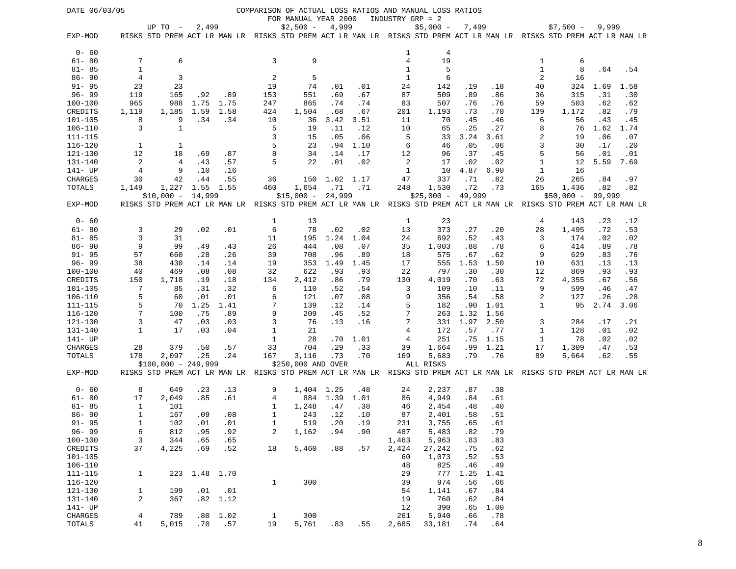| DATE 06/03/05          |                   |                      |               |          |              |                                    |        |      |                | COMPARISON OF ACTUAL LOSS RATIOS AND MANUAL LOSS RATIOS<br>INDUSTRY GRP = 2                                         |            |             |        |             |            |            |
|------------------------|-------------------|----------------------|---------------|----------|--------------|------------------------------------|--------|------|----------------|---------------------------------------------------------------------------------------------------------------------|------------|-------------|--------|-------------|------------|------------|
|                        |                   | UP TO $-$            | 2,499         |          |              | FOR MANUAL YEAR 2000<br>$$2,500 -$ | 4,999  |      |                | $$5,000 -$                                                                                                          | 7,499      |             |        | $$7,500 -$  | 9,999      |            |
| EXP-MOD                |                   |                      |               |          |              |                                    |        |      |                | RISKS STD PREM ACT LR MAN LR RISKS STD PREM ACT LR MAN LR RISKS STD PREM ACT LR MAN LR RISKS STD PREM ACT LR MAN LR |            |             |        |             |            |            |
| $0 - 60$               |                   |                      |               |          |              |                                    |        |      | 1              | 4                                                                                                                   |            |             |        |             |            |            |
| $61 - 80$              | 7                 | 6                    |               |          | 3            | 9                                  |        |      | $\overline{4}$ | 19                                                                                                                  |            |             | 1      | 6           |            |            |
| $81 - 85$              | $\mathbf{1}$      |                      |               |          |              |                                    |        |      | 1              | 5                                                                                                                   |            |             | 1      | 8           | .64        | .54        |
| $86 - 90$              | 4                 | 3                    |               |          | 2            | 5                                  |        |      | 1              | 6                                                                                                                   |            |             | 2      | 16          |            |            |
| $91 - 95$              | 23                | 23                   |               |          | 19           | 74                                 | .01    | .01  | 24             | 142                                                                                                                 | .19        | .18         | 40     | 324         | 1.69       | 1.58       |
| $96 - 99$              | 119               | 165                  | .92           | .89      | 153          | 551                                | .69    | .67  | 87             | 509                                                                                                                 | .89        | .86         | 36     | 315         | .31        | .30        |
| $100 - 100$            | 965               | 988                  | 1.75          | 1.75     | 247          | 865                                | .74    | .74  | 83             | 507                                                                                                                 | .76        | .76         | 59     | 503         | .62        | .62        |
| CREDITS                | 1,119             | 1,185                | 1.59          | 1.58     | 424          | 1,504                              | .68    | .67  | 201            | 1,193                                                                                                               | .73        | .70         | 139    | 1,172       | .82        | .79        |
| $101 - 105$            | 8                 | 9                    | .34           | .34      | 10           | 36                                 | 3.42   | 3.51 | 11             | 70                                                                                                                  | .45        | .46         | 6      | 56          | .43        | .45        |
| $106 - 110$            | 3                 | $\mathbf{1}$         |               |          | 5            | 19                                 | .11    | .12  | 10             | 65                                                                                                                  | .25        | .27         | 8      | 76          | 1.62       | 1.74       |
| 111-115                |                   |                      |               |          | 3            | 15                                 | .05    | .06  | 5              | 33                                                                                                                  | 3.24       | 3.61        | 2      | 19          | .06        | .07        |
| $116 - 120$            | 1                 | 1                    |               |          | 5            | 23                                 | .94    | 1.10 | 6              | 46                                                                                                                  | .05        | .06         | 3      | 30          | .17        | .20        |
| 121-130                | 12                | 18                   | .69           | .87      | 8            | 34                                 | .14    | .17  | 12             | 96                                                                                                                  | .37        | .45         | 5      | 56          | .01        | .01        |
| 131-140                | $\overline{2}$    | 4                    | .43           | .57      | 5            | 22                                 | .01    | .02  | 2              | 17                                                                                                                  | .02        | .02         | 1      | 12          | 5.59       | 7.69       |
| 141- UP                | 4                 | 9                    | .10           | .16      |              |                                    |        |      | 1              | 10                                                                                                                  | 4.87       | 6.90        | 1      | 16          |            |            |
| CHARGES                | 30                | 42                   | .44           | .55      | 36           | 150                                | 1.02   | 1.17 | 47             | 337                                                                                                                 | .71        | .82         | 26     | 265         | .84        | .97        |
| TOTALS                 | 1,149             | 1,227                | 1.55          | 1.55     | 460          | 1,654                              | .71    | .71  | 248            | 1,530                                                                                                               | .72        | .73         | 165    | 1,436       | .82        | .82        |
|                        |                   | $$10,000 -$          | 14,999        |          |              | $$15,000 -$                        | 24,999 |      |                | $$25,000 -$                                                                                                         | 49,999     |             |        | $$50,000 -$ | 99,999     |            |
| EXP-MOD                |                   |                      |               |          |              |                                    |        |      |                | RISKS STD PREM ACT LR MAN LR RISKS STD PREM ACT LR MAN LR RISKS STD PREM ACT LR MAN LR RISKS STD PREM ACT LR MAN LR |            |             |        |             |            |            |
| $0 - 60$               |                   |                      |               |          | 1            | 13                                 |        |      | 1              | 23                                                                                                                  |            |             | 4      | 143         | .23        | .12        |
| $61 - 80$              | 3                 | 29                   | .02           | .01      | 6            | 78                                 | .02    | .02  | 13             | 373                                                                                                                 | .27        | .20         | 28     | 1,495       | .72        | .53        |
| $81 - 85$              | 3                 | 31                   |               |          | 11           | 195                                | 1.24   | 1.04 | 24             | 692                                                                                                                 | .52        | .43         | 3      | 174         | .02        | .02        |
| $86 - 90$              | 9                 | 99                   | .49           | .43      | 26           | 444                                | .08    | .07  | 35             | 1,003                                                                                                               | .88        | .78         | 6      | 414         | .89        | .78        |
| $91 - 95$              | 57                | 660                  | .28           | .26      | 39           | 708                                | .96    | .89  | 18             | 575                                                                                                                 | .67        | .62         | 9      | 629         | .83        | .76        |
| $96 - 99$              | 38                | 430                  | .14           | .14      | 19           | 353                                | 1.49   | 1.45 | 17             | 555                                                                                                                 | 1.53       | 1.50        | 10     | 631         | .13        | .13        |
| $100 - 100$            | 40                | 469                  | .08           | .08      | 32           | 622                                | .93    | .93  | 22             | 797                                                                                                                 | .30        | .30         | 12     | 869         | .93        | .93        |
| CREDITS                | 150               | 1,718                | .19           | .18      | 134          | 2,412                              | .86    | .79  | 130            | 4,019                                                                                                               | .70        | .63         | 72     | 4,355       | .67        | .56        |
| $101 - 105$            | 7                 | 85                   | .31           | .32      | 6            | 110                                | .52    | .54  | 3              | 109                                                                                                                 | .10        | .11         | 9      | 599         | .46        | .47        |
| 106-110                | 5                 | 60                   | .01           | .01      | 6            | 121                                | .07    | .08  | 9              | 356                                                                                                                 | .54        | .58         | 2      | 127         | .26        | .28        |
| 111-115                | 5                 | 70                   | 1.25          | 1.41     | 7            | 139                                | .12    | .14  | 5              | 182                                                                                                                 | .90        | 1.01        | 1      | 95          | 2.74       | 3.06       |
| $116 - 120$            | 7                 | 100                  | .75           | .89      | 9            | 209                                | .45    | .52  | 7<br>7         | 263                                                                                                                 | 1.32       | 1.56        |        |             |            |            |
| 121-130<br>131-140     | 3<br>$\mathbf{1}$ | 47<br>17             | .03<br>.03    | .03      | 3<br>1       | 76                                 | .13    | .16  | 4              | 331                                                                                                                 | 1.97       | 2.50        | 3<br>1 | 284         | .17        | .21        |
| 141- UP                |                   |                      |               | .04      | 1            | 21<br>28                           | .70    | 1.01 | 4              | 172<br>251                                                                                                          | .57<br>.75 | .77<br>1.15 | 1      | 128<br>78   | .01<br>.02 | .02<br>.02 |
| CHARGES                | 28                | 379                  | .50           | .57      | 33           | 704                                | .29    | .33  | 39             | 1,664                                                                                                               | .99        | 1.21        | 17     | 1,309       | .47        | .53        |
| TOTALS                 | 178               | 2,097                | .25           | .24      | 167          | 3,116                              | .73    | .70  | 169            | 5,683                                                                                                               | .79        | .76         | 89     | 5,664       | .62        | .55        |
|                        |                   | $$100,000 - 249,999$ |               |          |              | \$250,000 AND OVER                 |        |      |                | ALL RISKS                                                                                                           |            |             |        |             |            |            |
| EXP-MOD                |                   |                      |               |          |              |                                    |        |      |                | RISKS STD PREM ACT LR MAN LR RISKS STD PREM ACT LR MAN LR RISKS STD PREM ACT LR MAN LR RISKS STD PREM ACT LR MAN LR |            |             |        |             |            |            |
| $0 - 60$               | 8                 | 649                  | .23           | .13      | 9            | 1,404 1.25                         |        | .48  | 24             | 2,237                                                                                                               | .87        | .38         |        |             |            |            |
| $61 - 80$              | 17                | 2,049                | .85           | .61      | 4            | 884                                | 1.39   | 1.01 | 86             | 4,949                                                                                                               | .84        | .61         |        |             |            |            |
| $81 - 85$              | 1                 | 101                  |               |          | 1            | 1,248                              | .47    | .38  | 46             | 2,454                                                                                                               | .48        | .40         |        |             |            |            |
| $86 - 90$              | 1                 | 167                  | .09           | .08      | 1            | 243                                | .12    | .10  | 87             | 2,401                                                                                                               | .58        | .51         |        |             |            |            |
| $91 - 95$              | 1                 | 102                  | .01           | .01      | 1            | 519                                | .20    | .19  | 231            | 3,755                                                                                                               | .65        | .61         |        |             |            |            |
| $96 - 99$              | 6                 | 812                  | .95           | .92      | 2            | 1,162                              | .94    | .90  | 487            | 5,483                                                                                                               | .82        | .79         |        |             |            |            |
| $100 - 100$            | 3<br>37           | 344                  | .65<br>.69    | .65      |              |                                    | .88    |      | 1,463          | 5,963                                                                                                               | .83        | .83         |        |             |            |            |
| CREDITS<br>$101 - 105$ |                   | 4,225                |               | .52      | 18           | 5,460                              |        | .57  | 2,424<br>60    | 27,242                                                                                                              | .75        | .62         |        |             |            |            |
| $106 - 110$            |                   |                      |               |          |              |                                    |        |      | 48             | 1,073<br>825                                                                                                        | .52<br>.46 | .53<br>.49  |        |             |            |            |
| $111 - 115$            | $\mathbf{1}$      |                      | 223 1.48 1.70 |          |              |                                    |        |      | 29             | 777                                                                                                                 | 1.25       | 1.41        |        |             |            |            |
| $116 - 120$            |                   |                      |               |          | $\mathbf{1}$ | 300                                |        |      | 39             | 974                                                                                                                 | .56        | .66         |        |             |            |            |
| $121 - 130$            | $\mathbf{1}$      | 199                  | .01           | .01      |              |                                    |        |      | 54             | 1,141                                                                                                               | .67        | .84         |        |             |            |            |
| 131-140                | 2                 | 367                  |               | .82 1.12 |              |                                    |        |      | 19             | 760                                                                                                                 | .62        | .84         |        |             |            |            |
| 141- UP                |                   |                      |               |          |              |                                    |        |      | 12             | 390                                                                                                                 | .65        | 1.00        |        |             |            |            |
| CHARGES                | 4                 | 789                  | .80           | 1.02     | 1            | 300                                |        |      | 261            | 5,940                                                                                                               | .66        | .78         |        |             |            |            |
| TOTALS                 | 41                | 5,015                | .70           | .57      | 19           | 5,761                              | .83    | .55  | 2,685          | 33,181                                                                                                              | .74        | .64         |        |             |            |            |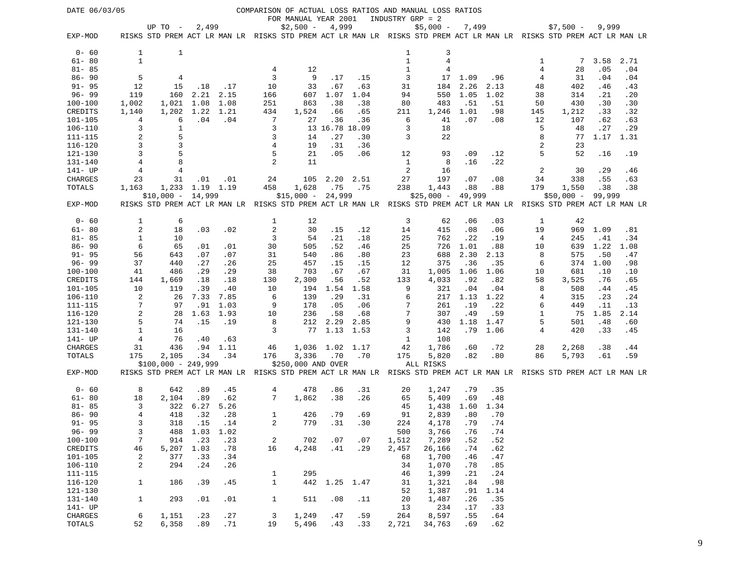| DATE 06/03/05          |                |                                                                                                                     |               |             |                |                      |                 |      |                  | COMPARISON OF ACTUAL LOSS RATIOS AND MANUAL LOSS RATIOS |        |      |     |             |        |      |
|------------------------|----------------|---------------------------------------------------------------------------------------------------------------------|---------------|-------------|----------------|----------------------|-----------------|------|------------------|---------------------------------------------------------|--------|------|-----|-------------|--------|------|
|                        |                |                                                                                                                     |               |             |                | FOR MANUAL YEAR 2001 |                 |      | INDUSTRY GRP = 2 |                                                         |        |      |     |             |        |      |
|                        |                | UP TO -                                                                                                             | 2,499         |             |                | $$2,500 -$           | 4,999           |      |                  | $$5,000 -$                                              | 7,499  |      |     | $$7,500 -$  | 9,999  |      |
| EXP-MOD                |                | RISKS STD PREM ACT LR MAN LR RISKS STD PREM ACT LR MAN LR RISKS STD PREM ACT LR MAN LR RISKS STD PREM ACT LR MAN LR |               |             |                |                      |                 |      |                  |                                                         |        |      |     |             |        |      |
| $0 - 60$               | 1              | 1                                                                                                                   |               |             |                |                      |                 |      | 1                | 3                                                       |        |      |     |             |        |      |
| $61 - 80$              | $\mathbf{1}$   |                                                                                                                     |               |             |                |                      |                 |      | $\mathbf{1}$     | $\overline{4}$                                          |        |      | 1   | 7           | 3.58   | 2.71 |
| $81 - 85$              |                |                                                                                                                     |               |             | 4              | 12                   |                 |      | $\mathbf{1}$     | 4                                                       |        |      | 4   | 28          | .05    | .04  |
| $86 - 90$              | 5              | 4                                                                                                                   |               |             | 3              | 9                    | .17             | .15  | 3                | 17                                                      | 1.09   | .96  | 4   | 31          | .04    | .04  |
| $91 - 95$              | 12             | 15                                                                                                                  | .18           | .17         | 10             | 33                   | .67             | .63  | 31               | 184                                                     | 2.26   | 2.13 | 48  | 402         | .46    | .43  |
| $96 - 99$              | 119            | 160                                                                                                                 | 2.21          | 2.15        | 166            | 607                  | 1.07            | 1.04 | 94               | 550                                                     | 1.05   | 1.02 | 38  | 314         | .21    | .20  |
| $100 - 100$            | 1,002          | 1,021                                                                                                               | 1.08          | 1.08        | 251            | 863                  | .38             | .38  | 80               | 483                                                     | .51    | .51  | 50  | 430         | .30    | .30  |
| CREDITS                | 1,140          | 1,202                                                                                                               | 1.22          | 1.21        | 434            | 1,524                | .66             | .65  | 211              | 1,246                                                   | 1.01   | .98  | 145 | 1,212       | .33    | .32  |
| $101 - 105$            | 4              | 6                                                                                                                   | .04           | .04         | 7              | 27                   | .36             | .36  | 6                | 41                                                      | .07    | .08  | 12  | 107         | .62    | .63  |
| $106 - 110$            | 3              | 1                                                                                                                   |               |             | 3              |                      | 13 16.78 18.09  |      | 3                | 18                                                      |        |      | 5   | 48          | .27    | .29  |
| 111-115                | 2              | 5                                                                                                                   |               |             | 3              | 14                   | .27             | .30  | 3                | 22                                                      |        |      | 8   | 77          | 1.17   | 1.31 |
| 116-120                | 3              | 3                                                                                                                   |               |             | 4              | 19                   | .31             | .36  |                  |                                                         |        |      | 2   | 23          |        |      |
| 121-130                | $\overline{3}$ | 5                                                                                                                   |               |             | 5              | 21                   | .05             | .06  | 12               | 93                                                      | .09    | .12  | 5   | 52          | .16    | .19  |
| 131-140                | $\sqrt{4}$     | 8                                                                                                                   |               |             | 2              | 11                   |                 |      | $\mathbf{1}$     | 8                                                       | .16    | .22  |     |             |        |      |
| 141- UP                | 4              | 4                                                                                                                   |               |             |                |                      |                 |      | 2                | 16                                                      |        |      | 2   | 30          | .29    | .46  |
| CHARGES                | 23             | 31                                                                                                                  | .01           | .01         | 24             | 105                  | 2.20            | 2.51 | 27               | 197                                                     | .07    | .08  | 34  | 338         | .55    | .63  |
| TOTALS                 | 1,163          | 1,233 1.19                                                                                                          |               | 1.19        | 458            | 1,628                | .75             | .75  | 238              | 1,443                                                   | .88    | .88  | 179 | 1,550       | .38    | .38  |
|                        |                | $$10,000 - 14,999$                                                                                                  |               |             |                | $$15,000 -$          | 24,999          |      |                  | $$25,000 -$                                             | 49,999 |      |     | $$50,000 -$ | 99,999 |      |
| EXP-MOD                |                | RISKS STD PREM ACT LR MAN LR RISKS STD PREM ACT LR MAN LR RISKS STD PREM ACT LR MAN LR RISKS STD PREM ACT LR MAN LR |               |             |                |                      |                 |      |                  |                                                         |        |      |     |             |        |      |
|                        |                |                                                                                                                     |               |             |                |                      |                 |      |                  |                                                         |        |      |     |             |        |      |
| $0 - 60$               | 1              | 6                                                                                                                   |               |             | 1              | 12                   |                 |      | 3                | 62                                                      | .06    | .03  | 1   | 42          |        |      |
| $61 - 80$              | $\overline{2}$ | 18                                                                                                                  | .03           | .02         | $\overline{c}$ | 30                   | .15             | .12  | 14               | 415                                                     | .08    | .06  | 19  | 969         | 1.09   | .81  |
| $81 - 85$              | $1\,$          | 10                                                                                                                  |               |             | 3              | 54                   | .21             | .18  | 25               | 762                                                     | .22    | .19  | 4   | 245         | .41    | .34  |
| $86 - 90$              | 6              | 65                                                                                                                  | .01           | .01         | 30             | 505                  | .52             | .46  | 25               | 726                                                     | 1.01   | .88  | 10  | 639         | 1.22   | 1.08 |
| $91 - 95$              | 56             | 643                                                                                                                 | .07           | .07         | 31             | 540                  | .86             | .80  | 23               | 688                                                     | 2.30   | 2.13 | 8   | 575         | .50    | .47  |
| $96 - 99$              | 37             | 440                                                                                                                 | .27           | .26         | 25             | 457                  | .15             | .15  | 12               | 375                                                     | .36    | .35  | 6   | 374         | 1.00   | .98  |
| $100 - 100$            | 41             | 486                                                                                                                 | .29           | .29         | 38             | 703                  | .67             | .67  | 31               | 1,005                                                   | 1.06   | 1.06 | 10  | 681         | .10    | .10  |
| CREDITS                | 144            | 1,669                                                                                                               | .18           | .18         | 130            | 2,300                | .56             | .52  | 133              | 4,033                                                   | .92    | .82  | 58  | 3,525       | .76    | .65  |
| $101 - 105$            | 10             | 119                                                                                                                 | .39           | .40         | 10             | 194                  | 1.54            | 1.58 | 9                | 321                                                     | .04    | .04  | 8   | 508         | .44    | .45  |
| 106-110                | 2              | 26                                                                                                                  | 7.33          | 7.85        | 6              | 139                  | .29             | .31  | 6                | 217                                                     | 1.13   | 1.22 | 4   | 315         | .23    | .24  |
| 111-115                | 7              | 97                                                                                                                  | .91           | 1.03        | 9              | 178                  | .05             | .06  | 7                | 261                                                     | .19    | .22  | 6   | 449         | .11    | .13  |
| $116 - 120$            | 2<br>5         | 28                                                                                                                  | 1.63          | 1.93        | 10             | 236                  | .58             | .68  | 7<br>9           | 307                                                     | .49    | .59  | 1   | 75          | 1.85   | 2.14 |
| $121 - 130$<br>131-140 |                | 74                                                                                                                  | .15           | .19         | 8              | 212                  | 2.29            | 2.85 | 3                | 430                                                     | 1.18   | 1.47 | 5   | 501         | .48    | .60  |
|                        | $1\,$          | 16                                                                                                                  |               |             | 3              | 77                   | 1.13            | 1.53 |                  | 142<br>108                                              | .79    | 1.06 | 4   | 420         | .33    | .45  |
| 141- UP<br>CHARGES     | 4<br>31        | 76<br>436                                                                                                           | .40<br>.94    | .63<br>1.11 | 46             |                      | 1,036 1.02 1.17 |      | 1<br>42          | 1,786                                                   | .60    | .72  | 28  | 2,268       | .38    | .44  |
| TOTALS                 | 175            | 2,105                                                                                                               | .34           | .34         | 176            | 3,336                | .70             | .70  | 175              | 5,820                                                   | .82    | .80  | 86  | 5,793       | .61    | .59  |
|                        |                | $$100,000 - 249,999$                                                                                                |               |             |                | \$250,000 AND OVER   |                 |      |                  | ALL RISKS                                               |        |      |     |             |        |      |
| EXP-MOD                |                | RISKS STD PREM ACT LR MAN LR RISKS STD PREM ACT LR MAN LR RISKS STD PREM ACT LR MAN LR RISKS STD PREM ACT LR MAN LR |               |             |                |                      |                 |      |                  |                                                         |        |      |     |             |        |      |
| $0 - 60$               | 8              | 642                                                                                                                 | .89           | .45         | 4              | 478                  | .86             | .31  | 20               | 1,247                                                   | .79    | .35  |     |             |        |      |
| $61 - 80$              | 18             | 2,104                                                                                                               | .89           | .62         | 7              | 1,862                | .38             | .26  | 65               | 5,409                                                   | .69    | .48  |     |             |        |      |
| $81 - 85$              | 3              | 322                                                                                                                 | 6.27          | 5.26        |                |                      |                 |      | 45               | 1,438                                                   | 1.60   | 1.34 |     |             |        |      |
| $86 - 90$              | 4              | 418                                                                                                                 | .32           | .28         | 1              | 426                  | .79             | .69  | 91               | 2,839                                                   | .80    | .70  |     |             |        |      |
| $91 - 95$              | 3              |                                                                                                                     | 318 .15 .14   |             | 2              | 779                  | .31             | .30  | 224              | 4,178                                                   | .79    | .74  |     |             |        |      |
| $96 - 99$              | 3              |                                                                                                                     | 488 1.03 1.02 |             |                |                      |                 |      | 500              | 3,766                                                   | .76    | .74  |     |             |        |      |
| $100 - 100$            | 7              | 914                                                                                                                 | .23           | .23         | 2              | 702                  | .07             | .07  | 1,512            | 7,289                                                   | .52    | .52  |     |             |        |      |
| CREDITS                | 46             | 5,207                                                                                                               | 1.03          | .78         | 16             | 4,248                | .41             | .29  | 2,457            | 26,166                                                  | .74    | .62  |     |             |        |      |
| $101 - 105$            | 2              | 377                                                                                                                 | .33           | .34         |                |                      |                 |      | 68               | 1,700                                                   | .46    | .47  |     |             |        |      |
| $106 - 110$            | 2              | 294                                                                                                                 | .24           | .26         |                |                      |                 |      | 34               | 1,070                                                   | .78    | .85  |     |             |        |      |
| $111 - 115$            |                |                                                                                                                     |               |             | $\mathbf{1}$   | 295                  |                 |      | 46               | 1,399                                                   | .21    | .24  |     |             |        |      |
| $116 - 120$            | $\mathbf{1}$   | 186                                                                                                                 | .39           | .45         | $\mathbf{1}$   |                      | 442 1.25 1.47   |      | 31               | 1,321                                                   | .84    | .98  |     |             |        |      |
| $121 - 130$            |                |                                                                                                                     |               |             |                |                      |                 |      | 52               | 1,387                                                   | .91    | 1.14 |     |             |        |      |
| 131-140                | 1              | 293                                                                                                                 | .01           | .01         | $\mathbf{1}$   | 511                  | .08             | .11  | 20               | 1,487                                                   | .26    | .35  |     |             |        |      |
| 141- UP                |                |                                                                                                                     |               |             |                |                      |                 |      | 13               | 234                                                     | .17    | .33  |     |             |        |      |
| CHARGES                | 6              | 1,151                                                                                                               | .23           | .27         | 3              | 1,249                | .47             | .59  | 264              | 8,597                                                   | .55    | .64  |     |             |        |      |
| TOTALS                 | 52             | 6,358                                                                                                               | .89           | .71         | 19             | 5,496                | .43             | .33  | 2,721            | 34,763                                                  | .69    | .62  |     |             |        |      |
|                        |                |                                                                                                                     |               |             |                |                      |                 |      |                  |                                                         |        |      |     |             |        |      |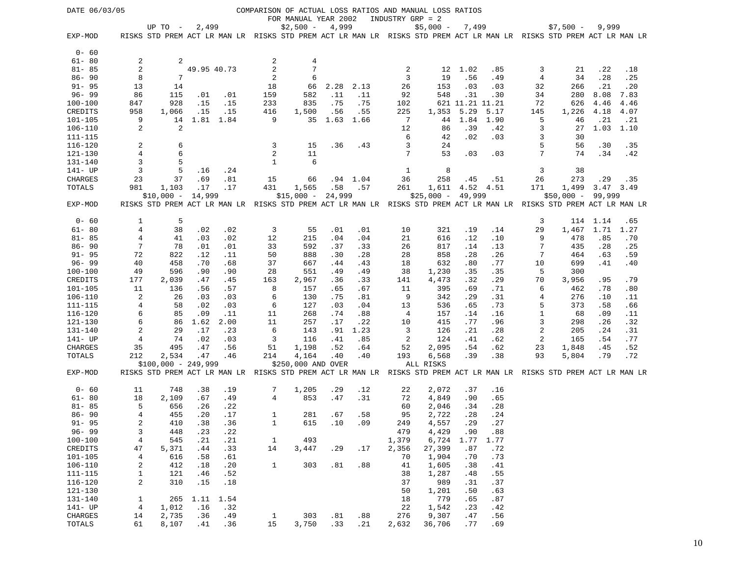| DATE 06/03/05              |                         |                                                                                                                     |             |           |                |                      |        |      |                | COMPARISON OF ACTUAL LOSS RATIOS AND MANUAL LOSS RATIOS |                 |            |        |             |           |      |
|----------------------------|-------------------------|---------------------------------------------------------------------------------------------------------------------|-------------|-----------|----------------|----------------------|--------|------|----------------|---------------------------------------------------------|-----------------|------------|--------|-------------|-----------|------|
|                            |                         |                                                                                                                     |             |           |                | FOR MANUAL YEAR 2002 |        |      |                | INDUSTRY GRP = 2                                        |                 |            |        |             |           |      |
|                            |                         | UP TO -                                                                                                             | 2,499       |           |                | $$2,500 -$           | 4,999  |      |                | $$5,000 -$                                              | 7,499           |            |        | $$7,500 -$  | 9,999     |      |
| EXP-MOD                    |                         | RISKS STD PREM ACT LR MAN LR RISKS STD PREM ACT LR MAN LR RISKS STD PREM ACT LR MAN LR RISKS STD PREM ACT LR MAN LR |             |           |                |                      |        |      |                |                                                         |                 |            |        |             |           |      |
|                            |                         |                                                                                                                     |             |           |                |                      |        |      |                |                                                         |                 |            |        |             |           |      |
| $0 - 60$                   |                         |                                                                                                                     |             |           |                |                      |        |      |                |                                                         |                 |            |        |             |           |      |
| $61 - 80$                  | 2                       | 2                                                                                                                   |             |           | 2              | 4                    |        |      |                |                                                         |                 |            |        |             |           |      |
| $81 - 85$                  | $\overline{c}$          |                                                                                                                     | 49.95 40.73 |           | $\overline{c}$ | 7                    |        |      | $\overline{c}$ | 12                                                      | 1.02            | .85        | 3      | 21          | .22       | .18  |
| $86 - 90$                  | 8                       | 7                                                                                                                   |             |           | 2              | 6                    |        |      | 3              | 19                                                      | .56             | .49        | 4      | 34          | .28       | .25  |
| $91 - 95$                  | 13                      | 14                                                                                                                  |             |           | 18             | 66                   | 2.28   | 2.13 | 26             | 153                                                     | .03             | .03        | 32     | 266         | .21       | .20  |
| $96 - 99$                  | 86                      | 115                                                                                                                 | .01         | .01       | 159            | 582                  | .11    | .11  | 92             | 548                                                     | .31             | .30        | 34     | 280         | 8.08      | 7.83 |
| $100 - 100$                | 847                     | 928                                                                                                                 | .15         | .15       | 233            | 835                  | .75    | .75  | 102            |                                                         | 621 11.21 11.21 |            | 72     | 626         | 4.46      | 4.46 |
| CREDITS                    | 958                     | 1,066                                                                                                               | .15         | .15       | 416            | 1,500                | .56    | .55  | 225            | 1,353                                                   | 5.29            | 5.17       | 145    | 1,226       | 4.18      | 4.07 |
| $101 - 105$                | 9<br>2                  | 14<br>2                                                                                                             |             | 1.81 1.84 | 9              | 35                   | 1.63   | 1.66 | 7              | 44                                                      | 1.84<br>.39     | 1.90       | 5      | 46          | .21       | .21  |
| $106 - 110$<br>$111 - 115$ |                         |                                                                                                                     |             |           |                |                      |        |      | 12<br>6        | 86<br>42                                                | .02             | .42<br>.03 | 3<br>3 | 27<br>30    | 1.03      | 1.10 |
| $116 - 120$                | 2                       | 6                                                                                                                   |             |           | 3              | 15                   | .36    | .43  | 3              | 24                                                      |                 |            | 5      | 56          | .30       | .35  |
| 121-130                    | 4                       | 6                                                                                                                   |             |           | 2              | 11                   |        |      | 7              | 53                                                      | .03             | .03        | 7      | 74          | .34       | .42  |
| $131 - 140$                | 3                       | 5                                                                                                                   |             |           | $\mathbf{1}$   | 6                    |        |      |                |                                                         |                 |            |        |             |           |      |
| 141- UP                    | 3                       | 5                                                                                                                   | .16         | .24       |                |                      |        |      | 1              | 8                                                       |                 |            | 3      | 38          |           |      |
| CHARGES                    | 23                      | 37                                                                                                                  | .69         | .81       | 15             | 66                   | .94    | 1.04 | 36             | 258                                                     | .45             | .51        | 26     | 273         | .29       | .35  |
| TOTALS                     | 981                     | 1,103                                                                                                               | .17         | .17       | 431            | 1,565                | .58    | .57  | 261            | 1,611                                                   | 4.52 4.51       |            | 171    | 1,499       | 3.47 3.49 |      |
|                            |                         | $$10,000 -$                                                                                                         | 14,999      |           |                | $$15,000 -$          | 24,999 |      |                | $$25,000 - 49,999$                                      |                 |            |        | $$50,000 -$ | 99,999    |      |
| EXP-MOD                    |                         | RISKS STD PREM ACT LR MAN LR RISKS STD PREM ACT LR MAN LR RISKS STD PREM ACT LR MAN LR RISKS STD PREM ACT LR MAN LR |             |           |                |                      |        |      |                |                                                         |                 |            |        |             |           |      |
|                            |                         |                                                                                                                     |             |           |                |                      |        |      |                |                                                         |                 |            |        |             |           |      |
| $0 - 60$                   | 1                       | 5                                                                                                                   |             |           |                |                      |        |      |                |                                                         |                 |            | 3      |             | 114 1.14  | .65  |
| $61 - 80$                  | $\overline{4}$          | 38                                                                                                                  | .02         | .02       | 3              | 55                   | .01    | .01  | 10             | 321                                                     | .19             | .14        | 29     | 1,467       | 1.71      | 1.27 |
| $81 - 85$                  | 4                       | 41                                                                                                                  | .03         | .02       | 12             | 215                  | .04    | .04  | 21             | 616                                                     | .12             | .10        | 9      | 478         | .85       | .70  |
| $86 - 90$                  | 7                       | 78                                                                                                                  | .01         | .01       | 33             | 592                  | .37    | .33  | 26             | 817                                                     | .14             | .13        | 7      | 435         | .28       | .25  |
| $91 - 95$                  | 72                      | 822                                                                                                                 | .12         | .11       | 50             | 888                  | .30    | .28  | 28             | 858                                                     | .28             | .26        | 7      | 464         | .63       | .59  |
| $96 - 99$                  | 40                      | 458                                                                                                                 | .70         | .68       | 37             | 667                  | .44    | .43  | 18             | 632                                                     | .80             | .77        | 10     | 699         | .41       | .40  |
| $100 - 100$                | 49                      | 596                                                                                                                 | .90         | .90       | 28             | 551                  | .49    | .49  | 38             | 1,230                                                   | .35             | .35        | 5      | 300         |           |      |
| CREDITS                    | 177                     | 2,039                                                                                                               | .47         | .45       | 163            | 2,967                | .36    | .33  | 141            | 4,473                                                   | .32             | .29        | 70     | 3,956       | .95       | .79  |
| $101 - 105$                | 11                      | 136                                                                                                                 | .56         | .57       | 8              | 157                  | .65    | .67  | 11             | 395                                                     | .69             | .71        | 6      | 462         | .78       | .80  |
| 106-110                    | 2                       | 26                                                                                                                  | .03         | .03       | 6              | 130                  | .75    | .81  | 9              | 342                                                     | .29             | .31        | 4      | 276         | .10       | .11  |
| $111 - 115$                | 4                       | 58                                                                                                                  | .02         | .03       | 6              | 127                  | .03    | .04  | 13             | 536                                                     | .65             | .73        | 5      | 373         | .58       | .66  |
| $116 - 120$                | 6                       | 85                                                                                                                  | .09         | .11       | 11             | 268                  | .74    | .88  | 4              | 157                                                     | .14             | .16        | 1      | 68          | .09       | .11  |
| $121 - 130$                | 6                       | 86                                                                                                                  | 1.62        | 2.00      | 11             | 257                  | .17    | .22  | 10             | 415                                                     | .77             | .96        | 3      | 298         | .26       | .32  |
| 131-140                    | $\overline{\mathbf{c}}$ | 29                                                                                                                  | .17         | .23       | 6              | 143                  | .91    | 1.23 | 3              | 126                                                     | .21             | .28        | 2      | 205         | .24       | .31  |
| 141- UP                    | 4                       | 74                                                                                                                  | .02         | .03       | 3              | 116                  | .41    | .85  | 2              | 124                                                     | .41             | .62        | 2      | 165         | .54       | .77  |
| CHARGES                    | 35                      | 495                                                                                                                 | .47         | .56       | 51             | 1,198                | .52    | .64  | 52             | 2,095                                                   | .54             | .62        | 23     | 1,848       | .45       | .52  |
| TOTALS                     | 212                     | 2,534                                                                                                               | .47         | .46       | 214            | 4,164                | .40    | .40  | 193            | 6,568                                                   | .39             | .38        | 93     | 5,804       | .79       | .72  |
|                            |                         | $$100,000 - 249,999$                                                                                                |             |           |                | \$250,000 AND OVER   |        |      |                | ALL RISKS                                               |                 |            |        |             |           |      |
| EXP-MOD                    |                         | RISKS STD PREM ACT LR MAN LR RISKS STD PREM ACT LR MAN LR RISKS STD PREM ACT LR MAN LR RISKS STD PREM ACT LR MAN LR |             |           |                |                      |        |      |                |                                                         |                 |            |        |             |           |      |
| $0 - 60$                   | 11                      | 748                                                                                                                 | .38         | .19       | 7              | 1,205                | .29    | .12  | 22             | 2,072                                                   | .37             | .16        |        |             |           |      |
| $61 - 80$                  | 18                      | 2,109                                                                                                               | .67         | .49       | 4              | 853                  | .47    | .31  | 72             | 4,849                                                   | .90             | .65        |        |             |           |      |
| $81 - 85$                  | 5                       | 656                                                                                                                 | .26         | .22       |                |                      |        |      | 60             | 2,046                                                   | .34             | .28        |        |             |           |      |
| $86 - 90$                  | 4                       | 455                                                                                                                 | .20         | .17       | 1              | 281                  | .67    | .58  | 95             | 2,722                                                   | .28             | .24        |        |             |           |      |
| $91 - 95$                  | $\overline{c}$          | 410                                                                                                                 | .38         | .36       | 1              | 615                  | .10    | .09  | 249            | 4,557                                                   | .29             | .27        |        |             |           |      |
| $96 - 99$                  | 3                       | 448                                                                                                                 | .23         | .22       |                |                      |        |      | 479            | 4,429                                                   | .90             | .88        |        |             |           |      |
| $100 - 100$                | $\overline{4}$          | 545                                                                                                                 | .21         | .21       | $\mathbf{1}$   | 493                  |        |      | 1,379          | 6,724                                                   | 1.77            | 1.77       |        |             |           |      |
| CREDITS                    | 47                      | 5,371                                                                                                               | .44         | .33       | 14             | 3,447                | .29    | .17  | 2,356          | 27,399                                                  | .87             | .72        |        |             |           |      |
| $101 - 105$                | 4                       | 616                                                                                                                 | .58         | .61       |                |                      |        |      | 70             | 1,904                                                   | .70             | .73        |        |             |           |      |
| $106 - 110$                | $\overline{c}$          | 412                                                                                                                 | .18         | .20       | $\mathbf{1}$   | 303                  | .81    | .88  | 41             | 1,605                                                   | .38             | .41        |        |             |           |      |
| $111 - 115$                | 1                       | 121                                                                                                                 | .46         | .52       |                |                      |        |      | 38             | 1,287                                                   | .48             | .55        |        |             |           |      |
| $116 - 120$                | $\overline{c}$          | 310                                                                                                                 | .15         | .18       |                |                      |        |      | 37             | 989                                                     | .31             | .37        |        |             |           |      |
| $121 - 130$                |                         |                                                                                                                     |             |           |                |                      |        |      | 50             | 1,201                                                   | .50             | .63        |        |             |           |      |
| 131-140                    | $\mathbf{1}$            | 265                                                                                                                 | 1.11        | 1.54      |                |                      |        |      | 18             | 779                                                     | .65             | .87        |        |             |           |      |
| 141- UP                    | 4                       | 1,012                                                                                                               | .16         | .32       |                |                      |        |      | 22             | 1,542                                                   | .23             | .42        |        |             |           |      |
| CHARGES                    | 14                      | 2,735                                                                                                               | .36         | .49       | $\mathbf{1}$   | 303                  | .81    | .88  | 276            | 9,307                                                   | .47             | .56        |        |             |           |      |
| TOTALS                     | 61                      | 8,107                                                                                                               | .41         | .36       | 15             | 3,750                | .33    | .21  | 2,632          | 36,706                                                  | .77             | .69        |        |             |           |      |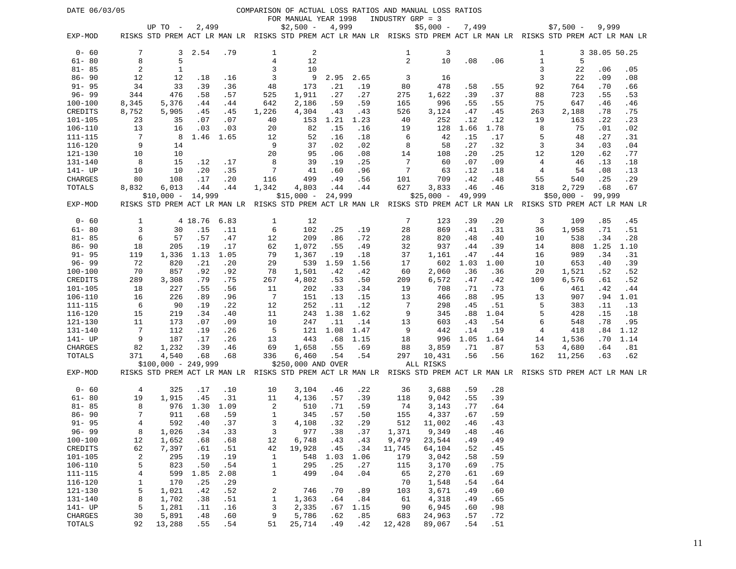| DATE 06/03/05                 |                   |                      |            |            |                    |                      |             |            |                  | COMPARISON OF ACTUAL LOSS RATIOS AND MANUAL LOSS RATIOS                                                             |        |             |              |             |               |      |
|-------------------------------|-------------------|----------------------|------------|------------|--------------------|----------------------|-------------|------------|------------------|---------------------------------------------------------------------------------------------------------------------|--------|-------------|--------------|-------------|---------------|------|
|                               |                   |                      |            |            |                    | FOR MANUAL YEAR 1998 |             |            | INDUSTRY GRP = 3 |                                                                                                                     |        |             |              |             |               |      |
|                               |                   | UP TO -              | 2,499      |            |                    | $$2,500 -$           | 4,999       |            |                  | $$5,000 -$                                                                                                          | 7,499  |             |              | $$7,500 -$  | 9,999         |      |
| EXP-MOD                       |                   |                      |            |            |                    |                      |             |            |                  | RISKS STD PREM ACT LR MAN LR RISKS STD PREM ACT LR MAN LR RISKS STD PREM ACT LR MAN LR RISKS STD PREM ACT LR MAN LR |        |             |              |             |               |      |
|                               |                   |                      |            |            |                    |                      |             |            |                  |                                                                                                                     |        |             |              |             |               |      |
| $0 - 60$                      | 7                 | 3                    | 2.54       | .79        | 1                  | $\overline{c}$       |             |            | 1                | 3                                                                                                                   |        |             | 1            |             | 3 38.05 50.25 |      |
| $61 - 80$                     | 8                 | 5                    |            |            | $\,4$              | 12                   |             |            | $\overline{c}$   | 10                                                                                                                  | .08    | .06         | $\mathbf{1}$ | 5           |               |      |
| $81 - 85$                     | 2                 | 1                    |            |            | 3                  | 10                   |             |            |                  |                                                                                                                     |        |             | 3            | 22          | .06           | .05  |
| $86 - 90$                     | 12                | 12                   | .18        | .16        | 3                  | 9                    | 2.95        | 2.65       | 3                | 16                                                                                                                  |        |             | 3            | 22          | .09           | .08  |
| $91 - 95$                     | 34                | 33                   | .39        | .36        | 48                 | 173                  | .21         | .19        | 80               | 478                                                                                                                 | .58    | .55         | 92           | 764         | .70           | .66  |
| $96 - 99$                     | 344               | 476                  | .58        | .57        | 525                | 1,911                | .27         | .27        | 275              | 1,622                                                                                                               | .39    | .37         | 88           | 723         | .55           | .53  |
| $100 - 100$                   | 8,345             | 5,376                | .44        | .44        | 642                | 2,186                | .59         | .59        | 165              | 996                                                                                                                 | .55    | .55         | 75           | 647         | .46           | .46  |
| CREDITS                       | 8,752             | 5,905                | .45        | .45        | 1,226              | 4,304                | .43         | .43        | 526              | 3,124                                                                                                               | .47    | .45         | 263          | 2,188       | .78           | .75  |
| 101-105                       | 23                | 35                   | .07        | .07        | 40                 | 153                  | 1.21        | 1.23       | 40               | 252                                                                                                                 | .12    | .12         | 19           | 163         | .22           | .23  |
| 106-110                       | 13                | 16                   | .03        | .03        | 20                 | 82                   | .15         | .16        | 19               | 128                                                                                                                 | 1.66   | 1.78        | 8            | 75          | .01           | .02  |
| 111-115                       | 7                 | -8                   | 1.46       | 1.65       | 12                 | 52                   | .16         | .18        | 6                | 42                                                                                                                  | .15    | .17         | 5            | 48          | .27           | .31  |
| $116 - 120$                   | 9                 | 14                   |            |            | 9                  | 37                   | .02         | .02        | 8                | 58                                                                                                                  | .27    | .32         | 3            | 34          | .03           | .04  |
| 121-130                       | 10                | 10                   |            |            | 20                 | 95                   | .06         | .08        | 14               | 108                                                                                                                 | .20    | .25         | 12           | 120         | .62           | .77  |
| 131-140                       | 8                 | 15                   | .12        | .17        | 8                  | 39                   | .19         | .25        | 7                | 60                                                                                                                  | .07    | .09         | 4            | 46          | .13           | .18  |
| 141- UP                       | 10                | 10                   | .20        | .35        | 7                  | 41                   | .60         | .96        | 7                | 63                                                                                                                  | .12    | .18         | 4            | 54          | .08           | .13  |
| CHARGES                       | 80                | 108                  | .17        | .20        | 116                | 499                  | .49         | .56        | 101              | 709                                                                                                                 | .42    | .48         | 55           | 540         | .25           | .29  |
| TOTALS                        | 8,832             | 6,013                | .44        | .44        | 1,342              | 4,803                | .44         | .44        | 627              | 3,833                                                                                                               | .46    | .46         | 318          | 2,729       | .68           | .67  |
|                               |                   | $$10,000 -$          | 14,999     |            |                    | $$15,000 -$          | 24,999      |            |                  | $$25,000 -$                                                                                                         | 49,999 |             |              | $$50,000 -$ | 99,999        |      |
| EXP-MOD                       |                   |                      |            |            |                    |                      |             |            |                  | RISKS STD PREM ACT LR MAN LR RISKS STD PREM ACT LR MAN LR RISKS STD PREM ACT LR MAN LR RISKS STD PREM ACT LR MAN LR |        |             |              |             |               |      |
|                               |                   |                      |            |            |                    |                      |             |            |                  |                                                                                                                     |        |             |              |             |               |      |
| $0 - 60$                      | 1                 |                      | 4 18.76    | 6.83       | 1                  | 12                   |             |            | 7                | 123                                                                                                                 | .39    | .20         | 3            | 109         | .85           | .45  |
| $61 - 80$                     | 3                 | 30                   | .15        | .11        | 6                  | 102                  | .25         | .19        | 28               | 869                                                                                                                 | .41    | .31         | 36           | 1,958       | .71           | .51  |
| $81 - 85$                     | 6                 | 57                   | .57        | .47        | 12                 | 209                  | .86         | .72        | 28               | 820                                                                                                                 | .48    | .40         | 10           | 538         | .34           | .28  |
| $86 - 90$                     | 18                | 205                  | .19        | .17        | 62                 | 1,072                | .55         | .49        | 32               | 937                                                                                                                 | .44    | .39         | 14           | 808         | 1.25          | 1.10 |
| $91 - 95$                     | 119               | 1,336                | 1.13       | 1.05       | 79                 | 1,367                | .19         | .18        | 37               | 1,161                                                                                                               | .47    | .44         | 16           | 989         | .34           | .31  |
| $96 - 99$                     | 72                | 820                  | .21        | .20        | 29                 | 539                  | 1.59        | 1.56       | 17               | 602                                                                                                                 | 1.03   | 1.00        | 10           | 653         | .40           | .39  |
| 100-100                       | 70                | 857                  | .92        | .92        | 78                 | 1,501                | .42         | .42        | 60               | 2,060                                                                                                               | .36    | .36         | 20           | 1,521       | .52           | .52  |
| CREDITS                       | 289               | 3,308                | .79        | .75        | 267                | 4,802                | .53         | .50        | 209              | 6,572                                                                                                               | .47    | .42         | 109          | 6,576       | .61           | .52  |
| 101-105                       | 18                | 227                  | .55        | .56        | 11                 | 202                  | .33         | .34        | 19               | 708                                                                                                                 | .71    | .73         | 6            | 461         | .42           | .44  |
| 106-110                       | 16                | 226                  | .89        | .96        | $7\phantom{.0}$    | 151                  | .13         | .15        | 13               | 466                                                                                                                 | .88    | .95         | 13           | 907         | .94           | 1.01 |
| $111 - 115$                   | 6                 | 90                   | .19        | .22        | 12                 | 252                  | .11         | .12        | 7                | 298                                                                                                                 | .45    | .51         | 5            | 383         | .11           | .13  |
| $116 - 120$                   | 15                | 219                  | .34        | .40        | 11                 | 243                  | 1.38        | 1.62       | 9                | 345                                                                                                                 | .88    | 1.04        | 5            | 428         | .15           | .18  |
| 121-130                       | 11                | 173                  | .07        | .09        | 10                 | 247                  | .11         | .14        | 13               | 603                                                                                                                 | .43    | .54         | 6            | 548         | .78           | .95  |
| $131 - 140$                   | 7                 | 112                  | .19        | .26        | 5                  | 121                  | 1.08        | 1.47       | 9                | 442                                                                                                                 | .14    | .19         | 4            | 418         | .84           | 1.12 |
| 141- UP                       | 9                 | 187                  | .17        | .26        | 13                 | 443                  | .68         | 1.15       | 18               | 996                                                                                                                 | 1.05   | 1.64        | 14           | 1,536       | .70           | 1.14 |
| CHARGES                       | 82                | 1,232                | .39        | .46        | 69                 | 1,658                | .55         | .69        | 88               | 3,859                                                                                                               | .71    | .87         | 53           | 4,680       | .64           | .81  |
| TOTALS                        | 371               | 4,540                | .68        | .68        | 336                | 6,460                | .54         | .54        | 297              | 10,431                                                                                                              | .56    | .56         | 162          | 11,256      | .63           | .62  |
|                               |                   | $$100,000 - 249,999$ |            |            |                    | \$250,000 AND OVER   |             |            |                  | ALL RISKS                                                                                                           |        |             |              |             |               |      |
| EXP-MOD                       |                   |                      |            |            |                    |                      |             |            |                  | RISKS STD PREM ACT LR MAN LR RISKS STD PREM ACT LR MAN LR RISKS STD PREM ACT LR MAN LR RISKS STD PREM ACT LR MAN LR |        |             |              |             |               |      |
| $0 - 60$                      | 4                 | 325                  | .17        | .10        | 10                 | 3,104                | .46         | .22        | 36               | 3,688                                                                                                               | .59    | .28         |              |             |               |      |
| $61 - 80$                     |                   |                      |            |            |                    |                      |             |            |                  |                                                                                                                     |        |             |              |             |               |      |
|                               | 19                | 1,915                | .45        | .31        | 11                 | 4,136                | .57         | .39        | 118              | 9,042                                                                                                               | .55    | .39         |              |             |               |      |
| $81 - 85$                     | 8<br>7            | 976                  | 1.30       | 1.09       | 2                  | 510                  | .71         | .59        | 74               | 3,143                                                                                                               | . 77   | .64         |              |             |               |      |
| $86 - 90$<br>$91 - 95$        |                   | 911<br>592           | .68<br>.40 | .59<br>.37 | 1<br>3             | 345                  | .57<br>.32  | .50<br>.29 | 155              | 4,337<br>512 11,002                                                                                                 | .67    | .59<br>. 43 |              |             |               |      |
| $96 - 99$                     | 4<br>8            | 1,026                |            |            | 3                  | 4,108<br>977         |             |            |                  | 9,349                                                                                                               | .46    | .46         |              |             |               |      |
| $100 - 100$                   | 12                | 1,652                | .34        | .33        |                    | 6,748                | .38<br>.43  | .37        | 1,371<br>9,479   | 23,544                                                                                                              | .48    | .49         |              |             |               |      |
|                               |                   |                      | .68        | .68        | 12                 |                      |             | .43        |                  |                                                                                                                     | .49    |             |              |             |               |      |
| <b>CREDITS</b><br>$101 - 105$ | 62<br>2           | 7,397<br>295         | .61<br>.19 | .51        | 42<br>$\mathbf{1}$ | 19,928               | .45<br>1.03 | .34        | 11,745           | 64,104<br>3,042                                                                                                     | .52    | .45<br>.59  |              |             |               |      |
|                               |                   |                      |            | .19        |                    | 548                  |             | 1.06       | 179              |                                                                                                                     | .58    |             |              |             |               |      |
| $106 - 110$                   | 5                 | 823                  | .50        | .54        | 1                  | 295                  | .25         | .27        | 115              | 3,170                                                                                                               | .69    | .75         |              |             |               |      |
| $111 - 115$                   | $\overline{4}$    | 599                  | 1.85       | 2.08       | 1                  | 499                  | .04         | .04        | 65               | 2,270                                                                                                               | .61    | .69         |              |             |               |      |
| $116 - 120$<br>$121 - 130$    | $\mathbf{1}$<br>5 | 170                  | .25        | .29        |                    |                      |             |            | 70               | 1,548                                                                                                               | .54    | .64         |              |             |               |      |
|                               |                   | 1,021                | .42        | .52        | 2                  | 746                  | .70         | .89        | 103              | 3,671                                                                                                               | .49    | .60         |              |             |               |      |
| 131-140                       | 8                 | 1,702                | .38        | .51        | $\mathbf{1}$       | 1,363                | .64         | .84        | 61               | 4,318                                                                                                               | .49    | .65         |              |             |               |      |
| $141 - UP$                    | 5                 | 1,281                | .11        | .16        | 3                  | 2,335                | .67         | 1.15       | 90               | 6,945                                                                                                               | .60    | .98         |              |             |               |      |
| CHARGES                       | 30                | 5,891                | .48        | .60        | 9                  | 5,786                | .62         | .85        | 683              | 24,963                                                                                                              | .57    | .72         |              |             |               |      |
| TOTALS                        | 92                | 13,288               | .55        | .54        | 51                 | 25,714               | .49         | .42        | 12,428           | 89,067                                                                                                              | .54    | .51         |              |             |               |      |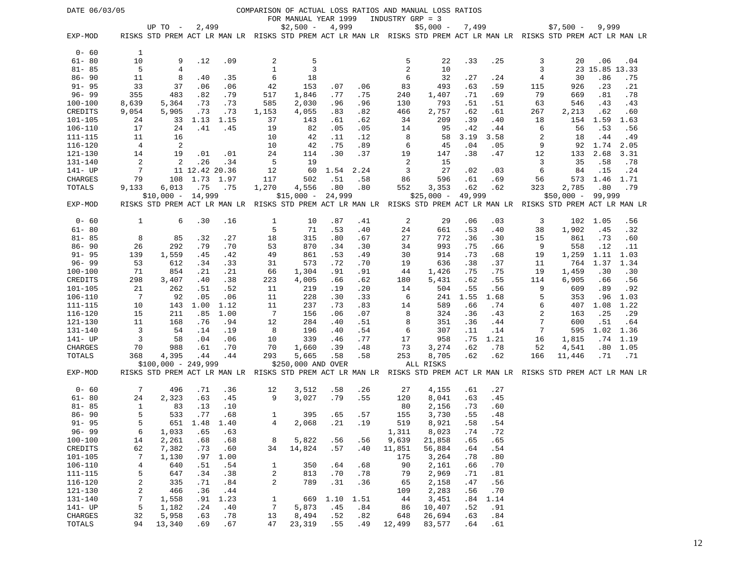| DATE 06/03/05          |                |                                                                                                                                  |                |            |                 |                      |               |            |                  | COMPARISON OF ACTUAL LOSS RATIOS AND MANUAL LOSS RATIOS                                               |            |            |                |                |                |            |
|------------------------|----------------|----------------------------------------------------------------------------------------------------------------------------------|----------------|------------|-----------------|----------------------|---------------|------------|------------------|-------------------------------------------------------------------------------------------------------|------------|------------|----------------|----------------|----------------|------------|
|                        |                |                                                                                                                                  |                |            |                 | FOR MANUAL YEAR 1999 |               |            | INDUSTRY GRP = 3 |                                                                                                       |            |            |                |                |                |            |
| EXP-MOD                |                | UP TO $-$<br>RISKS STD PREM ACT LR MAN LR RISKS STD PREM ACT LR MAN LR RISKS STD PREM ACT LR MAN LR RISKS STD PREM ACT LR MAN LR | 2,499          |            |                 | $$2,500 -$           | 4,999         |            |                  | $$5,000 -$                                                                                            | 7,499      |            |                | $$7,500 -$     | 9,999          |            |
| $0 - 60$               | 1              |                                                                                                                                  |                |            |                 |                      |               |            |                  |                                                                                                       |            |            |                |                |                |            |
| $61 - 80$              | 10             | 9                                                                                                                                | .12            | .09        | 2               | 5                    |               |            | 5                | 22                                                                                                    | .33        | .25        | 3              | 20             | .06            | .04        |
| $81 - 85$              | 5              | 4                                                                                                                                |                |            | $\mathbf{1}$    | 3                    |               |            | 2                | 10                                                                                                    |            |            | 3              |                | 23 15.85 13.33 |            |
| $86 - 90$              | 11             | 8                                                                                                                                | .40            | .35        | 6               | 18                   |               |            | 6                | 32                                                                                                    | .27        | .24        | 4              | 30             | .86            | .75        |
| $91 - 95$              | 33             | 37                                                                                                                               | .06            | .06        | 42              | 153                  | .07           | .06        | 83               | 493                                                                                                   | .63        | .59        | 115            | 926            | .23            | .21        |
| $96 - 99$              | 355            | 483                                                                                                                              | .82            | .79        | 517             | 1,846                | . 77          | .75        | 240              | 1,407                                                                                                 | .71        | .69        | 79             | 669            | .81            | .78        |
| $100 - 100$            | 8,639          | 5,364                                                                                                                            | .73            | .73        | 585             | 2,030                | .96           | .96        | 130              | 793                                                                                                   | .51        | .51        | 63             | 546            | .43            | .43        |
| CREDITS                | 9,054          | 5,905                                                                                                                            | .73            | .73        | 1,153           | 4,055                | .83           | .82        | 466              | 2,757                                                                                                 | .62        | .61        | 267            | 2,213          | .62            | .60        |
| $101 - 105$            | 24             | 33                                                                                                                               | 1.13           | 1.15       | 37              | 143                  | .61           | .62        | 34               | 209                                                                                                   | .39        | .40        | 18             | 154            | 1.59           | 1.63       |
| $106 - 110$            | 17             | 24                                                                                                                               | .41            | .45        | 19              | 82                   | .05           | .05        | 14               | 95                                                                                                    | .42        | .44        | 6              | 56             | .53            | .56        |
| 111-115                | 11             | 16                                                                                                                               |                |            | 10              | 42                   | .11           | .12        | 8                | 58                                                                                                    | 3.19       | 3.58       | 2              | 18             | .44            | .49        |
| $116 - 120$            | $\overline{4}$ | 2                                                                                                                                |                |            | 10              | 42                   | .75           | .89        | 6                | 45                                                                                                    | .04        | .05        | 9              | 92             | 1.74           | 2.05       |
| 121-130                | 14             | 19                                                                                                                               | .01            | .01        | 24              | 114                  | .30           | .37        | 19               | 147                                                                                                   | .38        | .47        | 12             | 133            | 2.68           | 3.31       |
| 131-140                | 2              | 2                                                                                                                                | .26            | .34        | 5               | 19                   |               |            | 2                | 15                                                                                                    |            |            | 3              | 35             | .58            | .78        |
| 141- UP                | 7              |                                                                                                                                  | 11 12.42 20.36 |            | 12              | 60                   | 1.54          | 2.24       | 3                | 27                                                                                                    | .02        | .03        | 6              | 84             | .15            | .24        |
| CHARGES                | 79             | 108                                                                                                                              | 1.73           | 1.97       | 117             | 502                  | .51           | .58        | 86               | 596                                                                                                   | .61        | .69        | 56             | 573            | 1.46           | 1.71       |
| TOTALS                 | 9,133          | 6,013                                                                                                                            | .75<br>14,999  | .75        | 1,270           | 4,556<br>$$15,000 -$ | .80<br>24,999 | .80        | 552              | 3,353                                                                                                 | .62        | .62        | 323            | 2,785          | .80            | .79        |
| EXP-MOD                |                | $$10,000 -$<br>RISKS STD PREM ACT LR MAN LR                                                                                      |                |            |                 |                      |               |            |                  | $$25,000 -$<br>RISKS STD PREM ACT LR MAN LR RISKS STD PREM ACT LR MAN LR RISKS STD PREM ACT LR MAN LR | 49,999     |            |                | $$50,000 -$    | 99,999         |            |
|                        |                |                                                                                                                                  |                |            |                 |                      |               |            |                  |                                                                                                       |            |            |                |                |                |            |
| $0 - 60$               | 1              | 6                                                                                                                                | .30            | .16        | 1               | 10                   | .87           | .41        | 2                | 29                                                                                                    | .06        | .03        | 3              | 102            | 1.05           | .56        |
| $61 - 80$              |                |                                                                                                                                  |                |            | 5               | 71                   | .53           | .40        | 24               | 661                                                                                                   | .53        | .40        | 38             | 1,902          | .45            | .32        |
| $81 - 85$              | 8              | 85                                                                                                                               | .32            | .27        | 18              | 315                  | .80           | .67        | 27               | 772                                                                                                   | .36        | .30        | 15             | 861            | .73            | .60        |
| $86 - 90$              | 26             | 292                                                                                                                              | .79            | .70        | 53              | 870                  | .34           | .30        | 34               | 993                                                                                                   | .75        | .66        | 9              | 558            | .12            | .11        |
| $91 - 95$              | 139            | 1,559                                                                                                                            | .45            | .42        | 49              | 861                  | .53           | .49        | 30               | 914                                                                                                   | .73        | .68        | 19             | 1,259          | 1.11           | 1.03       |
| $96 - 99$              | 53             | 612                                                                                                                              | .34            | .33        | 31              | 573                  | .72           | .70        | 19               | 636                                                                                                   | .38        | .37        | 11             | 764            | 1.37           | 1.34       |
| $100 - 100$<br>CREDITS | 71<br>298      | 854<br>3,407                                                                                                                     | .21<br>.40     | .21<br>.38 | 66<br>223       | 1,304<br>4,005       | .91<br>.66    | .91<br>.62 | 44<br>180        | 1,426<br>5,431                                                                                        | .75<br>.62 | .75<br>.55 | 19<br>114      | 1,459<br>6,905 | .30<br>.66     | .30<br>.56 |
| $101 - 105$            | 21             | 262                                                                                                                              | .51            | .52        | 11              | 219                  | .19           | .20        | 14               | 504                                                                                                   | .55        | .56        | 9              | 609            | .89            | .92        |
| 106-110                | 7              | 92                                                                                                                               | .05            | .06        | 11              | 228                  | .30           | .33        | 6                | 241                                                                                                   | 1.55       | 1.68       | 5              | 353            | .96            | 1.03       |
| 111-115                | 10             | 143                                                                                                                              | 1.00           | 1.12       | 11              | 237                  | .73           | .83        | 14               | 589                                                                                                   | .66        | .74        | 6              | 407            | 1.08           | 1.22       |
| $116 - 120$            | 15             | 211                                                                                                                              | .85            | 1.00       | $7\phantom{.0}$ | 156                  | .06           | .07        | 8                | 324                                                                                                   | .36        | .43        | $\overline{c}$ | 163            | .25            | .29        |
| 121-130                | 11             | 168                                                                                                                              | .76            | .94        | 12              | 284                  | .40           | .51        | 8                | 351                                                                                                   | .36        | .44        | 7              | 600            | .51            | .64        |
| 131-140                | 3              | 54                                                                                                                               | .14            | .19        | 8               | 196                  | .40           | .54        | 6                | 307                                                                                                   | .11        | .14        | 7              | 595            | 1.02           | 1.36       |
| 141- UP                | 3              | 58                                                                                                                               | .04            | .06        | 10              | 339                  | .46           | .77        | 17               | 958                                                                                                   | .75        | 1.21       | 16             | 1,815          | .74            | 1.19       |
| CHARGES                | 70             | 988                                                                                                                              | .61            | .70        | 70              | 1,660                | .39           | .48        | 73               | 3,274                                                                                                 | .62        | .78        | 52             | 4,541          | .80            | 1.05       |
| TOTALS                 | 368            | 4,395                                                                                                                            | .44            | .44        | 293             | 5,665                | .58           | .58        | 253              | 8,705                                                                                                 | .62        | .62        | 166            | 11,446         | .71            | .71        |
|                        |                | $$100,000 - 249,999$                                                                                                             |                |            |                 | \$250,000 AND OVER   |               |            |                  | ALL RISKS                                                                                             |            |            |                |                |                |            |
| EXP-MOD                |                | RISKS STD PREM ACT LR MAN LR RISKS STD PREM ACT LR MAN LR RISKS STD PREM ACT LR MAN LR RISKS STD PREM ACT LR MAN LR              |                |            |                 |                      |               |            |                  |                                                                                                       |            |            |                |                |                |            |
| $0 - 60$               | 7              | 496                                                                                                                              | .71            | .36        | 12              | 3,512                | .58           | .26        | 27               | 4,155                                                                                                 | .61        | .27        |                |                |                |            |
| $61 - 80$              | 24             | 2,323                                                                                                                            | .63            | .45        | 9               | 3,027                | .79           | .55        | 120              | 8,041                                                                                                 | .63        | .45        |                |                |                |            |
| $81 - 85$              | 1              | 83                                                                                                                               | .13            | .10        |                 |                      |               |            | 80               | 2,156                                                                                                 | .73        | .60        |                |                |                |            |
| $86 - 90$<br>$91 - 95$ | 5              | 533                                                                                                                              | .77            | .68        | 1               | 395                  | .65           | .57        | 155              | 3,730                                                                                                 | .55        | .48        |                |                |                |            |
| $96 - 99$              | 5<br>6         | 1,033                                                                                                                            | 651 1.48 1.40  |            | 4               | 2,068                | .21           | .19        | 519              | 8,921<br>8,023                                                                                        | . 58       | .54        |                |                |                |            |
| $100 - 100$            | 14             | 2,261                                                                                                                            | .65<br>.68     | .63<br>.68 | 8               | 5,822                | .56           | .56        | 1,311<br>9,639   | 21,858                                                                                                | .74<br>.65 | .72<br>.65 |                |                |                |            |
| CREDITS                | 62             | 7,382                                                                                                                            | .73            | .60        | 34              | 14,824               | .57           | .40        | 11,851           | 56,884                                                                                                | .64        | .54        |                |                |                |            |
| $101 - 105$            | 7              | 1,130                                                                                                                            | .97            | 1.00       |                 |                      |               |            | 175              | 3,264                                                                                                 | .78        | .80        |                |                |                |            |
| $106 - 110$            | $\overline{4}$ | 640                                                                                                                              | .51            | .54        | 1               | 350                  | .64           | .68        | 90               | 2,161                                                                                                 | .66        | .70        |                |                |                |            |
| 111-115                | 5              | 647                                                                                                                              | .34            | .38        | 2               | 813                  | .70           | .78        | 79               | 2,969                                                                                                 | .71        | .81        |                |                |                |            |
| $116 - 120$            | 2              | 335                                                                                                                              | .71            | .84        | 2               | 789                  | .31           | .36        | 65               | 2,158                                                                                                 | .47        | .56        |                |                |                |            |
| $121 - 130$            | 2              | 466                                                                                                                              | .36            | .44        |                 |                      |               |            | 109              | 2,283                                                                                                 | .56        | .70        |                |                |                |            |
| 131-140                | 7              | 1,558                                                                                                                            | .91            | 1.23       | 1               | 669                  | 1.10          | 1.51       | 44               | 3,451                                                                                                 | .84        | 1.14       |                |                |                |            |
| 141- UP                | 5              | 1,182                                                                                                                            | .24            | .40        | $7\phantom{.0}$ | 5,873                | .45           | .84        | 86               | 10,407                                                                                                | .52        | .91        |                |                |                |            |
| CHARGES                | 32             | 5,958                                                                                                                            | .63            | .78        | 13              | 8,494                | .52           | .82        | 648              | 26,694                                                                                                | .63        | .84        |                |                |                |            |
| TOTALS                 | 94             | 13,340                                                                                                                           | .69            | .67        | 47              | 23,319               | .55           | .49        | 12,499           | 83,577                                                                                                | .64        | .61        |                |                |                |            |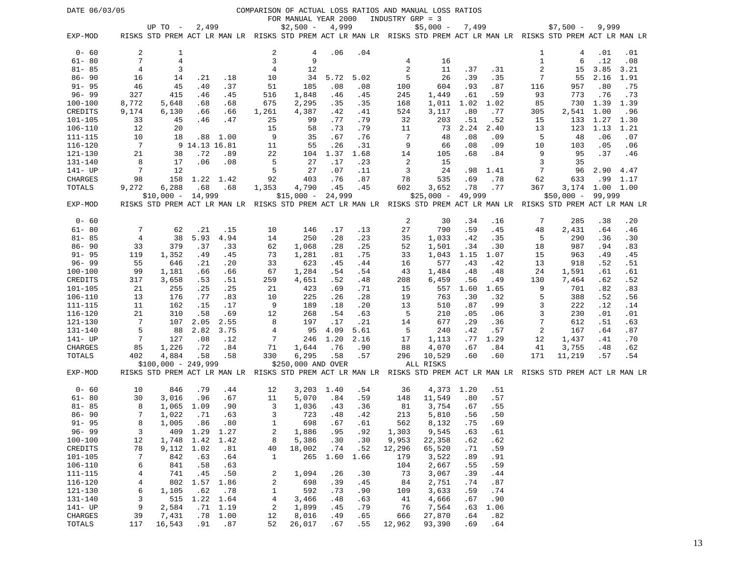| DATE 06/03/05          |                              |                                                                                                                                |               |             |                                  |                      |              |              |                  | COMPARISON OF ACTUAL LOSS RATIOS AND MANUAL LOSS RATIOS |             |             |                |              |                 |             |
|------------------------|------------------------------|--------------------------------------------------------------------------------------------------------------------------------|---------------|-------------|----------------------------------|----------------------|--------------|--------------|------------------|---------------------------------------------------------|-------------|-------------|----------------|--------------|-----------------|-------------|
|                        |                              |                                                                                                                                |               |             |                                  | FOR MANUAL YEAR 2000 |              |              | INDUSTRY GRP = 3 |                                                         |             |             |                |              |                 |             |
| EXP-MOD                |                              | UP TO -<br>RISKS STD PREM ACT LR MAN LR RISKS STD PREM ACT LR MAN LR RISKS STD PREM ACT LR MAN LR RISKS STD PREM ACT LR MAN LR | 2,499         |             |                                  | $$2,500 -$           | 4,999        |              |                  | $$5,000 -$                                              | 7,499       |             |                | $$7,500 -$   | 9,999           |             |
|                        |                              |                                                                                                                                |               |             |                                  |                      |              |              |                  |                                                         |             |             |                |              |                 |             |
| $0 - 60$               | 2                            | 1                                                                                                                              |               |             | 2                                | 4                    | .06          | .04          |                  |                                                         |             |             | 1              | 4            | .01             | .01         |
| $61 - 80$              | 7                            | 4                                                                                                                              |               |             | $\overline{3}$                   | 9                    |              |              | 4                | 16                                                      |             |             | $\mathbf{1}$   | 6            | .12             | .08         |
| $81 - 85$              | $\overline{4}$               | 3                                                                                                                              |               |             | 4                                | 12                   |              |              | 2                | 11                                                      | .37         | .31         | $\overline{c}$ | 15           | 3.85            | 3.21        |
| $86 - 90$              | 16                           | 14                                                                                                                             | . 21          | .18         | 10                               | 34                   | 5.72         | 5.02         | 5                | 26                                                      | .39         | .35         | 7              | 55           | 2.16            | 1.91        |
| $91 - 95$              | 46                           | 45                                                                                                                             | .40           | .37         | 51                               | 185                  | .08          | .08          | 100              | 604                                                     | .93         | .87         | 116            | 957          | .80             | .75         |
| $96 - 99$              | 327                          | 415                                                                                                                            | .46           | .45         | 516                              | 1,848                | .46          | .45          | 245              | 1,449                                                   | .61         | .59         | 93             | 773          | .76             | .73         |
| 100-100                | 8,772                        | 5,648                                                                                                                          | .68           | .68         | 675                              | 2,295                | .35          | .35          | 168              | 1,011                                                   | 1.02        | 1.02        | 85             | 730          | 1.39            | 1.39        |
| CREDITS                | 9,174                        | 6,130                                                                                                                          | .66           | .66         | 1,261                            | 4,387                | .42          | .41          | 524              | 3,117                                                   | .80         | .77         | 305            | 2,541        | 1.00            | .96         |
| 101-105                | 33                           | 45<br>20                                                                                                                       | .46           | .47         | 25<br>15                         | 99                   | . 77         | .79          | 32               | 203                                                     | .51         | .52         | 15             | 133          | 1.27            | 1.30        |
| $106 - 110$<br>111-115 | 12<br>10                     | 18                                                                                                                             | .88           | 1.00        | 9                                | 58<br>35             | .73<br>.67   | .79<br>.76   | 11<br>7          | 73<br>48                                                | 2.24<br>.08 | 2.40<br>.09 | 13<br>5        | 123<br>48    | 1.13<br>.06     | 1.21<br>.07 |
| 116-120                | 7                            |                                                                                                                                | 9 14.13 16.81 |             | 11                               | 55                   | .26          | .31          | 9                | 66                                                      | .08         | .09         | 10             | 103          | .05             | .06         |
| 121-130                | 21                           | 38                                                                                                                             | .72           | .89         | 22                               | 104                  | 1.37         | 1.68         | 14               | 105                                                     | .68         | .84         | 9              | 95           | .37             | .46         |
| 131-140                | 8                            | 17                                                                                                                             | .06           | .08         | 5                                | 27                   | .17          | .23          | 2                | 15                                                      |             |             | 3              | 35           |                 |             |
| 141- UP                | 7                            | 12                                                                                                                             |               |             | 5                                | 27                   | .07          | .11          | 3                | 24                                                      | .98         | 1.41        | 7              | 96           | 2.90            | 4.47        |
| CHARGES                | 98                           | 158                                                                                                                            |               | 1.22 1.42   | 92                               | 403                  | .76          | .87          | 78               | 535                                                     | .69         | .78         | 62             | 633          |                 | $.99$ 1.17  |
| TOTALS                 | 9,272                        | 6,288                                                                                                                          | .68           | .68         | 1,353                            | 4,790                | .45          | .45          | 602              | 3,652                                                   | .78         | .77         | 367            |              | 3,174 1.00 1.00 |             |
|                        |                              | $$10,000 -$                                                                                                                    | 14,999        |             |                                  | $$15,000 -$          | 24,999       |              |                  | $$25,000 -$                                             | 49,999      |             |                | $$50,000 -$  | 99,999          |             |
| EXP-MOD                |                              | RISKS STD PREM ACT LR MAN LR RISKS STD PREM ACT LR MAN LR RISKS STD PREM ACT LR MAN LR RISKS STD PREM ACT LR MAN LR            |               |             |                                  |                      |              |              |                  |                                                         |             |             |                |              |                 |             |
| $0 - 60$               |                              |                                                                                                                                |               |             |                                  |                      |              |              | 2                | 30                                                      | .34         | .16         | 7              | 285          | .38             | .20         |
| $61 - 80$              | 7                            | 62                                                                                                                             | .21           | .15         | 10                               | 146                  | .17          | .13          | 27               | 790                                                     | .59         | .45         | 48             | 2,431        | .64             | .46         |
| $81 - 85$              | $\overline{4}$               | 38                                                                                                                             | 5.93          | 4.94        | 14                               | 250                  | .28          | .23          | 35               | 1,033                                                   | .42         | .35         | 5              | 290          | .36             | .30         |
| $86 - 90$              | 33                           | 379                                                                                                                            | .37           | .33         | 62                               | 1,068                | .28          | .25          | 52               | 1,501                                                   | .34         | .30         | 18             | 987          | .94             | .83         |
| $91 - 95$              | 119                          | 1,352                                                                                                                          | .49           | .45         | 73                               | 1,281                | .81          | .75          | 33               | 1,043                                                   | 1.15        | 1.07        | 15             | 963          | .49             | .45         |
| $96 - 99$              | 55                           | 646                                                                                                                            | .21           | .20         | 33                               | 623                  | .45          | .44          | 16               | 577                                                     | .43         | .42         | 13             | 918          | .52             | .51         |
| 100-100                | 99                           | 1,181                                                                                                                          | .66           | .66         | 67                               | 1,284                | .54          | .54          | 43               | 1,484                                                   | .48         | .48         | 24             | 1,591        | .61             | .61         |
| CREDITS                | 317                          | 3,658                                                                                                                          | .53           | .51         | 259                              | 4,651                | .52          | .48          | 208              | 6,459                                                   | .56         | .49         | 130            | 7,464        | .62             | .52         |
| 101-105                | 21                           | 255                                                                                                                            | .25           | .25         | 21                               | 423                  | .69          | .71          | 15               | 557                                                     | 1.60        | 1.65        | 9              | 701          | .82             | .83         |
| $106 - 110$            | 13                           | 176                                                                                                                            | .77           | .83         | 10                               | 225                  | .26          | .28          | 19               | 763                                                     | .30         | .32         | 5              | 388          | .52             | .56         |
| 111-115                | 11                           | 162                                                                                                                            | .15           | .17         | 9                                | 189                  | .18          | .20          | 13               | 510                                                     | .87         | .99         | 3              | 222          | .12             | .14         |
| 116-120                | 21                           | 310                                                                                                                            | .58           | .69         | 12                               | 268                  | .54          | .63          | 5                | 210                                                     | .05         | .06         | 3              | 230          | .01             | .01         |
| 121-130<br>131-140     | 7<br>5                       | 107                                                                                                                            | 2.05          | 2.55        | 8                                | 197                  | .17          | .21          | 14<br>5          | 677                                                     | .29         | .36         | 7<br>2         | 612          | .51             | .63         |
| 141- UP                | 7                            | 88<br>127                                                                                                                      | 2.82<br>.08   | 3.75<br>.12 | 4<br>7                           | 95<br>246            | 4.09<br>1.20 | 5.61<br>2.16 | 17               | 240<br>1,113                                            | .42<br>. 77 | .57<br>1.29 | 12             | 167<br>1,437 | .64<br>.41      | .87<br>.70  |
| CHARGES                | 85                           | 1,226                                                                                                                          | .72           | .84         | 71                               | 1,644                | .76          | .90          | 88               | 4,070                                                   | .67         | .84         | 41             | 3,755        | .48             | .62         |
| TOTALS                 | 402                          | 4,884                                                                                                                          | .58           | .58         | 330                              | 6,295                | .58          | .57          | 296              | 10,529                                                  | .60         | .60         | 171            | 11,219       | .57             | .54         |
|                        |                              | $$100,000 - 249,999$                                                                                                           |               |             |                                  | \$250,000 AND OVER   |              |              |                  | ALL RISKS                                               |             |             |                |              |                 |             |
| EXP-MOD                |                              | RISKS STD PREM ACT LR MAN LR RISKS STD PREM ACT LR MAN LR RISKS STD PREM ACT LR MAN LR RISKS STD PREM ACT LR MAN LR            |               |             |                                  |                      |              |              |                  |                                                         |             |             |                |              |                 |             |
| $0 - 60$               | 10                           | 846                                                                                                                            | .79           | .44         | 12                               |                      | 3,203 1.40   | .54          | 36               | 4,373 1.20                                              |             | .51         |                |              |                 |             |
| $61 - 80$              | 30                           | 3,016                                                                                                                          | .96           | .67         | 11                               | 5,070                | .84          | .59          | 148              | 11,549                                                  | .80         | .57         |                |              |                 |             |
| $81 - 85$              | 8                            | 1,065                                                                                                                          | 1.09          | .90         | 3                                | 1,036                | .43          | .36          | 81               | 3,754                                                   | .67         | .55         |                |              |                 |             |
| $86 - 90$              | 7                            | 1,022                                                                                                                          | .71           | .63         | 3                                | 723                  | .48          | .42          | 213              | 5,810                                                   | .56         | .50         |                |              |                 |             |
| $91 - 95$              | 8                            | 1,005                                                                                                                          | .86           | .80         | $\mathbf{1}$                     | 698                  | .67          | .61          | 562              | 8,132                                                   | .75         | .69         |                |              |                 |             |
| $96 - 99$              | 3                            | 409                                                                                                                            | 1.29 1.27     |             | 2                                | 1,886                | .95          | .92          | 1,303            | 9,545                                                   | .63         | .61         |                |              |                 |             |
| $100 - 100$            | 12                           | 1,748                                                                                                                          | 1.42          | 1.42        | 8                                | 5,386                | .30          | .30          | 9,953            | 22,358                                                  | .62         | .62         |                |              |                 |             |
| CREDITS                | 78                           | 9,112                                                                                                                          | 1.02          | .81         | 40                               | 18,002               | .74          | .52          | 12,296           | 65,520                                                  | .71         | .59         |                |              |                 |             |
| 101-105                | 7                            | 842                                                                                                                            | .63           | .64         | 1                                | 265                  | 1.60         | 1.66         | 179              | 3,522                                                   | .89         | .91         |                |              |                 |             |
| $106 - 110$            | 6                            | 841                                                                                                                            | .58           | .63         |                                  |                      |              |              | 104              | 2,667                                                   | .55         | .59         |                |              |                 |             |
| $111 - 115$<br>116-120 | 4                            | 741                                                                                                                            | .45<br>1.57   | .50         | 2                                | 1,094                | .26          | .30          | 73               | 3,067                                                   | .39         | .44         |                |              |                 |             |
| 121-130                | $\overline{\mathbf{4}}$<br>6 | 802<br>1,105                                                                                                                   | .62           | 1.86<br>.78 | $\boldsymbol{2}$<br>$\mathbf{1}$ | 698<br>592           | .39<br>.73   | .45<br>.90   | 84<br>109        | 2,751<br>3,633                                          | .74<br>.59  | .87<br>.74  |                |              |                 |             |
| 131-140                | 3                            | 515                                                                                                                            | 1.22          | 1.64        | $\overline{4}$                   | 3,466                | .48          | .63          | 41               | 4,666                                                   | .67         | .90         |                |              |                 |             |
| 141- UP                | 9                            | 2,584                                                                                                                          | .71           | 1.19        | 2                                | 1,899                | .45          | .79          | 76               | 7,564                                                   | .63         | 1.06        |                |              |                 |             |
| CHARGES                | 39                           | 7,431                                                                                                                          | .78           | 1.00        | 12                               | 8,016                | .49          | .65          | 666              | 27,870                                                  | .64         | .82         |                |              |                 |             |
| TOTALS                 | 117                          | 16,543                                                                                                                         |               | $.91 - .87$ | 52                               | 26,017               | .67          | .55          | 12,962           | 93,390                                                  | .69         | .64         |                |              |                 |             |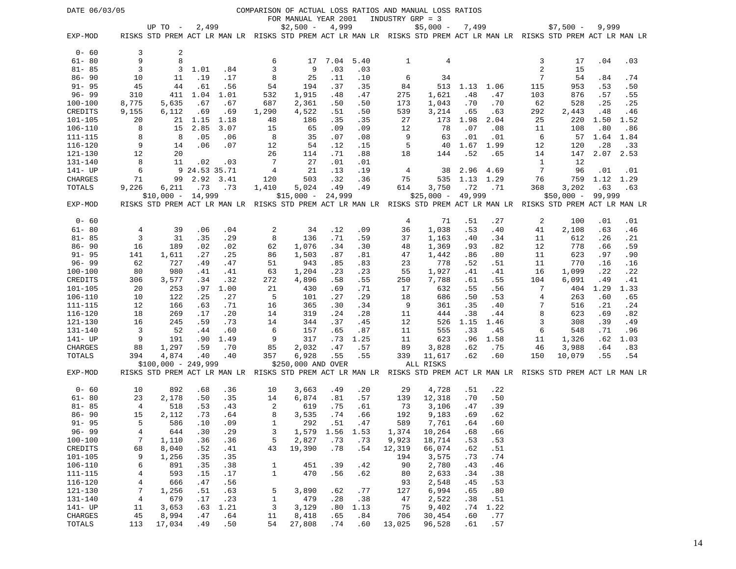| DATE 06/03/05            |                |                                                                                                                     |               |            |              |                      |               |            |                  | COMPARISON OF ACTUAL LOSS RATIOS AND MANUAL LOSS RATIOS |               |            |            |                      |                  |      |
|--------------------------|----------------|---------------------------------------------------------------------------------------------------------------------|---------------|------------|--------------|----------------------|---------------|------------|------------------|---------------------------------------------------------|---------------|------------|------------|----------------------|------------------|------|
|                          |                |                                                                                                                     |               |            |              | FOR MANUAL YEAR 2001 |               |            | INDUSTRY GRP = 3 |                                                         |               |            |            |                      |                  |      |
|                          |                | UP TO $-$                                                                                                           | 2,499         |            |              | $$2,500 -$           | 4,999         |            |                  | $$5,000 -$                                              | 7,499         |            |            | $$7,500 -$           | 9,999            |      |
| EXP-MOD                  |                | RISKS STD PREM ACT LR MAN LR RISKS STD PREM ACT LR MAN LR RISKS STD PREM ACT LR MAN LR RISKS STD PREM ACT LR MAN LR |               |            |              |                      |               |            |                  |                                                         |               |            |            |                      |                  |      |
|                          |                |                                                                                                                     |               |            |              |                      |               |            |                  |                                                         |               |            |            |                      |                  |      |
| $0 - 60$                 | 3              | 2                                                                                                                   |               |            |              |                      |               |            |                  |                                                         |               |            |            |                      |                  |      |
| $61 - 80$                | 9              | 8                                                                                                                   |               |            | 6            | 17                   | 7.04          | 5.40       | 1                | 4                                                       |               |            | 3          | 17                   | .04              | .03  |
| $81 - 85$                | 3              | 3                                                                                                                   | 1.01          | .84        | 3            | 9                    | .03           | .03        |                  |                                                         |               |            | $\sqrt{2}$ | 15                   |                  |      |
| $86 - 90$                | 10             | 11                                                                                                                  | .19           | .17        | 8            | 25                   | .11           | .10        | 6                | 34                                                      |               |            | 7          | 54                   | .84              | .74  |
| $91 - 95$                | 45             | 44                                                                                                                  | .61           | .56        | 54           | 194                  | .37           | .35        | 84               | 513                                                     | 1.13          | 1.06       | 115        | 953                  | .53              | .50  |
| $96 - 99$<br>$100 - 100$ | 310            | 411                                                                                                                 | 1.04          | 1.01       | 532          | 1,915                | .48           | .47        | 275              | 1,621                                                   | .48           | .47        | 103        | 876                  | .57              | .55  |
|                          | 8,775          | 5,635                                                                                                               | .67           | .67        | 687          | 2,361                | .50           | .50        | 173              | 1,043                                                   | .70           | .70        | 62         | 528                  | .25              | .25  |
| CREDITS                  | 9,155          | 6,112                                                                                                               | .69           | .69        | 1,290        | 4,522                | .51           | .50        | 539              | 3,214                                                   | .65           | .63        | 292        | 2,443                | .48              | .46  |
| $101 - 105$              | 20             | 21                                                                                                                  | 1.15          | 1.18       | 48           | 186                  | .35           | .35        | 27               | 173                                                     | 1.98          | 2.04       | 25         | 220                  | 1.50             | 1.52 |
| $106 - 110$              | 8              | 15                                                                                                                  | 2.85          | 3.07       | 15           | 65                   | .09           | .09        | 12               | 78                                                      | .07           | .08        | 11         | 108                  | .80              | .86  |
| 111-115                  | 8              | 8                                                                                                                   | .05           | .06        | 8            | 35                   | .07           | .08        | 9                | 63                                                      | .01           | .01        | 6          | 57                   | 1.64             | 1.84 |
| $116 - 120$              | 9              | 14                                                                                                                  | .06           | .07        | 12           | 54                   | .12           | .15        | 5                | 40                                                      | 1.67          | 1.99       | 12         | 120                  | .28              | .33  |
| 121-130                  | 12             | 20                                                                                                                  |               |            | 26           | 114                  | .71           | .88        | 18               | 144                                                     | .52           | .65        | 14         | 147                  | 2.07             | 2.53 |
| $131 - 140$              | 8<br>6         | 11                                                                                                                  | .02           | .03        | 7            | 27                   | .01           | .01        |                  |                                                         |               |            | 1<br>7     | 12                   |                  |      |
| 141- UP                  |                |                                                                                                                     | 9 24.53 35.71 |            | 4            | 21<br>503            | .13           | .19        | 4                | 38                                                      | 2.96          | 4.69       |            | 96                   | .01              | .01  |
| CHARGES                  | 71             | 99                                                                                                                  | 2.92          | 3.41       | 120          |                      | .32           | .36        | 75<br>614        | 535                                                     | 1.13          | 1.29       | 76<br>368  | 759                  | 1.12 1.29<br>.63 | .63  |
| TOTALS                   | 9,226          | 6,211<br>$$10,000 - 14,999$                                                                                         | .73           | .73        | 1,410        | 5,024                | .49<br>24,999 | .49        |                  | 3,750<br>$$25,000 -$                                    | .72<br>49,999 | .71        |            | 3,202<br>$$50,000 -$ | 99,999           |      |
| EXP-MOD                  |                | RISKS STD PREM ACT LR MAN LR RISKS STD PREM ACT LR MAN LR RISKS STD PREM ACT LR MAN LR RISKS STD PREM ACT LR MAN LR |               |            |              | $$15,000 -$          |               |            |                  |                                                         |               |            |            |                      |                  |      |
|                          |                |                                                                                                                     |               |            |              |                      |               |            |                  |                                                         |               |            |            |                      |                  |      |
| $0 - 60$                 |                |                                                                                                                     |               |            |              |                      |               |            | 4                | 71                                                      | .51           | .27        | 2          | 100                  | .01              | .01  |
| $61 - 80$                | 4              | 39                                                                                                                  | .06           | .04        | 2            | 34                   | .12           | .09        | 36               | 1,038                                                   | .53           | .40        | 41         | 2,108                | .63              | .46  |
| $81 - 85$                | 3              | 31                                                                                                                  | .35           | .29        | 8            | 136                  | .71           | .59        | 37               | 1,163                                                   | .40           | .34        | 11         | 612                  | .26              | .21  |
| $86 - 90$                | 16             | 189                                                                                                                 | .02           | .02        | 62           | 1,076                | .34           | .30        | 48               | 1,369                                                   | .93           | .82        | 12         | 778                  | .66              | .59  |
| $91 - 95$                | 141            | 1,611                                                                                                               | .27           | .25        | 86           | 1,503                | .87           | .81        | 47               | 1,442                                                   | .86           | .80        | 11         | 623                  | .97              | .90  |
| $96 - 99$                | 62             | 727                                                                                                                 | .49           | .47        | 51           | 943                  | .85           | .83        | 23               | 778                                                     | .52           | .51        | 11         | 770                  | .16              | .16  |
| $100 - 100$              | 80             | 980                                                                                                                 | .41           | .41        | 63           | 1,204                | .23           | .23        | 55               | 1,927                                                   | .41           | .41        | 16         | 1,099                | .22              | .22  |
| CREDITS                  | 306            | 3,577                                                                                                               | .34           | .32        | 272          | 4,896                | .58           | .55        | 250              | 7,788                                                   | .61           | .55        | 104        | 6,091                | .49              | .41  |
| $101 - 105$              | 20             | 253                                                                                                                 | .97           | 1.00       | 21           | 430                  | .69           | .71        | 17               | 632                                                     | .55           | .56        | 7          | 404                  | 1.29             | 1.33 |
| $106 - 110$              | 10             | 122                                                                                                                 | .25           | .27        | 5            | 101                  | .27           | .29        | 18               | 686                                                     | .50           | .53        | 4          | 263                  | .60              | .65  |
| 111-115                  | 12             | 166                                                                                                                 | .63           | .71        | 16           | 365                  | .30           | .34        | 9                | 361                                                     | .35           | .40        | 7          | 516                  | .21              | .24  |
| $116 - 120$              | 18             | 269                                                                                                                 | .17           | .20        | 14           | 319                  | .24           | .28        | 11               | 444                                                     | .38           | .44        | 8          | 623                  | .69              | .82  |
| 121-130                  | 16             | 245                                                                                                                 | .59           | .73        | 14           | 344                  | .37           | .45        | 12               | 526                                                     | 1.15          | 1.46       | 3          | 308                  | .39              | .49  |
| 131-140                  | 3              | 52                                                                                                                  | .44           | .60        | 6            | 157                  | .65           | .87        | 11               | 555                                                     | .33           | .45        | 6          | 548                  | .71              | .96  |
| 141- UP                  | 9              | 191                                                                                                                 | .90           | 1.49       | 9            | 317                  | .73           | 1.25       | 11               | 623                                                     | .96           | 1.58       | 11         | 1,326                | .62              | 1.03 |
| CHARGES                  | 88             | 1,297                                                                                                               | .59           | .70        | 85           | 2,032                | .47           | .57        | 89               | 3,828                                                   | .62           | .75        | 46         | 3,988                | .64              | .83  |
| TOTALS                   | 394            | 4,874                                                                                                               | .40           | .40        | 357          | 6,928                | .55           | .55        | 339              | 11,617                                                  | .62           | .60        | 150        | 10,079               | .55              | .54  |
|                          |                | $$100,000 - 249,999$                                                                                                |               |            |              | \$250,000 AND OVER   |               |            |                  | ALL RISKS                                               |               |            |            |                      |                  |      |
| EXP-MOD                  |                | RISKS STD PREM ACT LR MAN LR RISKS STD PREM ACT LR MAN LR RISKS STD PREM ACT LR MAN LR RISKS STD PREM ACT LR MAN LR |               |            |              |                      |               |            |                  |                                                         |               |            |            |                      |                  |      |
| $0 - 60$<br>$61 - 80$    | 10<br>23       | 892<br>2,178                                                                                                        | .68<br>.50    | .36<br>.35 | 10<br>14     | 3,663<br>6,874       | .49<br>.81    | .20<br>.57 | 29<br>139        | 4,728                                                   | .51<br>.70    | .22<br>.50 |            |                      |                  |      |
| $81 - 85$                | 4              | 518                                                                                                                 | .53           | .43        | 2            | 619                  | .75           | .61        | 73               | 12,318<br>3,106                                         | .47           | .39        |            |                      |                  |      |
| $86 - 90$                | 15             | 2,112                                                                                                               | .73           | .64        | 8            | 3,535                | .74           | .66        | 192              | 9,183                                                   | .69           | .62        |            |                      |                  |      |
| $91 - 95$                | 5              | 586                                                                                                                 | .10           | .09        | 1            | 292                  | .51           | .47        | 589              | 7,761                                                   | .64           | .60        |            |                      |                  |      |
| $96 - 99$                | $\overline{4}$ | 644                                                                                                                 | .30           | .29        | 3            | 1,579                | 1.56          | 1.53       | 1,374            | 10,264                                                  | .68           | .66        |            |                      |                  |      |
| $100 - 100$              | 7              | 1,110                                                                                                               | .36           | .36        | 5            | 2,827                | .73           | .73        | 9,923            | 18,714                                                  | .53           | .53        |            |                      |                  |      |
| CREDITS                  | 68             | 8,040                                                                                                               | .52           | .41        | 43           | 19,390               | .78           | .54        | 12,319           | 66,074                                                  | .62           | .51        |            |                      |                  |      |
| $101 - 105$              | 9              | 1,256                                                                                                               | .35           | .35        |              |                      |               |            | 194              | 3,575                                                   | .73           | .74        |            |                      |                  |      |
| $106 - 110$              | 6              | 891                                                                                                                 | .35           | .38        | $\mathbf{1}$ | 451                  | .39           | .42        | 90               | 2,780                                                   | .43           | .46        |            |                      |                  |      |
| 111-115                  | 4              | 593                                                                                                                 | .15           | .17        | $\mathbf{1}$ | 470                  | .56           | .62        | 80               | 2,633                                                   | .34           | .38        |            |                      |                  |      |
| $116 - 120$              | $\,4$          | 666                                                                                                                 | .47           | .56        |              |                      |               |            | 93               | 2,548                                                   | .45           | .53        |            |                      |                  |      |
| $121 - 130$              | 7              | 1,256                                                                                                               | .51           | .63        | 5            | 3,890                | .62           | .77        | 127              | 6,994                                                   | .65           | .80        |            |                      |                  |      |
| $131 - 140$              | $\,4$          | 679                                                                                                                 | .17           | .23        | $\mathbf{1}$ | 479                  | .28           | .38        | 47               | 2,522                                                   | .38           | .51        |            |                      |                  |      |
| $141 - UP$               | 11             | 3,653                                                                                                               | .63           | 1.21       | 3            | 3,129                | .80           | 1.13       | 75               | 9,402                                                   | .74           | 1.22       |            |                      |                  |      |
| CHARGES                  | 45             | 8,994                                                                                                               | .47           | .64        | 11           | 8,418                | .65           | .84        | 706              | 30,454                                                  | .60           | .77        |            |                      |                  |      |
| TOTALS                   | 113            | 17,034                                                                                                              | .49           | .50        | 54           | 27,808               | .74           | .60        | 13,025           | 96,528                                                  | .61           | .57        |            |                      |                  |      |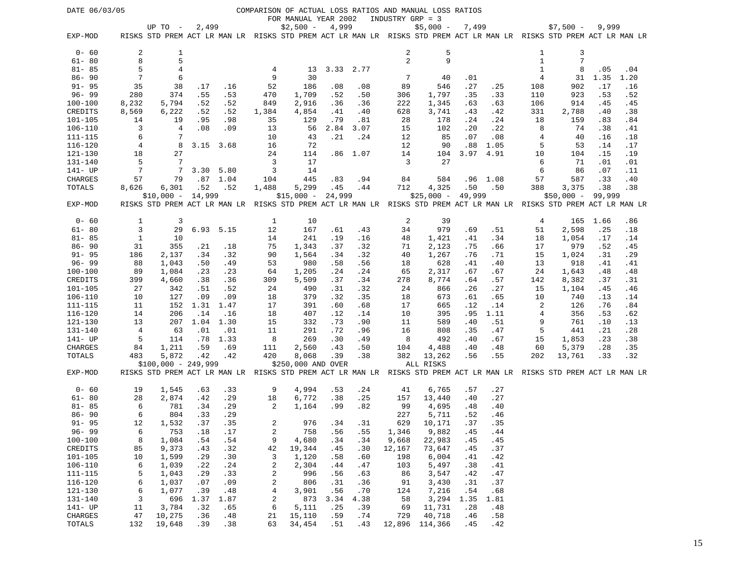| DATE 06/03/05              |          |                                                                                                                     |            |            |                |                      |             |            |                  | COMPARISON OF ACTUAL LOSS RATIOS AND MANUAL LOSS RATIOS |            |            |          |                                                                                        |            |            |
|----------------------------|----------|---------------------------------------------------------------------------------------------------------------------|------------|------------|----------------|----------------------|-------------|------------|------------------|---------------------------------------------------------|------------|------------|----------|----------------------------------------------------------------------------------------|------------|------------|
|                            |          |                                                                                                                     |            |            |                | FOR MANUAL YEAR 2002 |             |            | INDUSTRY GRP = 3 |                                                         |            |            |          |                                                                                        |            |            |
|                            |          | UP TO -                                                                                                             | 2,499      |            |                | $$2,500 -$           | 4,999       |            |                  | $$5,000 -$                                              | 7,499      |            |          | $$7,500 -$                                                                             | 9,999      |            |
| EXP-MOD                    |          | RISKS STD PREM ACT LR MAN LR RISKS STD PREM ACT LR MAN LR RISKS STD PREM ACT LR MAN LR RISKS STD PREM ACT LR MAN LR |            |            |                |                      |             |            |                  |                                                         |            |            |          |                                                                                        |            |            |
| $0 - 60$                   | 2        | 1                                                                                                                   |            |            |                |                      |             |            | 2                | 5                                                       |            |            | 1        | 3                                                                                      |            |            |
| $61 - 80$                  | 8        | 5                                                                                                                   |            |            |                |                      |             |            | 2                | 9                                                       |            |            | 1        | 7                                                                                      |            |            |
| $81 - 85$                  | 5        | $\overline{4}$                                                                                                      |            |            | 4              | 13                   | 3.33 2.77   |            |                  |                                                         |            |            | 1        | 8                                                                                      | .05        | .04        |
| $86 - 90$                  | 7        | 6                                                                                                                   |            |            | 9              | 30                   |             |            | 7                | 40                                                      | .01        |            | 4        | 31                                                                                     | 1.35       | 1.20       |
| $91 - 95$                  | 35       | 38                                                                                                                  | .17        | .16        | 52             | 186                  | .08         | .08        | 89               | 546                                                     | .27        | .25        | 108      | 902                                                                                    | .17        | .16        |
| $96 - 99$                  | 280      | 374                                                                                                                 | .55        | .53        | 470            | 1,709                | .52         | .50        | 306              | 1,797                                                   | .35        | .33        | 110      | 923                                                                                    | .53        | .52        |
| $100 - 100$                | 8,232    | 5,794                                                                                                               | .52        | .52        | 849            | 2,916                | .36         | .36        | 222              | 1,345                                                   | .63        | .63        | 106      | 914                                                                                    | .45        | .45        |
| CREDITS                    | 8,569    | 6,222                                                                                                               | .52        | .52        | 1,384          | 4,854                | .41         | .40        | 628              | 3,741                                                   | .43        | .42        | 331      | 2,788                                                                                  | .40        | .38        |
| $101 - 105$                | 14       | 19                                                                                                                  | .95        | .98        | 35             | 129                  | .79         | .81        | 28               | 178                                                     | .24        | .24        | 18       | 159                                                                                    | .83        | .84        |
| $106 - 110$                | 3        | $\overline{4}$                                                                                                      | .08        | .09        | 13             | 56                   | 2.84        | 3.07       | 15               | 102                                                     | .20        | .22        | 8        | 74                                                                                     | .38        | .41        |
| 111-115                    | 6        | 7                                                                                                                   |            |            | 10             | 43                   | .21         | .24        | 12               | 85                                                      | .07        | .08        | 4        | 40                                                                                     | .16        | .18        |
| $116 - 120$                | 4        | 8                                                                                                                   | 3.15       | 3.68       | 16             | 72                   |             |            | 12               | 90                                                      | .88        | 1.05       | 5        | 53                                                                                     | .14        | .17        |
| 121-130                    | 18       | 27                                                                                                                  |            |            | 24             | 114                  |             | $.86$ 1.07 | 14               | 104                                                     | 3.97       | 4.91       | 10       | 104                                                                                    | .15        | .19        |
| 131-140                    | 5        | $7\phantom{.0}$                                                                                                     |            |            | 3              | 17                   |             |            | 3                | 27                                                      |            |            | 6        | 71                                                                                     | .01        | .01        |
| 141- UP                    | 7        | -7                                                                                                                  | 3.30       | 5.80       | 3              | 14                   |             |            |                  |                                                         |            |            | 6        | 86                                                                                     | .07        | .11        |
| CHARGES                    | 57       | 79                                                                                                                  | .87        | 1.04       | 104            | 445                  | .83         | .94        | 84               | 584                                                     | .96        | 1.08       | 57       | 587                                                                                    | .33        | .40        |
| TOTALS                     | 8,626    | 6,301                                                                                                               | .52        | .52        | 1,488          | 5,299                | .45         | .44        | 712              | 4,325                                                   | .50        | .50        | 388      | 3,375                                                                                  | .38        | .38        |
|                            |          | $$10,000 -$                                                                                                         | 14,999     |            |                | $$15,000 -$          | 24,999      |            |                  | $$25,000 -$                                             | 49,999     |            |          | $$50,000 -$                                                                            | 99,999     |            |
| EXP-MOD                    |          | RISKS STD PREM ACT LR MAN LR                                                                                        |            |            |                |                      |             |            |                  |                                                         |            |            |          | RISKS STD PREM ACT LR MAN LR RISKS STD PREM ACT LR MAN LR RISKS STD PREM ACT LR MAN LR |            |            |
|                            |          |                                                                                                                     |            |            |                |                      |             |            |                  |                                                         |            |            |          |                                                                                        |            |            |
| $0 - 60$                   | 1        | 3                                                                                                                   |            |            | 1              | 10                   |             |            | 2                | 39                                                      |            |            | 4        | 165                                                                                    | 1.66       | .86        |
| $61 - 80$                  | 3        | 29                                                                                                                  | 6.93       | 5.15       | 12             | 167                  | .61         | .43        | 34               | 979                                                     | .69        | .51        | 51       | 2,598                                                                                  | .25        | .18        |
| $81 - 85$                  | 1        | 10                                                                                                                  |            |            | 14             | 241                  | .19         | .16        | 48               | 1,421                                                   | .41        | .34        | 18       | 1,054                                                                                  | .17        | .14        |
| $86 - 90$                  | 31       | 355                                                                                                                 | .21        | .18        | 75             | 1,343                | .37         | .32        | 71               | 2,123                                                   | .75        | .66        | 17       | 979                                                                                    | .52        | .45        |
| $91 - 95$<br>$96 - 99$     | 186      | 2,137                                                                                                               | .34        | .32        | 90             | 1,564<br>980         | .34         | .32        | 40               | 1,267                                                   | .76        | .71        | 15       | 1,024<br>918                                                                           | .31        | .29        |
| $100 - 100$                | 88<br>89 | 1,043<br>1,084                                                                                                      | .50        | .49<br>.23 | 53             | 1,205                | .58<br>.24  | .56<br>.24 | 18<br>65         | 628<br>2,317                                            | .41<br>.67 | .40<br>.67 | 13<br>24 | 1,643                                                                                  | .41<br>.48 | .41<br>.48 |
| CREDITS                    | 399      | 4,660                                                                                                               | .23<br>.38 | .36        | 64<br>309      | 5,509                | .37         | .34        | 278              | 8,774                                                   | .64        | .57        | 142      | 8,382                                                                                  | .37        | .31        |
| $101 - 105$                | 27       | 342                                                                                                                 | .51        | .52        | 24             | 490                  | .31         | .32        | 24               | 866                                                     | .26        | .27        | 15       | 1,104                                                                                  | .45        | .46        |
| 106-110                    | 10       | 127                                                                                                                 | .09        | .09        | 18             | 379                  | .32         | .35        | 18               | 673                                                     | .61        | .65        | 10       | 740                                                                                    | .13        | .14        |
| 111-115                    | 11       | 152                                                                                                                 | 1.31       | 1.47       | 17             | 391                  | .60         | .68        | 17               | 665                                                     | .12        | .14        | 2        | 126                                                                                    | .76        | .84        |
| 116-120                    | 14       | 206                                                                                                                 | .14        | .16        | 18             | 407                  | .12         | .14        | 10               | 395                                                     | .95        | 1.11       | 4        | 356                                                                                    | .53        | .62        |
| 121-130                    | 13       | 207                                                                                                                 | 1.04       | 1.30       | 15             | 332                  | .73         | .90        | 11               | 589                                                     | .40        | .51        | 9        | 761                                                                                    | .10        | .13        |
| 131-140                    | 4        | 63                                                                                                                  | .01        | .01        | 11             | 291                  | .72         | .96        | 16               | 808                                                     | .35        | .47        | 5        | 441                                                                                    | .21        | .28        |
| 141- UP                    | 5        | 114                                                                                                                 | .78        | 1.33       | 8              | 269                  | .30         | .49        | 8                | 492                                                     | .40        | .67        | 15       | 1,853                                                                                  | .23        | .38        |
| CHARGES                    | 84       | 1,211                                                                                                               | .59        | .69        | 111            | 2,560                | .43         | .50        | 104              | 4,488                                                   | .40        | .48        | 60       | 5,379                                                                                  | .28        | .35        |
| TOTALS                     | 483      | 5,872                                                                                                               | .42        | .42        | 420            | 8,068                | .39         | .38        | 382              | 13,262                                                  | .56        | .55        | 202      | 13,761                                                                                 | .33        | .32        |
|                            |          | $$100,000 - 249,999$                                                                                                |            |            |                | \$250,000 AND OVER   |             |            |                  | ALL RISKS                                               |            |            |          |                                                                                        |            |            |
| EXP-MOD                    |          | RISKS STD PREM ACT LR MAN LR RISKS STD PREM ACT LR MAN LR RISKS STD PREM ACT LR MAN LR RISKS STD PREM ACT LR MAN LR |            |            |                |                      |             |            |                  |                                                         |            |            |          |                                                                                        |            |            |
| $0 - 60$                   | 19       | 1,545                                                                                                               | .63        | .33        | 9              | 4,994                | .53         | .24        | 41               | 6,765                                                   | .57        | .27        |          |                                                                                        |            |            |
| $61 - 80$                  | 28       | 2,874                                                                                                               | .42        | .29        | 18             | 6,772                | .38         | .25        | 157              | 13,440                                                  | .40        | .27        |          |                                                                                        |            |            |
| $81 - 85$                  | 6        | 781                                                                                                                 | .34        | .29        | 2              | 1,164                | .99         | .82        | 99               | 4,695                                                   | .48        | .40        |          |                                                                                        |            |            |
| $86 - 90$                  | 6        | 804                                                                                                                 | .33        | .29        |                |                      |             |            | 227              | 5,711                                                   | .52        | .46        |          |                                                                                        |            |            |
| $91 - 95$                  | 12       | 1,532                                                                                                               | .37        | .35        | 2              | 976                  | .34         | .31        | 629              | 10,171                                                  | .37        | .35        |          |                                                                                        |            |            |
| $96 - 99$                  | 6        | 753                                                                                                                 | .18        | .17        | 2              | 758                  | .56         | .55        | 1,346            | 9,882                                                   | .45        | .44        |          |                                                                                        |            |            |
| $100 - 100$                | 8        | 1,084                                                                                                               | .54        | .54        | 9              | 4,680                | .34         | .34        | 9,668            | 22,983                                                  | .45        | .45        |          |                                                                                        |            |            |
| CREDITS                    | 85       | 9,373                                                                                                               | .43        | .32        | 42             | 19,344               | .45         | .30        | 12,167           | 73,647                                                  | .45        | .37        |          |                                                                                        |            |            |
| $101 - 105$                | 10       | 1,599                                                                                                               | .29        | .30        | 3              | 1,120                | .58         | .60        | 198              | 6,004                                                   | .41        | .42        |          |                                                                                        |            |            |
| $106 - 110$                | 6        | 1,039                                                                                                               | .22        | .24        | 2              | 2,304                | .44         | .47        | 103              | 5,497                                                   | .38        | .41        |          |                                                                                        |            |            |
| $111 - 115$                | 5        | 1,043                                                                                                               | .29        | .33        | 2              | 996                  | .56         | .63        | 86               | 3,547                                                   | .42        | .47        |          |                                                                                        |            |            |
| $116 - 120$                | 6        | 1,037                                                                                                               | .07        | .09        | 2              | 806                  | .31         | .36        | 91               | 3,430                                                   | .31        | .37        |          |                                                                                        |            |            |
| $121 - 130$<br>$131 - 140$ | 6        | 1,077                                                                                                               | .39        | .48        | $\overline{4}$ | 3,901                | .56         | .70        | 124              | 7,216                                                   | .54        | .68        |          |                                                                                        |            |            |
| 141- UP                    | 3        | 696<br>3,784                                                                                                        | 1.37       | 1.87       | 2              | 873                  | 3.34<br>.25 | 4.38       | 58               | 3,294<br>11,731                                         | 1.35       | 1.81       |          |                                                                                        |            |            |
| CHARGES                    | 11<br>47 |                                                                                                                     | .32<br>.36 | .65        | 6              | 5,111                | .59         | .39        | 69<br>729        | 40,718                                                  | .28<br>.46 | .48        |          |                                                                                        |            |            |
| TOTALS                     | 132      | 10,275<br>19,648                                                                                                    | .39        | .48<br>.38 | 21<br>63       | 15,110<br>34,454     | .51         | .74<br>.43 |                  | 12,896 114,366                                          | .45        | .58<br>.42 |          |                                                                                        |            |            |
|                            |          |                                                                                                                     |            |            |                |                      |             |            |                  |                                                         |            |            |          |                                                                                        |            |            |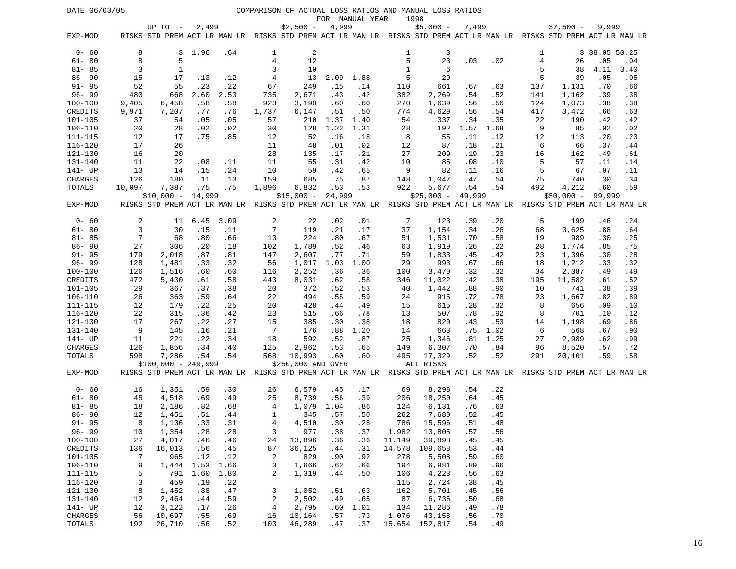| DATE 06/03/05      |                |                      |            |            |                 |                    |            |                 |              | COMPARISON OF ACTUAL LOSS RATIOS AND MANUAL LOSS RATIOS                                                                            |            |            |           |             |               |            |
|--------------------|----------------|----------------------|------------|------------|-----------------|--------------------|------------|-----------------|--------------|------------------------------------------------------------------------------------------------------------------------------------|------------|------------|-----------|-------------|---------------|------------|
|                    |                |                      |            |            |                 |                    |            | FOR MANUAL YEAR |              | 1998                                                                                                                               |            |            |           |             |               |            |
| EXP-MOD            |                | UP TO $-$            | 2,499      |            |                 | $$2,500 -$         | 4,999      |                 |              | $$5,000 -$<br>RISKS STD PREM ACT LR MAN LR RISKS STD PREM ACT LR MAN LR RISKS STD PREM ACT LR MAN LR RISKS STD PREM ACT LR MAN LR  | 7,499      |            |           | $$7,500 -$  | 9,999         |            |
|                    |                |                      |            |            |                 |                    |            |                 |              |                                                                                                                                    |            |            |           |             |               |            |
| $0 - 60$           | 8              | 3                    | 1.96       | .64        | 1               | 2                  |            |                 | 1            | 3                                                                                                                                  |            |            | 1         |             | 3 38.05 50.25 |            |
| $61 - 80$          | 8              | 5                    |            |            | 4               | 12                 |            |                 | 5            | 23                                                                                                                                 | .03        | .02        | $\bf 4$   | 26          | .05           | .04        |
| $81 - 85$          | 3              | 1                    |            |            | 3               | 10                 |            |                 | $\mathbf{1}$ | 6                                                                                                                                  |            |            | 5         | 38          | 4.11          | 3.40       |
| $86 - 90$          | 15             | 17                   | .13        | .12        | 4               | 13                 | 2.09       | 1.88            | 5            | 29                                                                                                                                 |            |            | 5         | 39          | .05           | .05        |
| $91 - 95$          | 52             | 55                   | .23        | .22        | 67              | 249                | .15        | .14             | 110          | 661                                                                                                                                | .67        | .63        | 137       | 1,131       | .70           | .66        |
| $96 - 99$          | 480            | 668                  | 2.60       | 2.53       | 735             | 2,671              | .43        | .42             | 382          | 2,269                                                                                                                              | .54        | .52        | 141       | 1,162       | .39           | .38        |
| $100 - 100$        | 9,405          | 6,458                | .58        | .58        | 923             | 3,190              | .60        | .60             | 270          | 1,639                                                                                                                              | .56        | .56        | 124       | 1,073       | .38           | .38        |
| CREDITS            | 9,971          | 7,207                | . 77       | .76        | 1,737           | 6,147              | .51        | .50             | 774          | 4,629                                                                                                                              | .56        | .54        | 417       | 3,472       | .66           | .63        |
| $101 - 105$        | 37             | 54                   | .05        | .05        | 57              | 210                | 1.37       | 1.40            | 54           | 337                                                                                                                                | .34        | .35        | 22        | 190         | .42           | .42        |
| $106 - 110$        | 20             | 28                   | .02        | .02        | 30              | 128                | 1.22       | 1.31            | 28           | 192                                                                                                                                | 1.57       | 1.68       | 9         | 85          | .02           | .02        |
| 111-115            | 12             | 17                   | .75        | .85        | 12              | 52                 | .16        | .18             | 8            | 55                                                                                                                                 | .11        | .12        | 12        | 113         | .20           | .23        |
| $116 - 120$        | 17             | 26                   |            |            | 11              | 48                 | .01        | .02             | 12           | 87                                                                                                                                 | .18        | .21        | 6         | 66          | .37           | .44        |
| 121-130            | 16             | 20                   |            |            | 28              | 135                | .17        | .21             | 27           | 209                                                                                                                                | .19        | .23        | 16        | 162         | .49           | .61        |
| 131-140            | 11             | 22                   | .08        | .11        | 11              | 55                 | .31        | .42             | 10           | 85                                                                                                                                 | .08        | .10        | 5         | 57          | .11           | .14        |
| 141- UP            | 13             | 14                   | .15        | .24        | 10              | 59                 | .42        | .65             | 9            | 82                                                                                                                                 | .11        | .16        | 5         | 67          | .07           | .11        |
| CHARGES            | 126            | 180                  | .11        | .13        | 159             | 685                | .75        | .87             | 148          | 1,047                                                                                                                              | .47        | .54        | 75        | 740         | .30           | .34        |
| TOTALS             | 10,097         | 7,387                | .75        | .75        | 1,896           | 6,832              | .53        | .53             | 922          | 5,677                                                                                                                              | .54        | .54        | 492       | 4,212       | .60           | .59        |
| EXP-MOD            |                | $$10,000 -$          | 14,999     |            |                 | $$15,000 -$        | 24,999     |                 |              | $$25,000 -$<br>RISKS STD PREM ACT LR MAN LR RISKS STD PREM ACT LR MAN LR RISKS STD PREM ACT LR MAN LR RISKS STD PREM ACT LR MAN LR | 49,999     |            |           | $$50,000 -$ | 99,999        |            |
|                    |                |                      |            |            |                 |                    |            |                 |              |                                                                                                                                    |            |            |           |             |               |            |
| $0 - 60$           | 2              | 11                   | 6.45       | 3.09       | 2               | 22                 | .02        | .01             | 7            | 123                                                                                                                                | .39        | .20        | 5         | 199         | .46           | .24        |
| $61 - 80$          | $\overline{3}$ | 30                   | .15        | .11        | $\overline{7}$  | 119                | .21        | .17             | 37           | 1,154                                                                                                                              | .34        | .26        | 68        | 3,625       | .88           | .64        |
| $81 - 85$          | 7              | 68                   | .80        | .66        | 13              | 224                | .80        | .67             | 51           | 1,531                                                                                                                              | .70        | .58        | 19        | 989         | .30           | .25        |
| $86 - 90$          | 27             | 306                  | .20        | .18        | 102             | 1,789              | .52        | .46             | 63           | 1,919                                                                                                                              | .26        | .22        | 28        | 1,774       | .85           | .75        |
| $91 - 95$          | 179            | 2,018                | .87        | .81        | 147             | 2,607              | .77        | .71             | 59           | 1,833                                                                                                                              | .45        | .42        | 23        | 1,396       | .30           | .28        |
| $96 - 99$          | 128            | 1,481                | .33        | .32        | 56              | 1,017              | 1.03       | 1.00            | 29           | 993                                                                                                                                | .67        | .66        | 18        | 1,212       | .33           | .32        |
| $100 - 100$        | 126            | 1,516                | .60        | .60        | 116             | 2,252              | .36        | .36             | 100          | 3,470                                                                                                                              | .32        | .32        | 34        | 2,387       | .49           | .49        |
| CREDITS            | 472            | 5,430                | .61        | .58        | 443             | 8,031              | .62        | .58             | 346          | 11,022                                                                                                                             | .42        | .38        | 195       | 11,582      | .61           | .52        |
| 101-105            | 29             | 367                  | .37        | .38        | 20              | 372                | .52        | .53             | 40           | 1,442                                                                                                                              | .88        | .90        | 10        | 741         | .38           | .39        |
| 106-110            | 26             | 363                  | .59        | .64        | 22              | 494                | .55        | .59             | 24           | 915                                                                                                                                | .72        | .78        | 23        | 1,667       | .82           | .89        |
| $111 - 115$        | 12             | 179                  | .22        | .25        | 20              | 428                | .44        | .49             | 15           | 615                                                                                                                                | .28        | .32        | 8         | 656         | .09           | .10        |
| 116-120            | 22             | 315                  | .36        | .42        | 23              | 515                | .66        | .78             | 13           | 507                                                                                                                                | .78        | .92        | 8         | 701         | .10           | .12        |
| 121-130            | 17             | 267                  | .22        | .27        | 15              | 385                | .30        | .38             | 18           | 820                                                                                                                                | .43        | .53        | 14        | 1,198       | .69           | .86        |
| 131-140            | 9              | 145                  | .16        | .21        | $7\phantom{.0}$ | 176                | .88        | 1.20            | 14           | 663                                                                                                                                | .75        | 1.02       | 6         | 568         | .67           | .90        |
| 141- UP            | 11             | 221                  | .22        | .34        | 18              | 592                | .52        | .87             | 25           | 1,346                                                                                                                              | .81        | 1.25       | 27        | 2,989       | .62           | .99        |
| CHARGES<br>TOTALS  | 126<br>598     | 1,856<br>7,286       | .34<br>.54 | .40<br>.54 | 125<br>568      | 2,962<br>10,993    | .53<br>.60 | .65<br>.60      | 149<br>495   | 6,307<br>17,329                                                                                                                    | .70<br>.52 | .84<br>.52 | 96<br>291 | 8,520       | .57<br>.59    | .72<br>.58 |
|                    |                | $$100,000 - 249,999$ |            |            |                 | \$250,000 AND OVER |            |                 |              | ALL RISKS                                                                                                                          |            |            |           | 20,101      |               |            |
| EXP-MOD            |                |                      |            |            |                 |                    |            |                 |              | RISKS STD PREM ACT LR MAN LR RISKS STD PREM ACT LR MAN LR RISKS STD PREM ACT LR MAN LR RISKS STD PREM ACT LR MAN LR                |            |            |           |             |               |            |
|                    |                |                      |            |            |                 |                    |            |                 |              |                                                                                                                                    |            |            |           |             |               |            |
| $0 - 60$           | 16             | 1,351                | .59        | .30        | 26              | 6,579              | .45        | .17             | 69           | 8,298                                                                                                                              | .54        | .22        |           |             |               |            |
| $61 - 80$          | 45             | 4,518                | .69        | .49        | 25              | 8,739              | .56        | .39             | 206          | 18,250                                                                                                                             | .64        | .45        |           |             |               |            |
| $81 - 85$          | 18             | 2,186                | .82        | .68        | 4               | 1,079              | 1.04       | .86             | 124          | 6,131                                                                                                                              | .76        | .63        |           |             |               |            |
| $86 - 90$          | 12             | 1,451                | .51        | .44        | 1               | 345                | .57        | .50             | 262          | 7,680                                                                                                                              | .52        | .45        |           |             |               |            |
| $91 - 95$          | 8              | 1,136                | .33        | .31        | 4               | 4,510              | .30        | .28             | 786          | 15,596                                                                                                                             | .51        | .48        |           |             |               |            |
| $96 - 99$          | 10             | 1,354                | .28        | .28        | 3               | 977                | .38        | .37             | 1,982        | 13,805                                                                                                                             | .57        | .56        |           |             |               |            |
| $100 - 100$        | 27             | 4,017                | .46        | .46        | 24              | 13,896             | .36        | .36             | 11,149       | 39,898                                                                                                                             | .45        | .45        |           |             |               |            |
| CREDITS            | 136            | 16,013               | .56        | .45        | 87              | 36,125             | .44        | .31             | 14,578       | 109,658                                                                                                                            | .53        | .44        |           |             |               |            |
| 101-105            | 7              | 965                  | .12        | .12        | 2               | 829                | .90        | .92             | 278          | 5,508                                                                                                                              | .59        | .60        |           |             |               |            |
| $106 - 110$        | 9              | 1,444                | 1.53       | 1.66       | 3               | 1,666              | .62        | .66             | 194          | 6,981                                                                                                                              | .89        | .96        |           |             |               |            |
| $111 - 115$        | 5              | 791                  | 1.60       | 1.80       | 2               | 1,319              | .44        | .50             | 106          | 4,223                                                                                                                              | .56        | .63        |           |             |               |            |
| 116-120<br>121-130 | 3<br>8         | 459<br>1,452         | .19<br>.38 | .22<br>.47 | 3               | 1,052              | .51        | .63             | 115<br>162   | 2,724<br>5,701                                                                                                                     | .38<br>.45 | .45<br>.56 |           |             |               |            |
| 131-140            | 12             | 2,464                | .44        | .59        | 2               | 2,502              | .49        | .65             | 87           | 6,736                                                                                                                              | .50        | .68        |           |             |               |            |
| 141- UP            | 12             | 3,122                | .17        | .26        | 4               | 2,795              | .60        | 1.01            | 134          | 11,286                                                                                                                             | .49        | .78        |           |             |               |            |
| CHARGES            | 56             | 10,697               | .55        | .69        | 16              | 10,164             | .57        | .73             | 1,076        | 43,158                                                                                                                             | .56        | .70        |           |             |               |            |
| TOTALS             | 192            | 26,710               | .56        | .52        | 103             | 46,289             | .47        | .37             |              | 15,654 152,817                                                                                                                     | .54        | .49        |           |             |               |            |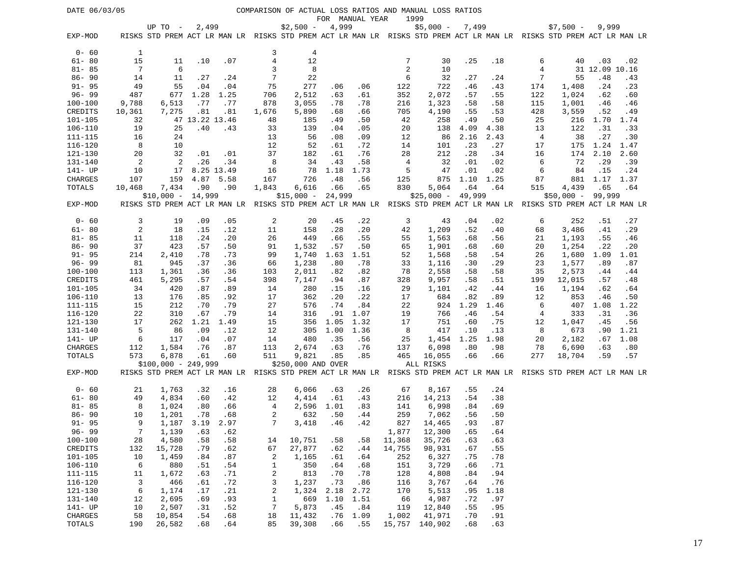| DATE 06/03/05<br>COMPARISON OF ACTUAL LOSS RATIOS AND MANUAL LOSS RATIOS |                |                                                                                                                     |                |            |              |                    |             |                  |                     |              |             |             |                |                    |                       |              |
|--------------------------------------------------------------------------|----------------|---------------------------------------------------------------------------------------------------------------------|----------------|------------|--------------|--------------------|-------------|------------------|---------------------|--------------|-------------|-------------|----------------|--------------------|-----------------------|--------------|
|                                                                          |                |                                                                                                                     |                |            |              |                    |             | FOR MANUAL YEAR  |                     | 1999         |             |             |                |                    |                       |              |
|                                                                          |                | UP TO -                                                                                                             | 2,499          |            |              | $$2,500 -$         | 4,999       |                  |                     | $$5,000 -$   | 7,499       |             |                | $$7,500 -$         | 9,999                 |              |
| EXP-MOD                                                                  |                | RISKS STD PREM ACT LR MAN LR RISKS STD PREM ACT LR MAN LR RISKS STD PREM ACT LR MAN LR RISKS STD PREM ACT LR MAN LR |                |            |              |                    |             |                  |                     |              |             |             |                |                    |                       |              |
|                                                                          |                |                                                                                                                     |                |            |              |                    |             |                  |                     |              |             |             |                |                    |                       |              |
| $0 - 60$                                                                 | 1              |                                                                                                                     |                |            | 3            | 4                  |             |                  |                     |              |             |             |                |                    |                       |              |
| $61 - 80$<br>$81 - 85$                                                   | 15<br>7        | 11<br>6                                                                                                             | .10            | .07        | $\,4$<br>3   | 12<br>8            |             |                  | 7<br>$\overline{2}$ | 30<br>10     | .25         | .18         | 6<br>4         | 40                 | .03<br>31 12.09 10.16 | .02          |
| $86 - 90$                                                                | 14             | 11                                                                                                                  | .27            | .24        | 7            | 22                 |             |                  | 6                   | 32           | .27         | .24         | 7              | 55                 | .48                   | .43          |
| $91 - 95$                                                                | 49             | 55                                                                                                                  | .04            | .04        | 75           | 277                | .06         | .06              | 122                 | 722          | .46         | .43         | 174            | 1,408              | .24                   | .23          |
| $96 - 99$                                                                | 487            | 677                                                                                                                 | 1.28           | 1.25       | 706          | 2,512              | .63         | .61              | 352                 | 2,072        | .57         | .55         | 122            | 1,024              | .62                   | .60          |
| 100-100                                                                  | 9,788          | 6,513                                                                                                               | .77            | .77        | 878          | 3,055              | .78         | .78              | 216                 | 1,323        | .58         | .58         | 115            | 1,001              | .46                   | .46          |
| CREDITS                                                                  | 10,361         | 7,275                                                                                                               | .81            | .81        | 1,676        | 5,890              | .68         | .66              | 705                 | 4,190        | .55         | .53         | 428            | 3,559              | .52                   | .49          |
| $101 - 105$                                                              | 32             |                                                                                                                     | 47 13.22 13.46 |            | 48           | 185                | .49         | .50              | 42                  | 258          | .49         | .50         | 25             | 216                | 1.70                  | 1.74         |
| $106 - 110$                                                              | 19             | 25                                                                                                                  | .40            | .43        | 33           | 139                | .04         | .05              | 20                  | 138          | 4.09        | 4.38        | 13             | 122                | .31                   | .33          |
| 111-115                                                                  | 16             | 24                                                                                                                  |                |            | 13           | 56                 | .08         | .09              | 12                  | 86           | 2.16        | 2.43        | $\overline{4}$ | 38                 | .27                   | .30          |
| $116 - 120$                                                              | 8              | 10                                                                                                                  |                |            | 12           | 52                 | .61         | .72              | 14                  | 101          | .23         | .27         | 17             | 175                | 1.24                  | 1.47         |
| 121-130                                                                  | 20             | 32                                                                                                                  | .01            | .01        | 37           | 182                | .61         | .76              | 28                  | 212          | .28         | .34         | 16             | 174                | 2.10                  | 2.60         |
| 131-140                                                                  | 2              | $\overline{c}$                                                                                                      | .26            | .34        | 8            | 34                 | .43         | .58              | 4                   | 32           | .01         | .02         | 6              | 72                 | .29                   | .39          |
| 141- UP                                                                  | 10             | 17                                                                                                                  |                | 8.25 13.49 | 16           | 78                 | 1.18        | 1.73             | 5                   | 47           | .01         | .02         | 6              | 84                 | .15                   | .24          |
| <b>CHARGES</b>                                                           | 107            | 159                                                                                                                 |                | 4.87 5.58  | 167          | 726                | .48         | .56              | 125                 | 875          | 1.10        | 1.25        | 87             | 881                | 1.17                  | 1.37         |
| TOTALS                                                                   | 10,468         | 7,434                                                                                                               | .90            | .90        | 1,843        | 6,616              | .66         | .65              | 830                 | 5,064        | .64         | .64         | 515            | 4,439              | .65                   | .64          |
|                                                                          |                | $$10,000 -$                                                                                                         | 14,999         |            |              | $$15,000 -$        | 24,999      |                  |                     | $$25,000 -$  | 49,999      |             |                | $$50,000 - 99,999$ |                       |              |
| EXP-MOD                                                                  |                | RISKS STD PREM ACT LR MAN LR RISKS STD PREM ACT LR MAN LR RISKS STD PREM ACT LR MAN LR RISKS STD PREM ACT LR MAN LR |                |            |              |                    |             |                  |                     |              |             |             |                |                    |                       |              |
|                                                                          |                |                                                                                                                     |                |            |              |                    |             |                  |                     |              |             |             |                |                    |                       |              |
| $0 - 60$                                                                 | 3              | 19                                                                                                                  | .09            | .05        | 2            | 20                 | .45         | .22              | 3                   | 43           | .04         | .02         | 6              | 252                | .51                   | .27          |
| $61 - 80$                                                                | $\overline{c}$ | 18                                                                                                                  | .15            | .12        | 11           | 158                | .28         | .20              | 42                  | 1,209        | .52         | .40         | 68             | 3,486              | .41                   | .29          |
| $81 - 85$                                                                | 11             | 118                                                                                                                 | . 24           | .20        | 26           | 449                | .66         | .55              | 55                  | 1,563        | .68         | .56         | 21             | 1,193              | .55                   | .46          |
| $86 - 90$                                                                | 37             | 423                                                                                                                 | .57            | .50        | 91           | 1,532              | .57         | .50              | 65                  | 1,901        | .68         | .60         | 20             | 1,254              | .22                   | .20          |
| $91 - 95$                                                                | 214            | 2,410                                                                                                               | .78            | .73        | 99           | 1,740              | 1.63        | 1.51             | 52                  | 1,568        | .58         | .54         | 26             | 1,680              | 1.09                  | 1.01         |
| $96 - 99$                                                                | 81             | 945                                                                                                                 | .37            | .36        | 66           | 1,238              | .80         | .78              | 33                  | 1,116        | .30         | .29         | 23             | 1,577              | .89                   | .87          |
| 100-100                                                                  | 113            | 1,361                                                                                                               | .36            | .36        | 103          | 2,011              | .82         | .82              | 78                  | 2,558        | .58         | .58         | 35             | 2,573              | .44                   | .44          |
| CREDITS                                                                  | 461            | 5,295                                                                                                               | .57            | .54        | 398          | 7,147              | .94         | .87              | 328                 | 9,957        | .58         | .51         | 199            | 12,015             | .57                   | .48          |
| 101-105                                                                  | 34             | 420                                                                                                                 | .87            | .89        | 14           | 280                | .15         | .16              | 29                  | 1,101        | .42         | .44         | 16             | 1,194              | .62                   | .64          |
| $106 - 110$                                                              | 13             | 176                                                                                                                 | .85            | .92        | 17           | 362                | .20         | .22              | 17                  | 684          | .82         | .89         | 12             | 853                | .46                   | .50          |
| $111 - 115$                                                              | 15             | 212                                                                                                                 | .70            | .79        | 27           | 576                | .74         | .84              | 22                  | 924          | 1.29        | 1.46        | 6              | 407                | 1.08                  | 1.22         |
| $116 - 120$                                                              | 22             | 310                                                                                                                 | .67            | .79        | 14           | 316                |             | $.91 \quad 1.07$ | 19                  | 766          | .46         | .54         | 4              | 333                | .31                   | .36          |
| 121-130<br>131-140                                                       | 17<br>5        | 262                                                                                                                 | 1.21           | 1.49       | 15           | 356                | 1.05        | 1.32             | 17                  | 751          | .60         | .75         | 12<br>8        | 1,047              | .45                   | .56          |
| 141- UP                                                                  | 6              | 86<br>117                                                                                                           | .09<br>.04     | .12<br>.07 | 12<br>14     | 305<br>480         | 1.00<br>.35 | 1.36<br>.56      | 8<br>25             | 417<br>1,454 | .10<br>1.25 | .13<br>1.98 | 20             | 673                | .90<br>.67            | 1.21<br>1.08 |
| CHARGES                                                                  | 112            | 1,584                                                                                                               | .76            | .87        | 113          | 2,674              | .63         | .76              | 137                 | 6,098        | .80         | .98         | 78             | 2,182<br>6,690     | .63                   | .80          |
| TOTALS                                                                   | 573            | 6,878                                                                                                               | .61            | .60        | 511          | 9,821              | .85         | .85              | 465                 | 16,055       | .66         | .66         | 277            | 18,704             | .59                   | .57          |
|                                                                          |                | $$100,000 - 249,999$                                                                                                |                |            |              | \$250,000 AND OVER |             |                  |                     | ALL RISKS    |             |             |                |                    |                       |              |
| EXP-MOD                                                                  |                | RISKS STD PREM ACT LR MAN LR RISKS STD PREM ACT LR MAN LR RISKS STD PREM ACT LR MAN LR RISKS STD PREM ACT LR MAN LR |                |            |              |                    |             |                  |                     |              |             |             |                |                    |                       |              |
|                                                                          |                |                                                                                                                     |                |            |              |                    |             |                  |                     |              |             |             |                |                    |                       |              |
| $0 - 60$                                                                 | 21             | 1,763                                                                                                               | .32            | .16        | 28           | 6,066              | .63         | .26              | 67                  | 8,167        | .55         | .24         |                |                    |                       |              |
| $61 - 80$                                                                | 49             | 4,834                                                                                                               | .60            | .42        | 12           | 4,414              | .61         | .43              | 216                 | 14,213       | .54         | .38         |                |                    |                       |              |
| $81 - 85$                                                                | 8              | 1,024                                                                                                               | .80            | .66        | 4            | 2,596              | 1.01        | .83              | 141                 | 6,998        | .84         | .69         |                |                    |                       |              |
| $86 - 90$                                                                | 10             | 1,201                                                                                                               | .78            | .68        | 2            | 632                | .50         | .44              | 259                 | 7,062        | .56         | .50         |                |                    |                       |              |
| $91 - 95$                                                                | 9              | 1,187 3.19                                                                                                          |                | 2.97       | 7            | 3,418              | .46         | .42              | 827                 | 14,465       | .93         | .87         |                |                    |                       |              |
| $96 - 99$                                                                | $\overline{7}$ | 1,139                                                                                                               | .63            | .62        |              |                    |             |                  | 1,877               | 12,300       | .65         | .64         |                |                    |                       |              |
| $100 - 100$                                                              | 28             | 4,580                                                                                                               | .58            | .58        | 14           | 10,751             | .58         | .58              | 11,368              | 35,726       | .63         | .63         |                |                    |                       |              |
| CREDITS                                                                  | 132            | 15,728                                                                                                              | .79            | .62        | 67           | 27,877             | .62         | .44              | 14,755              | 98,931       | .67         | .55         |                |                    |                       |              |
| 101-105                                                                  | 10             | 1,459                                                                                                               | .84            | .87        | 2            | 1,165              | .61         | .64              | 252                 | 6,327        | .75         | .78         |                |                    |                       |              |
| 106-110                                                                  | 6              | 880                                                                                                                 | .51            | .54        | 1            | 350                | .64         | .68              | 151                 | 3,729        | .66         | .71         |                |                    |                       |              |
| $111 - 115$                                                              | 11             | 1,672                                                                                                               | .63            | .71        | 2            | 813                | .70         | .78              | 128                 | 4,808        | .84         | .94         |                |                    |                       |              |
| 116-120                                                                  | 3              | 466                                                                                                                 | .61            | .72        | 3            | 1,237              | .73         | .86              | 116                 | 3,767        | .64         | .76         |                |                    |                       |              |
| 121-130                                                                  | 6              | 1,174                                                                                                               | .17            | .21        | 2            | 1,324              | 2.18        | 2.72             | 170                 | 5,513        | .95         | 1.18        |                |                    |                       |              |
| 131-140                                                                  | 12             | 2,695                                                                                                               | .69            | .93        | $\mathbf{1}$ | 669                | 1.10        | 1.51             | 66                  | 4,987        | .72         | .97         |                |                    |                       |              |
| 141- UP                                                                  | 10             | 2,507                                                                                                               | .31            | .52        | 7            | 5,873              | .45         | .84              | 119                 | 12,840       | .55         | .95         |                |                    |                       |              |
| CHARGES                                                                  | 58             | 10,854                                                                                                              | .54            | .68        | 18           | 11,432             | .76         | 1.09             | 1,002               | 41,971       | .70         | .91         |                |                    |                       |              |
| TOTALS                                                                   | 190            | 26,582                                                                                                              | .68            | .64        | 85           | 39,308             | .66         | .55              | 15,757              | 140,902      | .68         | .63         |                |                    |                       |              |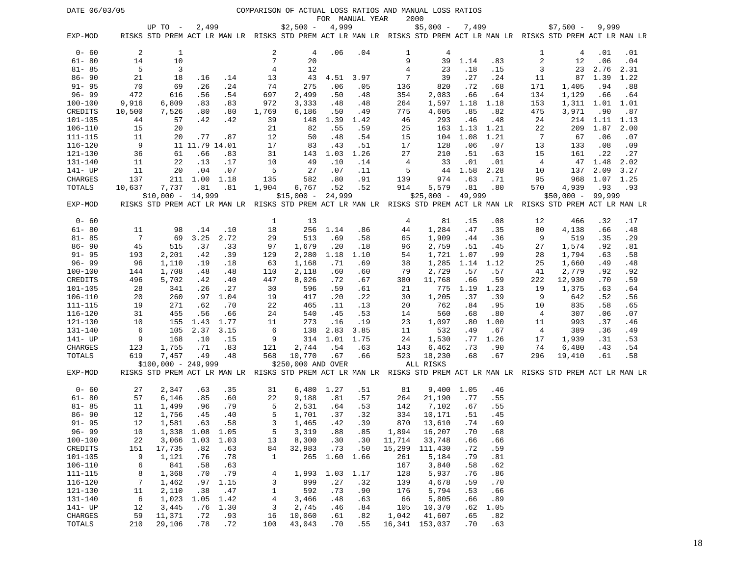| DATE 06/03/05<br>COMPARISON OF ACTUAL LOSS RATIOS AND MANUAL LOSS RATIOS<br>FOR MANUAL YEAR |                |                      |                        |            |                |                                                                                                                                   |            |            |              |                    |             |             |            |                    |            |            |
|---------------------------------------------------------------------------------------------|----------------|----------------------|------------------------|------------|----------------|-----------------------------------------------------------------------------------------------------------------------------------|------------|------------|--------------|--------------------|-------------|-------------|------------|--------------------|------------|------------|
|                                                                                             |                |                      |                        |            |                |                                                                                                                                   |            |            |              | 2000               |             |             |            |                    |            |            |
| EXP-MOD                                                                                     |                | UP TO -              | 2,499                  |            |                | $$2,500 -$<br>RISKS STD PREM ACT LR MAN LR RISKS STD PREM ACT LR MAN LR RISKS STD PREM ACT LR MAN LR RISKS STD PREM ACT LR MAN LR | 4,999      |            |              | $$5,000 -$         | 7,499       |             |            | $$7,500 -$         | 9,999      |            |
|                                                                                             |                |                      |                        |            |                |                                                                                                                                   |            |            |              |                    |             |             |            |                    |            |            |
| $0 - 60$                                                                                    | 2              | 1                    |                        |            | 2              | 4                                                                                                                                 | .06        | .04        | 1            | 4                  |             |             | 1          | 4                  | .01        | .01        |
| $61 - 80$                                                                                   | 14             | 10                   |                        |            | 7              | 20                                                                                                                                |            |            | 9            | 39                 | 1.14        | .83         | $\sqrt{2}$ | 12                 | .06        | .04        |
| $81 - 85$                                                                                   | 5              | 3                    |                        |            | 4              | 12                                                                                                                                |            |            | 4            | 23                 | .18         | .15         | 3          | 23                 | 2.76       | 2.31       |
| $86 - 90$                                                                                   | 21             | 18                   | .16                    | .14        | 13             | 43                                                                                                                                | 4.51       | 3.97       | 7            | 39                 | .27         | .24         | 11         | 87                 | 1.39       | 1.22       |
| $91 - 95$                                                                                   | 70             | 69                   | .26                    | .24        | 74             | 275                                                                                                                               | .06        | .05        | 136          | 820                | .72         | .68         | 171        | 1,405              | .94        | .88        |
| $96 - 99$                                                                                   | 472            | 616                  | .56                    | .54        | 697            | 2,499                                                                                                                             | .50        | .48        | 354          | 2,083              | .66         | .64         | 134        | 1,129              | .66        | .64        |
| $100 - 100$                                                                                 | 9,916          | 6,809                | .83                    | .83        | 972            | 3,333                                                                                                                             | .48        | .48        | 264          | 1,597              | 1.18        | 1.18        | 153        | 1,311              | 1.01       | 1.01       |
| CREDITS                                                                                     | 10,500         | 7,526                | .80                    | .80        | 1,769          | 6,186                                                                                                                             | .50        | .49        | 775          | 4,605              | .85         | .82         | 475        | 3,971              | .90        | .87        |
| 101-105                                                                                     | 44             | 57                   | .42                    | .42        | 39             | 148                                                                                                                               | 1.39       | 1.42       | 46           | 293                | .46         | .48         | 24         | 214                | 1.11       | 1.13       |
| $106 - 110$                                                                                 | 15             | 20                   |                        |            | 21             | 82                                                                                                                                | .55        | .59        | 25           | 163                | 1.13        | 1.21        | 22         | 209                | 1.87       | 2.00       |
| 111-115                                                                                     | 11             | 20                   | .77                    | .87        | 12             | 50                                                                                                                                | .48        | .54        | 15           | 104                | 1.08        | 1.21        | 7          | 67                 | .06        | .07        |
| 116-120                                                                                     | 9              |                      | 11 11.79 14.01         |            | 17             | 83                                                                                                                                | .43        | .51        | 17           | 128                | .06         | .07         | 13         | 133                | .08        | .09        |
| 121-130                                                                                     | 36             | 61                   | .66                    | .83        | 31             | 143                                                                                                                               | 1.03       | 1.26       | 27           | 210                | .51         | .63         | 15         | 161                | .22        | .27        |
| $131 - 140$                                                                                 | 11             | 22                   | .13                    | .17        | 10             | 49                                                                                                                                | .10        | .14        | 4            | 33                 | .01         | .01         | 4          | 47                 | 1.48       | 2.02       |
| 141- UP                                                                                     | 11             | 20                   | .04                    | .07        | 5              | 27                                                                                                                                | .07        | .11        | 5            |                    | 44 1.58     | 2.28        | 10         | 137                | 2.09       | 3.27       |
| CHARGES                                                                                     | 137            | 211                  | 1.00                   | 1.18       | 135            | 582                                                                                                                               | .80        | .91        | 139          | 974                | .63         | .71         | 95         | 968                | 1.07 1.25  |            |
| TOTALS                                                                                      | 10,637         | 7,737                | .81                    | .81        | 1,904          | 6,767                                                                                                                             | .52        | .52        | 914          | 5,579              | .81         | .80         | 570        | 4,939              | .93        | .93        |
|                                                                                             |                | $$10,000 - 14,999$   |                        |            |                | $$15,000 -$                                                                                                                       | 24,999     |            |              | $$25,000 - 49,999$ |             |             |            | $$50,000 - 99,999$ |            |            |
| EXP-MOD                                                                                     |                |                      |                        |            |                | RISKS STD PREM ACT LR MAN LR RISKS STD PREM ACT LR MAN LR RISKS STD PREM ACT LR MAN LR RISKS STD PREM ACT LR MAN LR               |            |            |              |                    |             |             |            |                    |            |            |
|                                                                                             |                |                      |                        |            |                |                                                                                                                                   |            |            |              |                    |             |             |            |                    |            |            |
| $0 - 60$                                                                                    |                |                      |                        |            | 1              | 13                                                                                                                                |            |            | 4            | 81                 | .15         | .08         | 12         | 466                | .32        | .17        |
| $61 - 80$                                                                                   | 11             | 98                   | .14                    | .10        | 18             | 256                                                                                                                               | 1.14       | .86        | 44           | 1,284              | .47         | .35         | 80         | 4,138              | .66        | .48        |
| $81 - 85$                                                                                   | -7             | 69                   | 3.25                   | 2.72       | 29             | 513                                                                                                                               | .69        | .58        | 65           | 1,909              | .44         | .36         | 9          | 519                | .35        | .29        |
| $86 - 90$                                                                                   | 45             | 515                  | .37                    | .33        | 97             | 1,679                                                                                                                             | .20        | .18        | 96           | 2,759              | .51         | .45         | 27         | 1,574              | .92        | .81        |
| $91 - 95$<br>$96 - 99$                                                                      | 193            | 2,201                | .42                    | .39        | 129            | 2,280                                                                                                                             | 1.18       | 1.10       | 54           | 1,721              | 1.07        | .99         | 28         | 1,794              | .63        | .58        |
| $100 - 100$                                                                                 | 96<br>144      | 1,110<br>1,708       | .19<br>.48             | .18<br>.48 | 63             | 1,168<br>2,118                                                                                                                    | .71<br>.60 | .69<br>.60 | 38<br>79     | 1,285<br>2,729     | 1.14<br>.57 | 1.12<br>.57 | 25<br>41   | 1,660<br>2,779     | .49<br>.92 | .48<br>.92 |
| CREDITS                                                                                     | 496            | 5,702                | .42                    | .40        | 110<br>447     | 8,026                                                                                                                             | .72        | .67        | 380          | 11,768             | .66         | .59         | 222        | 12,930             | .70        | .59        |
| $101 - 105$                                                                                 | 28             | 341                  | .26                    | .27        | 30             | 596                                                                                                                               | .59        | .61        | 21           | 775                | 1.19        | 1.23        | 19         | 1,375              | .63        | .64        |
| 106-110                                                                                     | 20             | 260                  | .97                    | 1.04       | 19             | 417                                                                                                                               | .20        | .22        | 30           | 1,205              | .37         | .39         | 9          | 642                | .52        | .56        |
| 111-115                                                                                     | 19             | 271                  | .62                    | .70        | 22             | 465                                                                                                                               | .11        | .13        | 20           | 762                | .84         | .95         | 10         | 835                | .58        | .65        |
| 116-120                                                                                     | 31             | 455                  | .56                    | .66        | 24             | 540                                                                                                                               | .45        | .53        | 14           | 560                | .68         | .80         | 4          | 307                | .06        | .07        |
| 121-130                                                                                     | 10             | 155                  | 1.43                   | 1.77       | 11             | 273                                                                                                                               | .16        | .19        | 23           | 1,097              | .80         | 1.00        | 11         | 993                | .37        | .46        |
| 131-140                                                                                     | 6              | 105                  | 2.37                   | 3.15       | 6              | 138                                                                                                                               | 2.83       | 3.85       | 11           | 532                | .49         | .67         | 4          | 389                | .36        | .49        |
| 141- UP                                                                                     | 9              | 168                  | .10                    | .15        | 9              | 314                                                                                                                               | 1.01       | 1.75       | 24           | 1,530              | . 77        | 1.26        | 17         | 1,939              | .31        | .53        |
| CHARGES                                                                                     | 123            | 1,755                | .71                    | .83        | 121            | 2,744                                                                                                                             | .54        | .63        | 143          | 6,462              | .73         | .90         | 74         | 6,480              | .43        | .54        |
| TOTALS                                                                                      | 619            | 7,457                | .49                    | .48        | 568            | 10,770                                                                                                                            | .67        | .66        | 523          | 18,230             | .68         | .67         | 296        | 19,410             | .61        | .58        |
|                                                                                             |                | $$100,000 - 249,999$ |                        |            |                | \$250,000 AND OVER                                                                                                                |            |            |              | ALL RISKS          |             |             |            |                    |            |            |
| EXP-MOD                                                                                     |                |                      |                        |            |                | RISKS STD PREM ACT LR MAN LR RISKS STD PREM ACT LR MAN LR RISKS STD PREM ACT LR MAN LR RISKS STD PREM ACT LR MAN LR               |            |            |              |                    |             |             |            |                    |            |            |
| $0 - 60$                                                                                    | 27             | 2,347                | .63                    | .35        | 31             | 6,480                                                                                                                             | 1.27       | .51        | 81           | 9,400 1.05         |             | .46         |            |                    |            |            |
| $61 - 80$                                                                                   | 57             | 6,146                | .85                    | .60        | 22             | 9,188                                                                                                                             | .81        | .57        | 264          | 21,190             | .77         | .55         |            |                    |            |            |
| $81 - 85$                                                                                   | 11             | 1,499                | .96                    | .79        | 5              | 2,531                                                                                                                             | .64        | .53        | 142          | 7,102              | .67         | .55         |            |                    |            |            |
| $86 - 90$<br>$91 - 95$                                                                      | 12             | 1,756<br>1,581       | .45                    | .40        | 5              | 1,701<br>1,465                                                                                                                    | .37        | .32        | 334          | 10,171             | .51         | .45         |            |                    |            |            |
| $96 - 99$                                                                                   | 12             |                      | .63<br>1,338 1.08 1.05 | .58        | 3<br>5         | 3,319                                                                                                                             | .42<br>.88 | .39        | 870<br>1,894 | 13,610<br>16,207   | .74<br>.70  | .69<br>.68  |            |                    |            |            |
| $100 - 100$                                                                                 | 10<br>22       | 3,066                | 1.03                   | 1.03       | 13             | 8,300                                                                                                                             | .30        | .85<br>.30 | 11,714       | 33,748             | .66         | .66         |            |                    |            |            |
| CREDITS                                                                                     | 151            | 17,735               | .82                    | .63        | 84             | 32,983                                                                                                                            | .73        | .50        | 15,299       | 111,430            | .72         | .59         |            |                    |            |            |
| 101-105                                                                                     | 9              | 1,121                | .76                    | .78        | $\mathbf{1}$   | 265                                                                                                                               | 1.60       | 1.66       | 261          | 5,184              | .79         | .81         |            |                    |            |            |
| $106 - 110$                                                                                 | 6              | 841                  | .58                    | .63        |                |                                                                                                                                   |            |            | 167          | 3,840              | .58         | .62         |            |                    |            |            |
| $111 - 115$                                                                                 | 8              | 1,368                | .70                    | .79        | 4              | 1,993                                                                                                                             | 1.03       | 1.17       | 128          | 5,937              | .76         | .86         |            |                    |            |            |
| 116-120                                                                                     | $\overline{7}$ | 1,462                | .97                    | 1.15       | 3              | 999                                                                                                                               | .27        | .32        | 139          | 4,678              | .59         | .70         |            |                    |            |            |
| 121-130                                                                                     | 11             | 2,110                | .38                    | .47        | 1              | 592                                                                                                                               | .73        | .90        | 176          | 5,794              | .53         | .66         |            |                    |            |            |
| 131-140                                                                                     | 6              | 1,023                | 1.05                   | 1.42       | $\overline{4}$ | 3,466                                                                                                                             | .48        | .63        | 66           | 5,805              | .66         | .89         |            |                    |            |            |
| 141- UP                                                                                     | 12             | 3,445                | .76                    | 1.30       | 3              | 2,745                                                                                                                             | .46        | .84        | 105          | 10,370             | .62         | 1.05        |            |                    |            |            |
| CHARGES                                                                                     | 59             | 11,371               | .72                    | .93        | 16             | 10,060                                                                                                                            | .61        | .82        | 1,042        | 41,607             | .65         | .82         |            |                    |            |            |
| TOTALS                                                                                      | 210            | 29,106               | .78                    | .72        | 100            | 43,043                                                                                                                            | .70        | .55        |              | 16, 341 153, 037   | .70         | .63         |            |                    |            |            |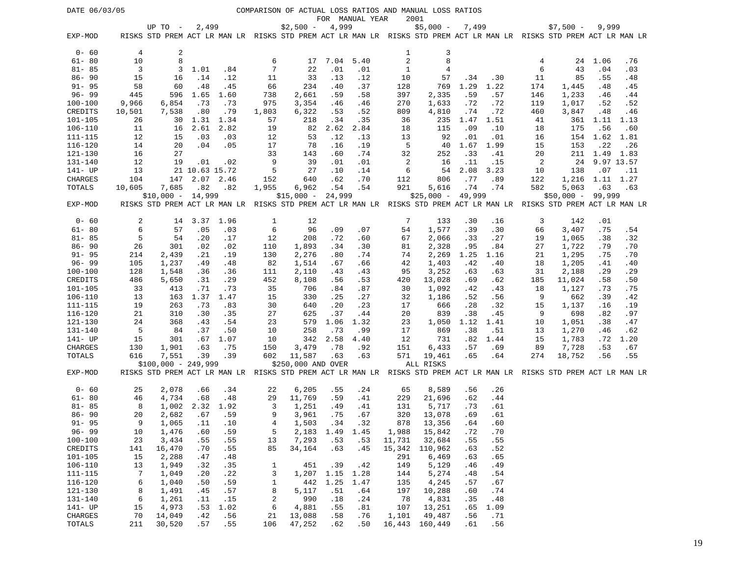| DATE 06/03/05              |          |                               |                    |             |              |                              |                        |                 |              | COMPARISON OF ACTUAL LOSS RATIOS AND MANUAL LOSS RATIOS                                                             |             |             |          |                    |                 |             |
|----------------------------|----------|-------------------------------|--------------------|-------------|--------------|------------------------------|------------------------|-----------------|--------------|---------------------------------------------------------------------------------------------------------------------|-------------|-------------|----------|--------------------|-----------------|-------------|
|                            |          |                               | 2,499              |             |              |                              |                        | FOR MANUAL YEAR |              | 2001<br>$$5,000 -$                                                                                                  |             |             |          | $$7,500 -$         | 9,999           |             |
| EXP-MOD                    |          | UP TO -                       |                    |             |              | $$2,500 -$                   | 4,999                  |                 |              | RISKS STD PREM ACT LR MAN LR RISKS STD PREM ACT LR MAN LR RISKS STD PREM ACT LR MAN LR RISKS STD PREM ACT LR MAN LR | 7,499       |             |          |                    |                 |             |
| $0 - 60$                   | 4        | 2                             |                    |             |              |                              |                        |                 | 1            | 3                                                                                                                   |             |             |          |                    |                 |             |
| $61 - 80$                  | 10       | 8                             |                    |             | 6            | 17                           | 7.04                   | 5.40            | $\sqrt{2}$   | 8                                                                                                                   |             |             | 4        | 24                 | 1.06            | .76         |
| $81 - 85$                  | 3        | 3                             | 1.01               | .84         | 7            | 22                           | .01                    | .01             | $\mathbf{1}$ | 4                                                                                                                   |             |             | 6        | 43                 | .04             | .03         |
| $86 - 90$                  | 15       | 16                            | .14                | .12         | 11           | 33                           | .13                    | .12             | 10           | 57                                                                                                                  | .34         | .30         | 11       | 85                 | .55             | .48         |
| $91 - 95$                  | 58       | 60                            | .48                | .45         | 66           | 234                          | .40                    | .37             | 128          | 769                                                                                                                 | 1.29        | 1.22        | 174      | 1,445              | .48             | .45         |
| $96 - 99$                  | 445      | 596                           | 1.65               | 1.60        | 738          | 2,661                        | .59                    | .58             | 397          | 2,335                                                                                                               | .59         | .57         | 146      | 1,233              | .46             | .44         |
| 100-100                    | 9,966    | 6,854                         | .73                | .73         | 975          | 3,354                        | .46                    | .46             | 270          | 1,633                                                                                                               | .72         | .72         | 119      | 1,017              | .52             | .52         |
| CREDITS                    | 10,501   | 7,538                         | .80                | .79         | 1,803        | 6,322                        | .53                    | .52             | 809          | 4,810                                                                                                               | .74         | .72         | 460      | 3,847              | .48             | .46         |
| 101-105                    | 26       | 30                            | 1.31               | 1.34        | 57           | 218                          | .34                    | .35             | 36           | 235                                                                                                                 | 1.47        | 1.51        | 41       | 361                | 1.11            | 1.13        |
| $106 - 110$                | 11       | 16                            | 2.61               | 2.82        | 19           | 82                           | 2.62                   | 2.84            | 18           | 115                                                                                                                 | .09         | .10         | 18       | 175                | .56             | .60         |
| 111-115                    | 12       | 15                            | .03                | .03         | 12           | 53                           | .12                    | .13             | 13<br>5      | 92                                                                                                                  | .01         | .01         | 16       | 154                | 1.62            | 1.81        |
| 116-120<br>121-130         | 14<br>16 | 20<br>27                      | .04                | .05         | 17<br>33     | 78<br>143                    | .16<br>.60             | .19<br>.74      | 32           | 40<br>252                                                                                                           | 1.67<br>.33 | 1.99<br>.41 | 15<br>20 | 153                | .22<br>211 1.49 | .26<br>1.83 |
| 131-140                    | 12       | 19                            | .01                | .02         | 9            | 39                           | .01                    | .01             | 2            | 16                                                                                                                  | .11         | .15         | 2        | 24                 | 9.97 13.57      |             |
| 141- UP                    | 13       |                               | 21 10.63 15.72     |             | 5            | 27                           | .10                    | .14             | 6            | 54                                                                                                                  | 2.08        | 3.23        | 10       | 138                | .07             | .11         |
| CHARGES                    | 104      | 147                           |                    | 2.07 2.46   | 152          | 640                          | .62                    | .70             | 112          | 806                                                                                                                 | .77         | .89         | 122      | 1,216              | 1.11 1.27       |             |
| TOTALS                     | 10,605   | 7,685                         | .82                | .82         | 1,955        | 6,962                        | .54                    | .54             | 921          | 5,616                                                                                                               | .74         | .74         | 582      | 5,063              | .63             | .63         |
|                            |          | $$10,000 - 14,999$            |                    |             |              | $$15,000 -$                  | 24,999                 |                 |              | $$25,000 -$                                                                                                         | 49,999      |             |          | $$50,000 - 99,999$ |                 |             |
| EXP-MOD                    |          |                               |                    |             |              |                              |                        |                 |              | RISKS STD PREM ACT LR MAN LR RISKS STD PREM ACT LR MAN LR RISKS STD PREM ACT LR MAN LR RISKS STD PREM ACT LR MAN LR |             |             |          |                    |                 |             |
| $0 - 60$                   | 2        | 14                            | 3.37               | 1.96        | 1            | 12                           |                        |                 | 7            | 133                                                                                                                 | .30         | .16         | 3        | 142                | .01             |             |
| $61 - 80$                  | 6        | 57                            | .05                | .03         | 6            | 96                           | .09                    | .07             | 54           | 1,577                                                                                                               | .39         | .30         | 66       | 3,407              | .75             | .54         |
| $81 - 85$                  | 5        | 54                            | .20                | .17         | 12           | 208                          | .72                    | .60             | 67           | 2,066                                                                                                               | .33         | .27         | 19       | 1,065              | .38             | .32         |
| $86 - 90$                  | 26       | 301                           | .02                | .02         | 110          | 1,893                        | .34                    | .30             | 81           | 2,328                                                                                                               | .95         | .84         | 27       | 1,722              | .79             | .70         |
| $91 - 95$                  | 214      | 2,439                         | .21                | .19         | 130          | 2,276                        | .80                    | .74             | 74           | 2,269                                                                                                               | 1.25        | 1.16        | 21       | 1,295              | .75             | .70         |
| $96 - 99$                  | 105      | 1,237                         | .49                | .48         | 82           | 1,514                        | .67                    | .66             | 42           | 1,403                                                                                                               | .42         | .40         | 18       | 1,205              | .41             | .40         |
| 100-100                    | 128      | 1,548                         | .36                | .36         | 111          | 2,110                        | .43                    | .43             | 95           | 3,252                                                                                                               | .63         | .63         | 31       | 2,188              | .29             | .29         |
| CREDITS                    | 486      | 5,650                         | .31                | .29         | 452          | 8,108                        | .56                    | .53             | 420          | 13,028                                                                                                              | .69         | .62         | 185      | 11,024             | .58             | .50         |
| $101 - 105$<br>$106 - 110$ | 33<br>13 | 413<br>163                    | .71<br>1.37        | .73<br>1.47 | 35<br>15     | 706<br>330                   | .84<br>.25             | .87<br>.27      | 30<br>32     | 1,092<br>1,186                                                                                                      | .42<br>.52  | .43<br>.56  | 18<br>9  | 1,127<br>662       | . 73<br>.39     | .75<br>.42  |
| 111-115                    | 19       | 263                           | .73                | .83         | 30           | 640                          | .20                    | .23             | 17           | 666                                                                                                                 | .28         | .32         | 15       | 1,137              | .16             | .19         |
| $116 - 120$                | 21       | 310                           | .30                | .35         | 27           | 625                          | .37                    | .44             | 20           | 839                                                                                                                 | .38         | .45         | 9        | 698                | .82             | .97         |
| 121-130                    | 24       | 368                           | .43                | .54         | 23           | 579                          | 1.06                   | 1.32            | 23           | 1,050                                                                                                               | 1.12        | 1.41        | 10       | 1,051              | .38             | .47         |
| 131-140                    | 5        | 84                            | .37                | .50         | 10           | 258                          | .73                    | .99             | 17           | 869                                                                                                                 | .38         | .51         | 13       | 1,270              | .46             | .62         |
| 141- UP                    | 15       | 301                           | .67                | 1.07        | 10           | 342                          | 2.58                   | 4.40            | 12           | 731                                                                                                                 | .82         | 1.44        | 15       | 1,783              | . 72            | 1.20        |
| CHARGES                    | 130      | 1,901                         | .63                | .75         | 150          | 3,479                        | .78                    | .92             | 151          | 6,433                                                                                                               | .57         | .69         | 89       | 7,728              | .53             | .67         |
| TOTALS                     | 616      | 7,551<br>$$100,000 - 249,999$ | .39                | .39         | 602          | 11,587<br>\$250,000 AND OVER | .63                    | .63             | 571          | 19,461<br>ALL RISKS                                                                                                 | .65         | .64         | 274      | 18,752             | .56             | .55         |
| EXP-MOD                    |          |                               |                    |             |              |                              |                        |                 |              | RISKS STD PREM ACT LR MAN LR RISKS STD PREM ACT LR MAN LR RISKS STD PREM ACT LR MAN LR RISKS STD PREM ACT LR MAN LR |             |             |          |                    |                 |             |
| $0 - 60$                   | 25       | 2,078                         | .66                | .34         | 22           | 6,205                        | .55                    | .24             | 65           | 8,589                                                                                                               | .56         | .26         |          |                    |                 |             |
| $61 - 80$                  | 46       | 4,734                         | .68                | .48         | 29           | 11,769                       | .59                    | .41             | 229          | 21,696                                                                                                              | .62         | .44         |          |                    |                 |             |
| $81 - 85$                  | 8        | 1,002                         | 2.32               | 1.92        | 3            | 1,251                        | .49                    | .41             | 131          | 5,717                                                                                                               | .73         | .61         |          |                    |                 |             |
| $86 - 90$                  | 20       | 2,682                         | .67                | .59         | 9            | 3,961                        | .75                    | .67             | 320          | 13,078                                                                                                              | .69         | .61         |          |                    |                 |             |
| $91 - 95$<br>$96 - 99$     | 9<br>10  | 1,065<br>1,476                | $\ldots$ 11<br>.60 | .10<br>.59  | 4<br>5       | 1,503                        | .34<br>2,183 1.49 1.45 | .32             | 878<br>1,988 | 13,356<br>15,842                                                                                                    | .64<br>.72  | .60<br>.70  |          |                    |                 |             |
| $100 - 100$                | 23       | 3,434                         | .55                | .55         | 13           | 7,293                        | .53                    | .53             | 11,731       | 32,684                                                                                                              | .55         | .55         |          |                    |                 |             |
| CREDITS                    | 141      | 16,470                        | .70                | .55         | 85           | 34,164                       | .63                    | .45             | 15,342       | 110,962                                                                                                             | .63         | .52         |          |                    |                 |             |
| 101-105                    | 15       | 2,288                         | .47                | .48         |              |                              |                        |                 | 291          | 6,469                                                                                                               | .63         | .65         |          |                    |                 |             |
| $106 - 110$                | 13       | 1,949                         | .32                | .35         | 1            | 451                          | .39                    | .42             | 149          | 5,129                                                                                                               | .46         | .49         |          |                    |                 |             |
| $111 - 115$                | 7        | 1,049                         | .20                | .22         | 3            | 1,207                        | 1.15                   | 1.28            | 144          | 5,274                                                                                                               | .48         | .54         |          |                    |                 |             |
| 116-120                    | 6        | 1,040                         | .50                | .59         | $\mathbf{1}$ | 442                          | 1.25                   | 1.47            | 135          | 4,245                                                                                                               | .57         | .67         |          |                    |                 |             |
| 121-130                    | 8        | 1,491                         | .45                | .57         | 8            | 5,117                        | .51                    | .64             | 197          | 10,288                                                                                                              | .60         | .74         |          |                    |                 |             |
| 131-140                    | 6        | 1,261                         | .11                | .15         | $\sqrt{2}$   | 990                          | .18                    | .24             | 78           | 4,831                                                                                                               | .35         | .48         |          |                    |                 |             |
| 141- UP<br>CHARGES         | 15<br>70 | 4,973<br>14,049               | .53<br>.42         | 1.02<br>.56 | 6<br>21      | 4,881<br>13,088              | .55<br>.58             | .81<br>.76      | 107<br>1,101 | 13,251<br>49,487                                                                                                    | .65<br>.56  | 1.09<br>.71 |          |                    |                 |             |
| TOTALS                     | 211      | 30,520                        | .57                | .55         | 106          | 47,252                       | .62                    | .50             |              | 16,443 160,449                                                                                                      | .61         | .56         |          |                    |                 |             |
|                            |          |                               |                    |             |              |                              |                        |                 |              |                                                                                                                     |             |             |          |                    |                 |             |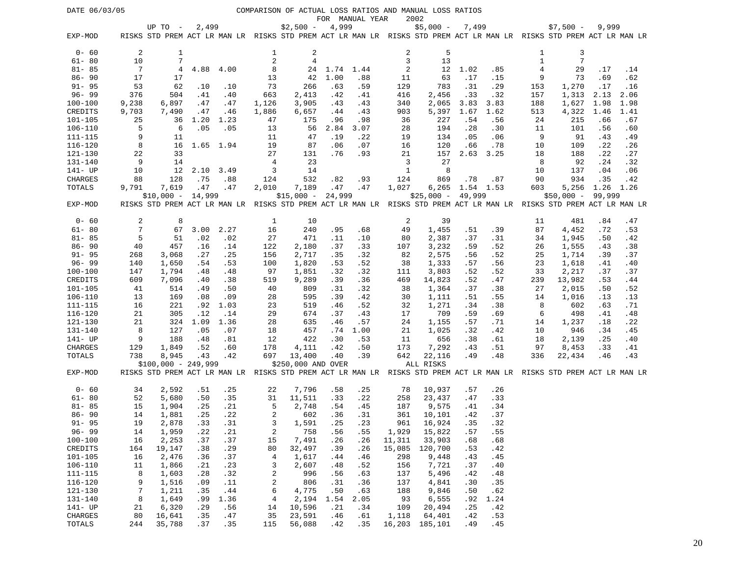| DATE 06/03/05          |            |                                                                                                                     |            |            |                 |                    |            |                 |                | COMPARISON OF ACTUAL LOSS RATIOS AND MANUAL LOSS RATIOS |             |            |                |                |            |            |
|------------------------|------------|---------------------------------------------------------------------------------------------------------------------|------------|------------|-----------------|--------------------|------------|-----------------|----------------|---------------------------------------------------------|-------------|------------|----------------|----------------|------------|------------|
|                        |            | UP TO -                                                                                                             | 2,499      |            |                 | $$2,500 -$         | 4,999      | FOR MANUAL YEAR |                | 2002<br>$$5,000 -$                                      | 7,499       |            |                | $$7,500 -$     | 9,999      |            |
| EXP-MOD                |            | RISKS STD PREM ACT LR MAN LR RISKS STD PREM ACT LR MAN LR RISKS STD PREM ACT LR MAN LR RISKS STD PREM ACT LR MAN LR |            |            |                 |                    |            |                 |                |                                                         |             |            |                |                |            |            |
| $0 - 60$               | 2          | 1                                                                                                                   |            |            | 1               | 2                  |            |                 | $\overline{a}$ | 5                                                       |             |            | 1              | 3              |            |            |
| $61 - 80$              | 10         | 7                                                                                                                   |            |            | $\overline{2}$  | $\overline{4}$     |            |                 | 3              | 13                                                      |             |            | $\mathbf{1}$   | $\overline{7}$ |            |            |
| $81 - 85$              | 7          | 4                                                                                                                   | 4.88       | 4.00       | 8               | 24                 | 1.74 1.44  |                 | $\sqrt{2}$     | 12                                                      | 1.02        | .85        | $\overline{4}$ | 29             | .17        | .14        |
| $86 - 90$              | 17         | 17                                                                                                                  |            |            | 13              | 42                 | 1.00       | .88             | 11             | 63                                                      | .17         | .15        | 9              | 73             | .69        | .62        |
| $91 - 95$              | 53         | 62                                                                                                                  | .10        | .10        | 73              | 266                | .63        | .59             | 129            | 783                                                     | .31         | .29        | 153            | 1,270          | .17        | .16        |
| $96 - 99$              | 376        | 504                                                                                                                 | .41        | .40        | 663             | 2,413              | .42        | .41             | 416            | 2,456                                                   | .33         | .32        | 157            | 1,313          | 2.13       | 2.06       |
| 100-100                | 9,238      | 6,897                                                                                                               | .47        | .47        | 1,126           | 3,905              | .43        | .43             | 340            | 2,065                                                   | 3.83        | 3.83       | 188            | 1,627          | 1.98       | 1.98       |
| CREDITS                | 9,703      | 7,490                                                                                                               | .47        | .46        | 1,886           | 6,657              | .44        | .43             | 903            | 5,397                                                   | 1.67        | 1.62       | 513            | 4,322          | 1.46       | 1.41       |
| $101 - 105$            | 25         | 36                                                                                                                  | 1.20       | 1.23       | 47              | 175                | .96        | .98             | 36             | 227                                                     | .54         | .56        | 24             | 215            | .66        | .67        |
| $106 - 110$            | 5          | 6                                                                                                                   | .05        | .05        | 13              | 56                 | 2.84       | 3.07            | 28             | 194                                                     | .28         | .30        | 11             | 101            | .56        | .60        |
| 111-115                | 9          | 11                                                                                                                  |            |            | 11              | 47                 | .19        | .22             | 19             | 134                                                     | .05         | .06        | 9              | 91             | .43        | .49        |
| $116 - 120$            | 8          | 16                                                                                                                  |            | 1.65 1.94  | 19              | 87                 | .06        | .07             | 16             | 120                                                     | .66         | .78        | 10             | 109            | .22        | .26        |
| 121-130<br>131-140     | 22<br>9    | 33<br>14                                                                                                            |            |            | 27<br>4         | 131<br>23          | .76        | .93             | 21<br>3        | 157<br>27                                               | 2.63        | 3.25       | 18<br>8        | 188<br>92      | .22<br>.24 | .27<br>.32 |
| 141- UP                | 10         | 12                                                                                                                  | 2.10       | 3.49       | 3               | 14                 |            |                 | 1              | 8                                                       |             |            | 10             | 137            | .04        | .06        |
| CHARGES                | 88         | 128                                                                                                                 | .75        | .88        | 124             | 532                | .82        | .93             | 124            | 869                                                     | .78         | .87        | 90             | 934            | .35        | .42        |
| TOTALS                 | 9,791      | 7,619                                                                                                               | .47        | .47        | 2,010           | 7,189              | .47        | .47             | 1,027          | 6,265                                                   | 1.54 1.53   |            | 603            | 5,256          | 1.26       | 1.26       |
|                        |            | $$10,000 - 14,999$                                                                                                  |            |            |                 | $$15,000 -$        | 24,999     |                 |                | $$25,000 -$                                             | 49,999      |            |                | $$50,000 -$    | 99,999     |            |
| EXP-MOD                |            | RISKS STD PREM ACT LR MAN LR RISKS STD PREM ACT LR MAN LR RISKS STD PREM ACT LR MAN LR RISKS STD PREM ACT LR MAN LR |            |            |                 |                    |            |                 |                |                                                         |             |            |                |                |            |            |
| $0 - 60$               | 2          | 8                                                                                                                   |            |            | 1               | 10                 |            |                 | 2              | 39                                                      |             |            | 11             | 481            | .84        | .47        |
| $61 - 80$              | 7          | 67                                                                                                                  | 3.00       | 2.27       | 16              | 240                | .95        | .68             | 49             | 1,455                                                   | .51         | .39        | 87             | 4,452          | .72        | .53        |
| $81 - 85$              | 5          | 51                                                                                                                  | .02        | .02        | 27              | 471                | .11        | .10             | 80             | 2,387                                                   | .37         | .31        | 34             | 1,945          | .50        | .42        |
| $86 - 90$              | 40         | 457                                                                                                                 | .16        | .14        | 122             | 2,180              | .37        | .33             | 107            | 3,232                                                   | .59         | .52        | 26             | 1,555          | .43        | .38        |
| $91 - 95$<br>$96 - 99$ | 268<br>140 | 3,068<br>1,650                                                                                                      | .27<br>.54 | .25<br>.53 | 156<br>100      | 2,717<br>1,820     | .35<br>.53 | .32<br>.52      | 82<br>38       | 2,575<br>1,333                                          | .56<br>.57  | .52<br>.56 | 25<br>23       | 1,714<br>1,618 | .39<br>.41 | .37<br>.40 |
| 100-100                | 147        | 1,794                                                                                                               | .48        | .48        | 97              | 1,851              | .32        | .32             | 111            | 3,803                                                   | .52         | .52        | 33             | 2,217          | .37        | .37        |
| CREDITS                | 609        | 7,096                                                                                                               | .40        | .38        | 519             | 9,289              | .39        | .36             | 469            | 14,823                                                  | .52         | .47        | 239            | 13,982         | .53        | .44        |
| $101 - 105$            | 41         | 514                                                                                                                 | .49        | .50        | 40              | 809                | .31        | .32             | 38             | 1,364                                                   | .37         | .38        | 27             | 2,015          | .50        | .52        |
| $106 - 110$            | 13         | 169                                                                                                                 | .08        | .09        | 28              | 595                | .39        | .42             | 30             | 1,111                                                   | .51         | .55        | 14             | 1,016          | .13        | .13        |
| 111-115                | 16         | 221                                                                                                                 | .92        | 1.03       | 23              | 519                | .46        | .52             | 32             | 1,271                                                   | .34         | .38        | 8              | 602            | .63        | .71        |
| $116 - 120$            | 21         | 305                                                                                                                 | .12        | .14        | 29              | 674                | .37        | .43             | 17             | 709                                                     | .59         | .69        | 6              | 498            | .41        | .48        |
| 121-130                | 21         | 324                                                                                                                 | 1.09       | 1.36       | 28              | 635                | .46        | .57             | 24             | 1,155                                                   | .57         | .71        | 14             | 1,237          | .18        | .22        |
| 131-140                | 8          | 127                                                                                                                 | .05        | .07        | 18              | 457                | .74        | 1.00            | 21             | 1,025                                                   | .32         | .42        | 10             | 946            | .34        | .45        |
| 141- UP                | 9          | 188                                                                                                                 | .48        | .81        | 12              | 422                | .30        | .53             | 11             | 656                                                     | .38         | .61        | 18             | 2,139          | .25        | .40        |
| CHARGES<br>TOTALS      | 129<br>738 | 1,849<br>8,945                                                                                                      | .52<br>.43 | .60        | 178<br>697      | 4,111<br>13,400    | .42<br>.40 | .50<br>.39      | 173<br>642     | 7,292                                                   | .43<br>.49  | .51<br>.48 | 97<br>336      | 8,453          | .33<br>.46 | .41<br>.43 |
|                        |            | $$100,000 - 249,999$                                                                                                |            | .42        |                 | \$250,000 AND OVER |            |                 |                | 22,116<br>ALL RISKS                                     |             |            |                | 22,434         |            |            |
| EXP-MOD                |            | RISKS STD PREM ACT LR MAN LR RISKS STD PREM ACT LR MAN LR RISKS STD PREM ACT LR MAN LR RISKS STD PREM ACT LR MAN LR |            |            |                 |                    |            |                 |                |                                                         |             |            |                |                |            |            |
| $0 - 60$               | 34         | 2,592                                                                                                               | .51        | . 25       | 22              | 7,796              | .58        | .25             | 78             | 10,937                                                  | .57         | .26        |                |                |            |            |
| $61 - 80$              | 52         | 5,680                                                                                                               | .50        | .35        | 31              | 11,511             | .33        | .22             | 258            | 23,437                                                  | .47         | .33        |                |                |            |            |
| $81 - 85$              | 15         | 1,904                                                                                                               | .25        | .21        | 5               | 2,748              | .54        | .45             | 187            | 9,575                                                   | .41         | .34        |                |                |            |            |
| $86 - 90$              | 14         | 1,881                                                                                                               | .25        | .22        | 2               | 602                | .36        | .31             | 361            | 10,101                                                  | .42         | .37        |                |                |            |            |
| $91 - 95$<br>$96 - 99$ | 19<br>14   | 2,878<br>1,959                                                                                                      | .33<br>.22 | .31<br>.21 | 3<br>$\sqrt{2}$ | 1,591<br>758       | .25<br>.56 | .23<br>.55      | 961<br>1,929   | 16,924<br>15,822                                        | .35<br>.57  | .32<br>.55 |                |                |            |            |
| $100 - 100$            | 16         | 2,253                                                                                                               | .37        | .37        | 15              | 7,491              | .26        | .26             | 11,311         | 33,903                                                  | .68         | .68        |                |                |            |            |
| CREDITS                | 164        | 19,147                                                                                                              | .38        | .29        | 80              | 32,497             | .39        | .26             | 15,085         | 120,700                                                 | .53         | .42        |                |                |            |            |
| 101-105                | 16         | 2,476                                                                                                               | .36        | .37        | 4               | 1,617              | .44        | .46             | 298            | 9,448                                                   | .43         | .45        |                |                |            |            |
| $106 - 110$            | 11         | 1,866                                                                                                               | .21        | .23        | 3               | 2,607              | .48        | .52             | 156            | 7,721                                                   | .37         | .40        |                |                |            |            |
| $111 - 115$            | 8          | 1,603                                                                                                               | .28        | .32        | 2               | 996                | .56        | .63             | 137            | 5,496                                                   | .42         | .48        |                |                |            |            |
| $116 - 120$            | 9          | 1,516                                                                                                               | .09        | .11        | $\sqrt{2}$      | 806                | .31        | .36             | 137            | 4,841                                                   | .30         | .35        |                |                |            |            |
| 121-130                | 7          | 1,211                                                                                                               | .35        | .44        | 6               | 4,775              | .50        | .63             | 188            | 9,846                                                   | .50         | .62        |                |                |            |            |
| 131-140                | 8          | 1,649                                                                                                               | .99        | 1.36       | $\overline{4}$  | 2,194              | 1.54       | 2.05            | 93             | 6,555                                                   | .92         | 1.24       |                |                |            |            |
| 141- UP<br>CHARGES     | 21<br>80   | 6,320<br>16,641                                                                                                     | .29<br>.35 | .56<br>.47 | 14<br>35        | 10,596<br>23,591   | .21<br>.46 | .34<br>.61      | 109<br>1,118   | 20,494<br>64,401                                        | . 25<br>.42 | .42<br>.53 |                |                |            |            |
| TOTALS                 | 244        | 35,788                                                                                                              | .37        | .35        | 115             | 56,088             | .42        | .35             |                | 16,203 185,101                                          | .49         | .45        |                |                |            |            |